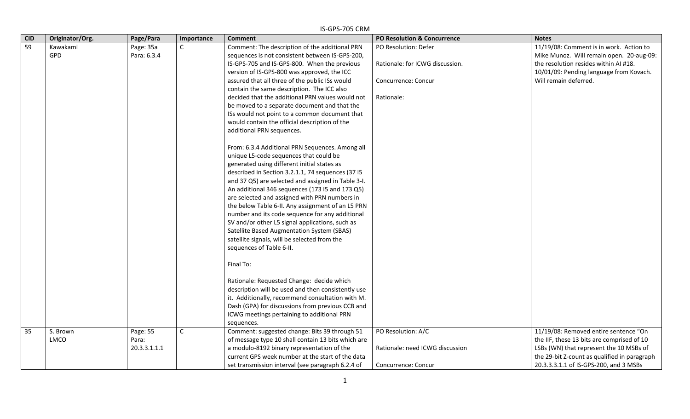|            | IS-GPS-705 CRM          |                                   |             |                                                                                                                                                                                                                                                                                                                                                                                                                                                                                                                                                                                                                                                                                                                                         |                                                                                                     |                                                                                                                                                                                                                          |  |  |  |
|------------|-------------------------|-----------------------------------|-------------|-----------------------------------------------------------------------------------------------------------------------------------------------------------------------------------------------------------------------------------------------------------------------------------------------------------------------------------------------------------------------------------------------------------------------------------------------------------------------------------------------------------------------------------------------------------------------------------------------------------------------------------------------------------------------------------------------------------------------------------------|-----------------------------------------------------------------------------------------------------|--------------------------------------------------------------------------------------------------------------------------------------------------------------------------------------------------------------------------|--|--|--|
| <b>CID</b> | Originator/Org.         | Page/Para                         | Importance  | <b>Comment</b>                                                                                                                                                                                                                                                                                                                                                                                                                                                                                                                                                                                                                                                                                                                          | <b>PO Resolution &amp; Concurrence</b>                                                              | <b>Notes</b>                                                                                                                                                                                                             |  |  |  |
| 59         | Kawakami<br>GPD         | Page: 35a<br>Para: 6.3.4          | $\mathsf C$ | Comment: The description of the additional PRN<br>sequences is not consistent between IS-GPS-200,<br>IS-GPS-705 and IS-GPS-800. When the previous<br>version of IS-GPS-800 was approved, the ICC<br>assured that all three of the public ISs would<br>contain the same description. The ICC also<br>decided that the additional PRN values would not<br>be moved to a separate document and that the<br>ISs would not point to a common document that                                                                                                                                                                                                                                                                                   | PO Resolution: Defer<br>Rationale: for ICWG discussion.<br><b>Concurrence: Concur</b><br>Rationale: | 11/19/08: Comment is in work. Action to<br>Mike Munoz. Will remain open. 20-aug-09:<br>the resolution resides within AI #18.<br>10/01/09: Pending language from Kovach.<br>Will remain deferred.                         |  |  |  |
|            |                         |                                   |             | would contain the official description of the<br>additional PRN sequences.<br>From: 6.3.4 Additional PRN Sequences. Among all<br>unique L5-code sequences that could be<br>generated using different initial states as<br>described in Section 3.2.1.1, 74 sequences (37 I5<br>and 37 Q5) are selected and assigned in Table 3-I.<br>An additional 346 sequences (173 I5 and 173 Q5)<br>are selected and assigned with PRN numbers in<br>the below Table 6-II. Any assignment of an L5 PRN<br>number and its code sequence for any additional<br>SV and/or other L5 signal applications, such as<br>Satellite Based Augmentation System (SBAS)<br>satellite signals, will be selected from the<br>sequences of Table 6-II.<br>Final To: |                                                                                                     |                                                                                                                                                                                                                          |  |  |  |
|            |                         |                                   |             | Rationale: Requested Change: decide which<br>description will be used and then consistently use<br>it. Additionally, recommend consultation with M.<br>Dash (GPA) for discussions from previous CCB and<br>ICWG meetings pertaining to additional PRN<br>sequences.                                                                                                                                                                                                                                                                                                                                                                                                                                                                     |                                                                                                     |                                                                                                                                                                                                                          |  |  |  |
| 35         | S. Brown<br><b>LMCO</b> | Page: 55<br>Para:<br>20.3.3.1.1.1 | $\mathsf C$ | Comment: suggested change: Bits 39 through 51<br>of message type 10 shall contain 13 bits which are<br>a modulo-8192 binary representation of the<br>current GPS week number at the start of the data<br>set transmission interval (see paragraph 6.2.4 of                                                                                                                                                                                                                                                                                                                                                                                                                                                                              | PO Resolution: A/C<br>Rationale: need ICWG discussion<br>Concurrence: Concur                        | 11/19/08: Removed entire sentence "On<br>the IIF, these 13 bits are comprised of 10<br>LSBs (WN) that represent the 10 MSBs of<br>the 29-bit Z-count as qualified in paragraph<br>20.3.3.3.1.1 of IS-GPS-200, and 3 MSBs |  |  |  |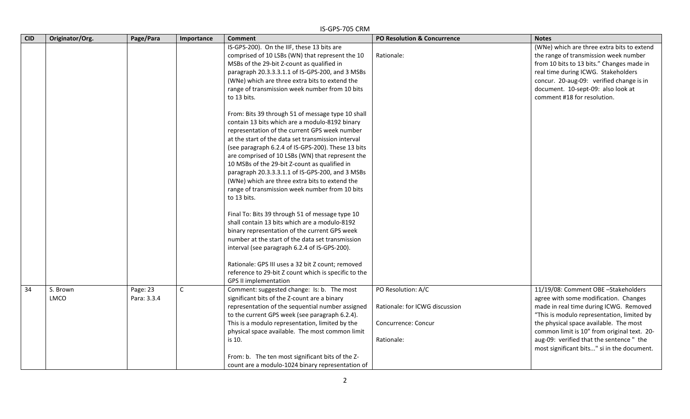| <b>CID</b> | Originator/Org.         | Page/Para               | Importance   | <b>Comment</b>                                                                                                                                                                                                                                                                                                                                                                                                                                                                                                                                                                                                                                                                                                                                                                                                                                                                                                                                      | PO Resolution & Concurrence                                                               | <b>Notes</b>                                                                                                                                                                                                                                                                                                                                            |
|------------|-------------------------|-------------------------|--------------|-----------------------------------------------------------------------------------------------------------------------------------------------------------------------------------------------------------------------------------------------------------------------------------------------------------------------------------------------------------------------------------------------------------------------------------------------------------------------------------------------------------------------------------------------------------------------------------------------------------------------------------------------------------------------------------------------------------------------------------------------------------------------------------------------------------------------------------------------------------------------------------------------------------------------------------------------------|-------------------------------------------------------------------------------------------|---------------------------------------------------------------------------------------------------------------------------------------------------------------------------------------------------------------------------------------------------------------------------------------------------------------------------------------------------------|
|            |                         |                         |              | IS-GPS-200). On the IIF, these 13 bits are<br>comprised of 10 LSBs (WN) that represent the 10<br>MSBs of the 29-bit Z-count as qualified in<br>paragraph 20.3.3.3.1.1 of IS-GPS-200, and 3 MSBs<br>(WNe) which are three extra bits to extend the<br>range of transmission week number from 10 bits<br>to 13 bits.                                                                                                                                                                                                                                                                                                                                                                                                                                                                                                                                                                                                                                  | Rationale:                                                                                | (WNe) which are three extra bits to extend<br>the range of transmission week number<br>from 10 bits to 13 bits." Changes made in<br>real time during ICWG. Stakeholders<br>concur. 20-aug-09: verified change is in<br>document. 10-sept-09: also look at<br>comment #18 for resolution.                                                                |
|            |                         |                         |              | From: Bits 39 through 51 of message type 10 shall<br>contain 13 bits which are a modulo-8192 binary<br>representation of the current GPS week number<br>at the start of the data set transmission interval<br>(see paragraph 6.2.4 of IS-GPS-200). These 13 bits<br>are comprised of 10 LSBs (WN) that represent the<br>10 MSBs of the 29-bit Z-count as qualified in<br>paragraph 20.3.3.3.1.1 of IS-GPS-200, and 3 MSBs<br>(WNe) which are three extra bits to extend the<br>range of transmission week number from 10 bits<br>to 13 bits.<br>Final To: Bits 39 through 51 of message type 10<br>shall contain 13 bits which are a modulo-8192<br>binary representation of the current GPS week<br>number at the start of the data set transmission<br>interval (see paragraph 6.2.4 of IS-GPS-200).<br>Rationale: GPS III uses a 32 bit Z count; removed<br>reference to 29-bit Z count which is specific to the<br><b>GPS II implementation</b> |                                                                                           |                                                                                                                                                                                                                                                                                                                                                         |
| 34         | S. Brown<br><b>LMCO</b> | Page: 23<br>Para: 3.3.4 | $\mathsf{C}$ | Comment: suggested change: Is: b. The most<br>significant bits of the Z-count are a binary<br>representation of the sequential number assigned<br>to the current GPS week (see paragraph 6.2.4).<br>This is a modulo representation, limited by the<br>physical space available. The most common limit<br>is 10.<br>From: b. The ten most significant bits of the Z-<br>count are a modulo-1024 binary representation of                                                                                                                                                                                                                                                                                                                                                                                                                                                                                                                            | PO Resolution: A/C<br>Rationale: for ICWG discussion<br>Concurrence: Concur<br>Rationale: | 11/19/08: Comment OBE -Stakeholders<br>agree with some modification. Changes<br>made in real time during ICWG. Removed<br>"This is modulo representation, limited by<br>the physical space available. The most<br>common limit is 10" from original text. 20-<br>aug-09: verified that the sentence " the<br>most significant bits" si in the document. |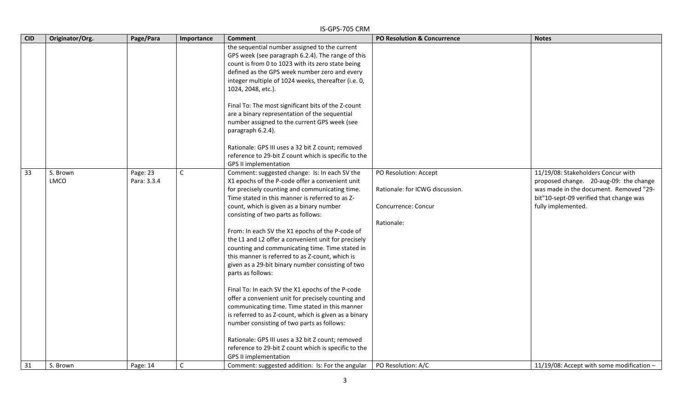|            | IS-GPS-705 CRM   |                         |              |                                                                                                                                                                                                                                                                                                                                                                                                                                                                                                                                                                                                                                                                                                                                                                                                                                                                                                                                                                                                    |                                                                                               |                                                                                                                                                                                         |  |  |  |
|------------|------------------|-------------------------|--------------|----------------------------------------------------------------------------------------------------------------------------------------------------------------------------------------------------------------------------------------------------------------------------------------------------------------------------------------------------------------------------------------------------------------------------------------------------------------------------------------------------------------------------------------------------------------------------------------------------------------------------------------------------------------------------------------------------------------------------------------------------------------------------------------------------------------------------------------------------------------------------------------------------------------------------------------------------------------------------------------------------|-----------------------------------------------------------------------------------------------|-----------------------------------------------------------------------------------------------------------------------------------------------------------------------------------------|--|--|--|
| <b>CID</b> | Originator/Org.  | Page/Para               | Importance   | <b>Comment</b>                                                                                                                                                                                                                                                                                                                                                                                                                                                                                                                                                                                                                                                                                                                                                                                                                                                                                                                                                                                     | PO Resolution & Concurrence                                                                   | <b>Notes</b>                                                                                                                                                                            |  |  |  |
|            |                  |                         |              | the sequential number assigned to the current<br>GPS week (see paragraph 6.2.4). The range of this<br>count is from 0 to 1023 with its zero state being<br>defined as the GPS week number zero and every<br>integer multiple of 1024 weeks, thereafter (i.e. 0,<br>1024, 2048, etc.).<br>Final To: The most significant bits of the Z-count<br>are a binary representation of the sequential<br>number assigned to the current GPS week (see<br>paragraph 6.2.4).<br>Rationale: GPS III uses a 32 bit Z count; removed<br>reference to 29-bit Z count which is specific to the<br><b>GPS II implementation</b>                                                                                                                                                                                                                                                                                                                                                                                     |                                                                                               |                                                                                                                                                                                         |  |  |  |
| 33         | S. Brown<br>LMCO | Page: 23<br>Para: 3.3.4 | $\mathsf{C}$ | Comment: suggested change: Is: In each SV the<br>X1 epochs of the P-code offer a convenient unit<br>for precisely counting and communicating time.<br>Time stated in this manner is referred to as Z-<br>count, which is given as a binary number<br>consisting of two parts as follows:<br>From: In each SV the X1 epochs of the P-code of<br>the L1 and L2 offer a convenient unit for precisely<br>counting and communicating time. Time stated in<br>this manner is referred to as Z-count, which is<br>given as a 29-bit binary number consisting of two<br>parts as follows:<br>Final To: In each SV the X1 epochs of the P-code<br>offer a convenient unit for precisely counting and<br>communicating time. Time stated in this manner<br>is referred to as Z-count, which is given as a binary<br>number consisting of two parts as follows:<br>Rationale: GPS III uses a 32 bit Z count; removed<br>reference to 29-bit Z count which is specific to the<br><b>GPS II implementation</b> | PO Resolution: Accept<br>Rationale: for ICWG discussion.<br>Concurrence: Concur<br>Rationale: | 11/19/08: Stakeholders Concur with<br>proposed change. 20-aug-09: the change<br>was made in the document. Removed "29-<br>bit"10-sept-09 verified that change was<br>fully implemented. |  |  |  |
| 31         | S. Brown         | Page: 14                | $\mathsf{C}$ | Comment: suggested addition: Is: For the angular                                                                                                                                                                                                                                                                                                                                                                                                                                                                                                                                                                                                                                                                                                                                                                                                                                                                                                                                                   | PO Resolution: A/C                                                                            | 11/19/08: Accept with some modification $-$                                                                                                                                             |  |  |  |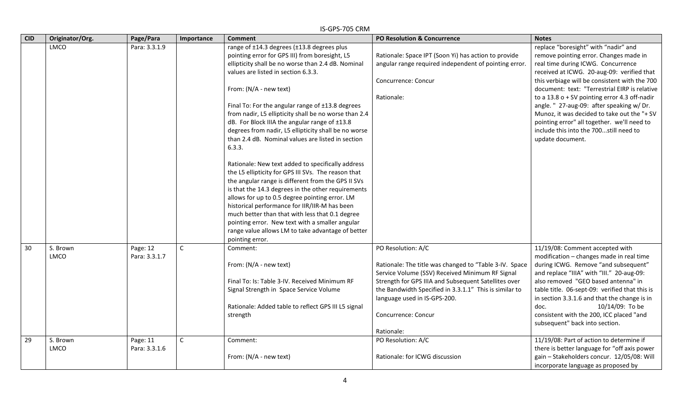| <b>CID</b> | Originator/Org. | Page/Para     | Importance   | <b>Comment</b>                                        | <b>PO Resolution &amp; Concurrence</b>                 | <b>Notes</b>                                    |
|------------|-----------------|---------------|--------------|-------------------------------------------------------|--------------------------------------------------------|-------------------------------------------------|
|            | LMCO            | Para: 3.3.1.9 |              | range of ±14.3 degrees (±13.8 degrees plus            |                                                        | replace "boresight" with "nadir" and            |
|            |                 |               |              | pointing error for GPS III) from boresight, L5        | Rationale: Space IPT (Soon Yi) has action to provide   | remove pointing error. Changes made in          |
|            |                 |               |              | ellipticity shall be no worse than 2.4 dB. Nominal    | angular range required independent of pointing error.  | real time during ICWG. Concurrence              |
|            |                 |               |              | values are listed in section 6.3.3.                   |                                                        | received at ICWG. 20-aug-09: verified that      |
|            |                 |               |              |                                                       | Concurrence: Concur                                    | this verbiage will be consistent with the 700   |
|            |                 |               |              | From: (N/A - new text)                                |                                                        | document: text: "Terrestrial EIRP is relative   |
|            |                 |               |              |                                                       | Rationale:                                             | to a $13.8$ o + SV pointing error 4.3 off-nadir |
|            |                 |               |              | Final To: For the angular range of ±13.8 degrees      |                                                        | angle. " 27-aug-09: after speaking w/ Dr.       |
|            |                 |               |              | from nadir, L5 ellipticity shall be no worse than 2.4 |                                                        | Munoz, it was decided to take out the "+ SV     |
|            |                 |               |              | dB. For Block IIIA the angular range of ±13.8         |                                                        | pointing error" all together. we'll need to     |
|            |                 |               |              | degrees from nadir, L5 ellipticity shall be no worse  |                                                        | include this into the 700still need to          |
|            |                 |               |              | than 2.4 dB. Nominal values are listed in section     |                                                        | update document.                                |
|            |                 |               |              | 6.3.3.                                                |                                                        |                                                 |
|            |                 |               |              | Rationale: New text added to specifically address     |                                                        |                                                 |
|            |                 |               |              | the L5 ellipticity for GPS III SVs. The reason that   |                                                        |                                                 |
|            |                 |               |              | the angular range is different from the GPS II SVs    |                                                        |                                                 |
|            |                 |               |              | is that the 14.3 degrees in the other requirements    |                                                        |                                                 |
|            |                 |               |              | allows for up to 0.5 degree pointing error. LM        |                                                        |                                                 |
|            |                 |               |              | historical performance for IIR/IIR-M has been         |                                                        |                                                 |
|            |                 |               |              | much better than that with less that 0.1 degree       |                                                        |                                                 |
|            |                 |               |              | pointing error. New text with a smaller angular       |                                                        |                                                 |
|            |                 |               |              | range value allows LM to take advantage of better     |                                                        |                                                 |
|            |                 |               |              | pointing error.                                       |                                                        |                                                 |
| 30         | S. Brown        | Page: 12      | C            | Comment:                                              | PO Resolution: A/C                                     | 11/19/08: Comment accepted with                 |
|            | <b>LMCO</b>     | Para: 3.3.1.7 |              |                                                       |                                                        | modification - changes made in real time        |
|            |                 |               |              | From: (N/A - new text)                                | Rationale: The title was changed to "Table 3-IV. Space | during ICWG. Remove "and subsequent"            |
|            |                 |               |              |                                                       | Service Volume (SSV) Received Minimum RF Signal        | and replace "IIIA" with "III." 20-aug-09:       |
|            |                 |               |              | Final To: Is: Table 3-IV. Received Minimum RF         | Strength for GPS IIIA and Subsequent Satellites over   | also removed "GEO based antenna" in             |
|            |                 |               |              | Signal Strength in Space Service Volume               | the Bandwidth Specified in 3.3.1.1" This is similar to | table title. 06-sept-09: verified that this is  |
|            |                 |               |              |                                                       | language used in IS-GPS-200.                           | in section 3.3.1.6 and that the change is in    |
|            |                 |               |              | Rationale: Added table to reflect GPS III L5 signal   |                                                        | 10/14/09: To be<br>doc.                         |
|            |                 |               |              | strength                                              | Concurrence: Concur                                    | consistent with the 200, ICC placed "and        |
|            |                 |               |              |                                                       |                                                        | subsequent" back into section.                  |
|            |                 |               |              |                                                       | Rationale:                                             |                                                 |
| 29         | S. Brown        | Page: 11      | $\mathsf{C}$ | Comment:                                              | PO Resolution: A/C                                     | 11/19/08: Part of action to determine if        |
|            | <b>LMCO</b>     | Para: 3.3.1.6 |              |                                                       |                                                        | there is better language for "off axis power    |
|            |                 |               |              | From: (N/A - new text)                                | Rationale: for ICWG discussion                         | gain - Stakeholders concur. 12/05/08: Will      |
|            |                 |               |              |                                                       |                                                        | incorporate language as proposed by             |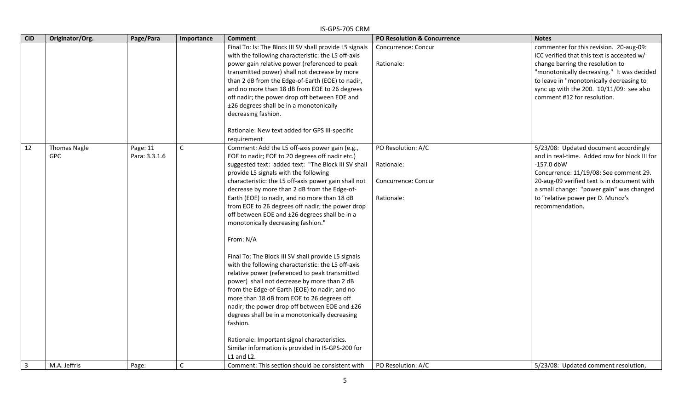|                | IS-GPS-705 CRM                    |                           |              |                                                                                                                                                                                                                                                                                                                                                                                                                                                                                                                                                                                                                                                                                                                                                                                                                                                                                                                                                                                                                                                                                 |                                                                       |                                                                                                                                                                                                                                                                                                     |  |  |  |
|----------------|-----------------------------------|---------------------------|--------------|---------------------------------------------------------------------------------------------------------------------------------------------------------------------------------------------------------------------------------------------------------------------------------------------------------------------------------------------------------------------------------------------------------------------------------------------------------------------------------------------------------------------------------------------------------------------------------------------------------------------------------------------------------------------------------------------------------------------------------------------------------------------------------------------------------------------------------------------------------------------------------------------------------------------------------------------------------------------------------------------------------------------------------------------------------------------------------|-----------------------------------------------------------------------|-----------------------------------------------------------------------------------------------------------------------------------------------------------------------------------------------------------------------------------------------------------------------------------------------------|--|--|--|
| <b>CID</b>     | Originator/Org.                   | Page/Para                 | Importance   | <b>Comment</b>                                                                                                                                                                                                                                                                                                                                                                                                                                                                                                                                                                                                                                                                                                                                                                                                                                                                                                                                                                                                                                                                  | <b>PO Resolution &amp; Concurrence</b>                                | <b>Notes</b>                                                                                                                                                                                                                                                                                        |  |  |  |
|                |                                   |                           |              | Final To: Is: The Block III SV shall provide L5 signals<br>with the following characteristic: the L5 off-axis<br>power gain relative power (referenced to peak<br>transmitted power) shall not decrease by more<br>than 2 dB from the Edge-of-Earth (EOE) to nadir,<br>and no more than 18 dB from EOE to 26 degrees<br>off nadir; the power drop off between EOE and<br>±26 degrees shall be in a monotonically<br>decreasing fashion.<br>Rationale: New text added for GPS III-specific                                                                                                                                                                                                                                                                                                                                                                                                                                                                                                                                                                                       | Concurrence: Concur<br>Rationale:                                     | commenter for this revision. 20-aug-09:<br>ICC verified that this text is accepted w/<br>change barring the resolution to<br>"monotonically decreasing." It was decided<br>to leave in "monotonically decreasing to<br>sync up with the 200. $10/11/09$ : see also<br>comment #12 for resolution.   |  |  |  |
| 12             | <b>Thomas Nagle</b><br><b>GPC</b> | Page: 11<br>Para: 3.3.1.6 | $\mathsf{C}$ | requirement<br>Comment: Add the L5 off-axis power gain (e.g.,<br>EOE to nadir; EOE to 20 degrees off nadir etc.)<br>suggested text: added text: "The Block III SV shall<br>provide L5 signals with the following<br>characteristic: the L5 off-axis power gain shall not<br>decrease by more than 2 dB from the Edge-of-<br>Earth (EOE) to nadir, and no more than 18 dB<br>from EOE to 26 degrees off nadir; the power drop<br>off between EOE and ±26 degrees shall be in a<br>monotonically decreasing fashion."<br>From: N/A<br>Final To: The Block III SV shall provide L5 signals<br>with the following characteristic: the L5 off-axis<br>relative power (referenced to peak transmitted<br>power) shall not decrease by more than 2 dB<br>from the Edge-of-Earth (EOE) to nadir, and no<br>more than 18 dB from EOE to 26 degrees off<br>nadir; the power drop off between EOE and ±26<br>degrees shall be in a monotonically decreasing<br>fashion.<br>Rationale: Important signal characteristics.<br>Similar information is provided in IS-GPS-200 for<br>L1 and L2. | PO Resolution: A/C<br>Rationale:<br>Concurrence: Concur<br>Rationale: | 5/23/08: Updated document accordingly<br>and in real-time. Added row for block III for<br>$-157.0$ dbW<br>Concurrence: 11/19/08: See comment 29.<br>20-aug-09 verified text is in document with<br>a small change: "power gain" was changed<br>to "relative power per D. Munoz's<br>recommendation. |  |  |  |
| $\overline{3}$ | M.A. Jeffris                      | Page:                     | $\mathsf{C}$ | Comment: This section should be consistent with                                                                                                                                                                                                                                                                                                                                                                                                                                                                                                                                                                                                                                                                                                                                                                                                                                                                                                                                                                                                                                 | PO Resolution: A/C                                                    | 5/23/08: Updated comment resolution,                                                                                                                                                                                                                                                                |  |  |  |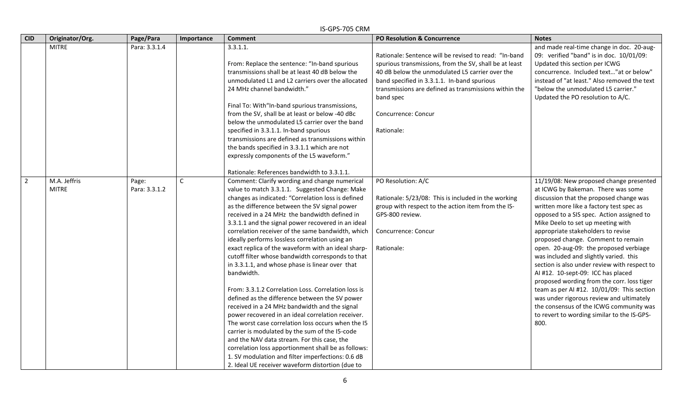|                | IS-GPS-705 CRM               |                        |              |                                                                                                                                                                                                                                                                                                                                                                                                                                                                                                                                                                                                                                                                                                                                                                                                                                                                                                                                                                                                                                                                                                                                        |                                                                                                                                                                                                                                                                                                                              |                                                                                                                                                                                                                                                                                                                                                                                                                                                                                                                                                                                                                                                                                                                                                        |  |  |
|----------------|------------------------------|------------------------|--------------|----------------------------------------------------------------------------------------------------------------------------------------------------------------------------------------------------------------------------------------------------------------------------------------------------------------------------------------------------------------------------------------------------------------------------------------------------------------------------------------------------------------------------------------------------------------------------------------------------------------------------------------------------------------------------------------------------------------------------------------------------------------------------------------------------------------------------------------------------------------------------------------------------------------------------------------------------------------------------------------------------------------------------------------------------------------------------------------------------------------------------------------|------------------------------------------------------------------------------------------------------------------------------------------------------------------------------------------------------------------------------------------------------------------------------------------------------------------------------|--------------------------------------------------------------------------------------------------------------------------------------------------------------------------------------------------------------------------------------------------------------------------------------------------------------------------------------------------------------------------------------------------------------------------------------------------------------------------------------------------------------------------------------------------------------------------------------------------------------------------------------------------------------------------------------------------------------------------------------------------------|--|--|
| <b>CID</b>     | Originator/Org.              | Page/Para              | Importance   | <b>Comment</b>                                                                                                                                                                                                                                                                                                                                                                                                                                                                                                                                                                                                                                                                                                                                                                                                                                                                                                                                                                                                                                                                                                                         | PO Resolution & Concurrence                                                                                                                                                                                                                                                                                                  | <b>Notes</b>                                                                                                                                                                                                                                                                                                                                                                                                                                                                                                                                                                                                                                                                                                                                           |  |  |
|                | <b>MITRE</b>                 | Para: 3.3.1.4          |              | 3.3.1.1.<br>From: Replace the sentence: "In-band spurious<br>transmissions shall be at least 40 dB below the<br>unmodulated L1 and L2 carriers over the allocated<br>24 MHz channel bandwidth."<br>Final To: With"In-band spurious transmissions,<br>from the SV, shall be at least or below -40 dBc<br>below the unmodulated L5 carrier over the band<br>specified in 3.3.1.1. In-band spurious<br>transmissions are defined as transmissions within<br>the bands specified in 3.3.1.1 which are not<br>expressly components of the L5 waveform."<br>Rationale: References bandwidth to 3.3.1.1.                                                                                                                                                                                                                                                                                                                                                                                                                                                                                                                                      | Rationale: Sentence will be revised to read: "In-band<br>spurious transmissions, from the SV, shall be at least<br>40 dB below the unmodulated L5 carrier over the<br>band specified in 3.3.1.1. In-band spurious<br>transmissions are defined as transmissions within the<br>band spec<br>Concurrence: Concur<br>Rationale: | and made real-time change in doc. 20-aug-<br>09: verified "band" is in doc. 10/01/09:<br>Updated this section per ICWG<br>concurrence. Included text"at or below"<br>instead of "at least." Also removed the text<br>"below the unmodulated L5 carrier."<br>Updated the PO resolution to A/C.                                                                                                                                                                                                                                                                                                                                                                                                                                                          |  |  |
| $\overline{2}$ | M.A. Jeffris<br><b>MITRE</b> | Page:<br>Para: 3.3.1.2 | $\mathsf{C}$ | Comment: Clarify wording and change numerical<br>value to match 3.3.1.1. Suggested Change: Make<br>changes as indicated: "Correlation loss is defined<br>as the difference between the SV signal power<br>received in a 24 MHz the bandwidth defined in<br>3.3.1.1 and the signal power recovered in an ideal<br>correlation receiver of the same bandwidth, which<br>ideally performs lossless correlation using an<br>exact replica of the waveform with an ideal sharp-<br>cutoff filter whose bandwidth corresponds to that<br>in 3.3.1.1, and whose phase is linear over that<br>bandwidth.<br>From: 3.3.1.2 Correlation Loss. Correlation loss is<br>defined as the difference between the SV power<br>received in a 24 MHz bandwidth and the signal<br>power recovered in an ideal correlation receiver.<br>The worst case correlation loss occurs when the I5<br>carrier is modulated by the sum of the I5-code<br>and the NAV data stream. For this case, the<br>correlation loss apportionment shall be as follows:<br>1. SV modulation and filter imperfections: 0.6 dB<br>2. Ideal UE receiver waveform distortion (due to | PO Resolution: A/C<br>Rationale: 5/23/08: This is included in the working<br>group with respect to the action item from the IS-<br>GPS-800 review.<br>Concurrence: Concur<br>Rationale:                                                                                                                                      | 11/19/08: New proposed change presented<br>at ICWG by Bakeman. There was some<br>discussion that the proposed change was<br>written more like a factory test spec as<br>opposed to a SIS spec. Action assigned to<br>Mike Deelo to set up meeting with<br>appropriate stakeholders to revise<br>proposed change. Comment to remain<br>open. 20-aug-09: the proposed verbiage<br>was included and slightly varied. this<br>section is also under review with respect to<br>Al #12. 10-sept-09: ICC has placed<br>proposed wording from the corr. loss tiger<br>team as per AI #12. 10/01/09: This section<br>was under rigorous review and ultimately<br>the consensus of the ICWG community was<br>to revert to wording similar to the IS-GPS-<br>800. |  |  |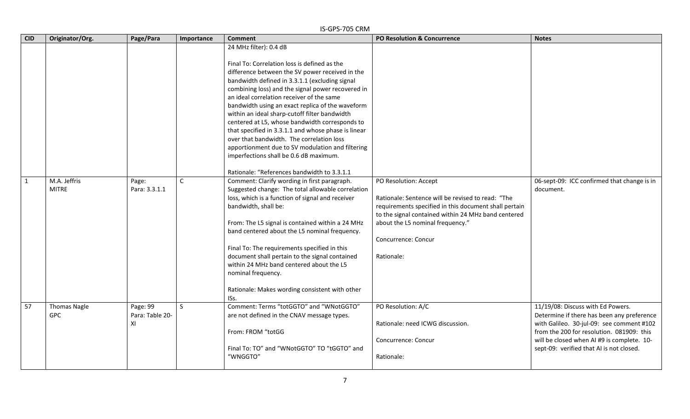|              | IS-GPS-705 CRM                    |                                   |              |                                                                                                                                                                                                                                                                                                                                                                                                                                                                                                                                                                                                                                                                                       |                                                                                                                                                                                                                                                                     |                                                                                                                                                                                                                                                                     |  |  |  |
|--------------|-----------------------------------|-----------------------------------|--------------|---------------------------------------------------------------------------------------------------------------------------------------------------------------------------------------------------------------------------------------------------------------------------------------------------------------------------------------------------------------------------------------------------------------------------------------------------------------------------------------------------------------------------------------------------------------------------------------------------------------------------------------------------------------------------------------|---------------------------------------------------------------------------------------------------------------------------------------------------------------------------------------------------------------------------------------------------------------------|---------------------------------------------------------------------------------------------------------------------------------------------------------------------------------------------------------------------------------------------------------------------|--|--|--|
| <b>CID</b>   | Originator/Org.                   | Page/Para                         | Importance   | <b>Comment</b>                                                                                                                                                                                                                                                                                                                                                                                                                                                                                                                                                                                                                                                                        | <b>PO Resolution &amp; Concurrence</b>                                                                                                                                                                                                                              | <b>Notes</b>                                                                                                                                                                                                                                                        |  |  |  |
|              |                                   |                                   |              | 24 MHz filter): 0.4 dB<br>Final To: Correlation loss is defined as the<br>difference between the SV power received in the<br>bandwidth defined in 3.3.1.1 (excluding signal<br>combining loss) and the signal power recovered in<br>an ideal correlation receiver of the same<br>bandwidth using an exact replica of the waveform<br>within an ideal sharp-cutoff filter bandwidth<br>centered at L5, whose bandwidth corresponds to<br>that specified in 3.3.1.1 and whose phase is linear<br>over that bandwidth. The correlation loss<br>apportionment due to SV modulation and filtering<br>imperfections shall be 0.6 dB maximum.<br>Rationale: "References bandwidth to 3.3.1.1 |                                                                                                                                                                                                                                                                     |                                                                                                                                                                                                                                                                     |  |  |  |
| $\mathbf{1}$ | M.A. Jeffris<br><b>MITRE</b>      | Page:<br>Para: 3.3.1.1            | $\mathsf{C}$ | Comment: Clarify wording in first paragraph.<br>Suggested change: The total allowable correlation<br>loss, which is a function of signal and receiver<br>bandwidth, shall be:<br>From: The L5 signal is contained within a 24 MHz<br>band centered about the L5 nominal frequency.<br>Final To: The requirements specified in this<br>document shall pertain to the signal contained<br>within 24 MHz band centered about the L5<br>nominal frequency.<br>Rationale: Makes wording consistent with other<br>ISs.                                                                                                                                                                      | PO Resolution: Accept<br>Rationale: Sentence will be revised to read: "The<br>requirements specified in this document shall pertain<br>to the signal contained within 24 MHz band centered<br>about the L5 nominal frequency."<br>Concurrence: Concur<br>Rationale: | 06-sept-09: ICC confirmed that change is in<br>document.                                                                                                                                                                                                            |  |  |  |
| 57           | <b>Thomas Nagle</b><br><b>GPC</b> | Page: 99<br>Para: Table 20-<br>XI | $\mathsf{S}$ | Comment: Terms "totGGTO" and "WNotGGTO"<br>are not defined in the CNAV message types.<br>From: FROM "totGG<br>Final To: TO" and "WNotGGTO" TO "tGGTO" and<br>"WNGGTO"                                                                                                                                                                                                                                                                                                                                                                                                                                                                                                                 | PO Resolution: A/C<br>Rationale: need ICWG discussion.<br>Concurrence: Concur<br>Rationale:                                                                                                                                                                         | 11/19/08: Discuss with Ed Powers.<br>Determine if there has been any preference<br>with Galileo. 30-jul-09: see comment #102<br>from the 200 for resolution. 081909: this<br>will be closed when AI #9 is complete. 10-<br>sept-09: verified that AI is not closed. |  |  |  |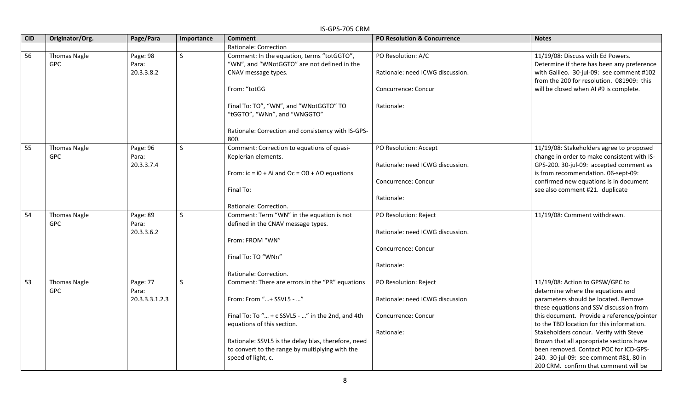| <b>CID</b> | Originator/Org.                   | Page/Para                       | Importance   | <b>Comment</b>                                                                                                                                         | <b>PO Resolution &amp; Concurrence</b>                    | <b>Notes</b>                                                                                                                                                              |
|------------|-----------------------------------|---------------------------------|--------------|--------------------------------------------------------------------------------------------------------------------------------------------------------|-----------------------------------------------------------|---------------------------------------------------------------------------------------------------------------------------------------------------------------------------|
|            |                                   |                                 |              | Rationale: Correction                                                                                                                                  |                                                           |                                                                                                                                                                           |
| 56         | <b>Thomas Nagle</b><br><b>GPC</b> | Page: 98<br>Para:<br>20.3.3.8.2 | $\mathsf{S}$ | Comment: In the equation, terms "totGGTO",<br>"WN", and "WNotGGTO" are not defined in the<br>CNAV message types.                                       | PO Resolution: A/C<br>Rationale: need ICWG discussion.    | 11/19/08: Discuss with Ed Powers.<br>Determine if there has been any preference<br>with Galileo. 30-jul-09: see comment #102<br>from the 200 for resolution. 081909: this |
|            |                                   |                                 |              | From: "totGG<br>Final To: TO", "WN", and "WNotGGTO" TO<br>"tGGTO", "WNn", and "WNGGTO"<br>Rationale: Correction and consistency with IS-GPS-           | Concurrence: Concur<br>Rationale:                         | will be closed when AI #9 is complete.                                                                                                                                    |
|            |                                   |                                 |              | 800.                                                                                                                                                   |                                                           |                                                                                                                                                                           |
| 55         | <b>Thomas Nagle</b><br><b>GPC</b> | Page: 96<br>Para:<br>20.3.3.7.4 | S            | Comment: Correction to equations of quasi-<br>Keplerian elements.<br>From: ic = i0 + $\Delta$ i and $\Omega$ c = $\Omega$ 0 + $\Delta\Omega$ equations | PO Resolution: Accept<br>Rationale: need ICWG discussion. | 11/19/08: Stakeholders agree to proposed<br>change in order to make consistent with IS-<br>GPS-200. 30-jul-09: accepted comment as<br>is from recommendation. 06-sept-09: |
|            |                                   |                                 |              | Final To:<br>Rationale: Correction.                                                                                                                    | Concurrence: Concur<br>Rationale:                         | confirmed new equations is in document<br>see also comment #21. duplicate                                                                                                 |
| 54         | <b>Thomas Nagle</b>               | Page: 89                        | <sub>S</sub> | Comment: Term "WN" in the equation is not                                                                                                              | PO Resolution: Reject                                     | 11/19/08: Comment withdrawn.                                                                                                                                              |
|            | <b>GPC</b>                        | Para:                           |              | defined in the CNAV message types.                                                                                                                     |                                                           |                                                                                                                                                                           |
|            |                                   | 20.3.3.6.2                      |              |                                                                                                                                                        | Rationale: need ICWG discussion.                          |                                                                                                                                                                           |
|            |                                   |                                 |              | From: FROM "WN"                                                                                                                                        |                                                           |                                                                                                                                                                           |
|            |                                   |                                 |              | Final To: TO "WNn"                                                                                                                                     | Concurrence: Concur                                       |                                                                                                                                                                           |
|            |                                   |                                 |              | Rationale: Correction.                                                                                                                                 | Rationale:                                                |                                                                                                                                                                           |
| 53         | <b>Thomas Nagle</b><br><b>GPC</b> | Page: 77<br>Para:               | $\mathsf{S}$ | Comment: There are errors in the "PR" equations                                                                                                        | PO Resolution: Reject                                     | 11/19/08: Action to GPSW/GPC to<br>determine where the equations and                                                                                                      |
|            |                                   | 20.3.3.3.1.2.3                  |              | From: From "+ SSVL5 - "                                                                                                                                | Rationale: need ICWG discussion                           | parameters should be located. Remove<br>these equations and SSV discussion from                                                                                           |
|            |                                   |                                 |              | Final To: To " + c SSVL5 - " in the 2nd, and 4th<br>equations of this section.                                                                         | Concurrence: Concur                                       | this document. Provide a reference/pointer<br>to the TBD location for this information.                                                                                   |
|            |                                   |                                 |              |                                                                                                                                                        | Rationale:                                                | Stakeholders concur. Verify with Steve                                                                                                                                    |
|            |                                   |                                 |              | Rationale: SSVL5 is the delay bias, therefore, need                                                                                                    |                                                           | Brown that all appropriate sections have                                                                                                                                  |
|            |                                   |                                 |              | to convert to the range by multiplying with the                                                                                                        |                                                           | been removed. Contact POC for ICD-GPS-                                                                                                                                    |
|            |                                   |                                 |              | speed of light, c.                                                                                                                                     |                                                           | 240. 30-jul-09: see comment #81, 80 in                                                                                                                                    |
|            |                                   |                                 |              |                                                                                                                                                        |                                                           | 200 CRM. confirm that comment will be                                                                                                                                     |

### IS-GPS-705 CRM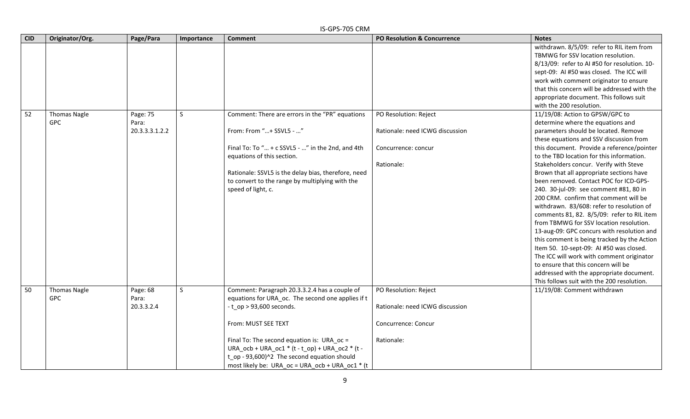|            | IS-GPS-705 CRM                    |                                     |              |                                                                                                                                                                                                                                                                                                                                                                  |                                                                                               |                                                                                                                                                                                                                                                                                                                                                                                                                                                                                                                                                                                                                                                                                                                                                                                                                                                                                                                                                                                                                                                                                                                                                                                                                                                                                   |  |  |  |
|------------|-----------------------------------|-------------------------------------|--------------|------------------------------------------------------------------------------------------------------------------------------------------------------------------------------------------------------------------------------------------------------------------------------------------------------------------------------------------------------------------|-----------------------------------------------------------------------------------------------|-----------------------------------------------------------------------------------------------------------------------------------------------------------------------------------------------------------------------------------------------------------------------------------------------------------------------------------------------------------------------------------------------------------------------------------------------------------------------------------------------------------------------------------------------------------------------------------------------------------------------------------------------------------------------------------------------------------------------------------------------------------------------------------------------------------------------------------------------------------------------------------------------------------------------------------------------------------------------------------------------------------------------------------------------------------------------------------------------------------------------------------------------------------------------------------------------------------------------------------------------------------------------------------|--|--|--|
| <b>CID</b> | Originator/Org.                   | Page/Para                           | Importance   | <b>Comment</b>                                                                                                                                                                                                                                                                                                                                                   | <b>PO Resolution &amp; Concurrence</b>                                                        | <b>Notes</b>                                                                                                                                                                                                                                                                                                                                                                                                                                                                                                                                                                                                                                                                                                                                                                                                                                                                                                                                                                                                                                                                                                                                                                                                                                                                      |  |  |  |
| 52         | <b>Thomas Nagle</b><br><b>GPC</b> | Page: 75<br>Para:<br>20.3.3.3.1.2.2 | $\mathsf{S}$ | Comment: There are errors in the "PR" equations<br>From: From "+ SSVL5 - "<br>Final To: To " + c SSVL5 - " in the 2nd, and 4th<br>equations of this section.<br>Rationale: SSVL5 is the delay bias, therefore, need<br>to convert to the range by multiplying with the<br>speed of light, c.                                                                     | PO Resolution: Reject<br>Rationale: need ICWG discussion<br>Concurrence: concur<br>Rationale: | withdrawn. 8/5/09: refer to RIL item from<br>TBMWG for SSV location resolution.<br>8/13/09: refer to AI #50 for resolution. 10-<br>sept-09: AI #50 was closed. The ICC will<br>work with comment originator to ensure<br>that this concern will be addressed with the<br>appropriate document. This follows suit<br>with the 200 resolution.<br>11/19/08: Action to GPSW/GPC to<br>determine where the equations and<br>parameters should be located. Remove<br>these equations and SSV discussion from<br>this document. Provide a reference/pointer<br>to the TBD location for this information.<br>Stakeholders concur. Verify with Steve<br>Brown that all appropriate sections have<br>been removed. Contact POC for ICD-GPS-<br>240. 30-jul-09: see comment #81, 80 in<br>200 CRM. confirm that comment will be<br>withdrawn. 83/608: refer to resolution of<br>comments 81, 82. 8/5/09: refer to RIL item<br>from TBMWG for SSV location resolution.<br>13-aug-09: GPC concurs with resolution and<br>this comment is being tracked by the Action<br>Item 50. 10-sept-09: AI #50 was closed.<br>The ICC will work with comment originator<br>to ensure that this concern will be<br>addressed with the appropriate document.<br>This follows suit with the 200 resolution. |  |  |  |
| 50         | <b>Thomas Nagle</b><br><b>GPC</b> | Page: 68<br>Para:<br>20.3.3.2.4     | S            | Comment: Paragraph 20.3.3.2.4 has a couple of<br>equations for URA_oc. The second one applies if t<br>$-t$ _op > 93,600 seconds.<br>From: MUST SEE TEXT<br>Final To: The second equation is: URA_oc =<br>URA_ocb + URA_oc1 * (t - t_op) + URA_oc2 * (t -<br>t_op - 93,600)^2 The second equation should<br>most likely be: URA $oc = URA$ $ocb + URA$ $oc1 * (t$ | PO Resolution: Reject<br>Rationale: need ICWG discussion<br>Concurrence: Concur<br>Rationale: | 11/19/08: Comment withdrawn                                                                                                                                                                                                                                                                                                                                                                                                                                                                                                                                                                                                                                                                                                                                                                                                                                                                                                                                                                                                                                                                                                                                                                                                                                                       |  |  |  |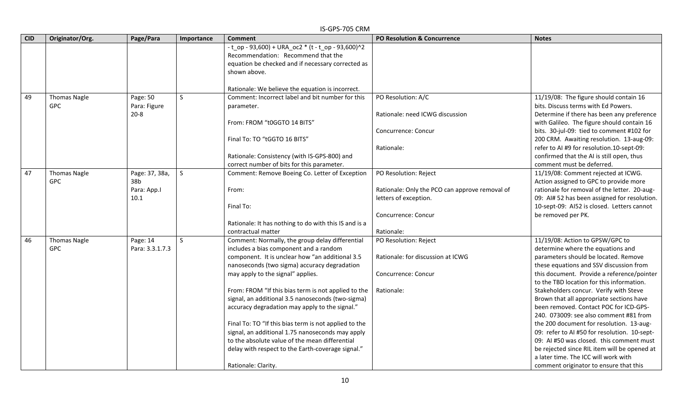|            | IS-GPS-705 CRM                    |                                      |              |                                                                                                                                                               |                                                                         |                                                                                                                             |  |  |  |
|------------|-----------------------------------|--------------------------------------|--------------|---------------------------------------------------------------------------------------------------------------------------------------------------------------|-------------------------------------------------------------------------|-----------------------------------------------------------------------------------------------------------------------------|--|--|--|
| <b>CID</b> | Originator/Org.                   | Page/Para                            | Importance   | <b>Comment</b>                                                                                                                                                | PO Resolution & Concurrence                                             | <b>Notes</b>                                                                                                                |  |  |  |
|            |                                   |                                      |              | - t_op - 93,600) + URA_oc2 * (t - t_op - 93,600)^2<br>Recommendation: Recommend that the<br>equation be checked and if necessary corrected as<br>shown above. |                                                                         |                                                                                                                             |  |  |  |
|            |                                   |                                      |              | Rationale: We believe the equation is incorrect.                                                                                                              |                                                                         |                                                                                                                             |  |  |  |
| 49         | <b>Thomas Nagle</b><br><b>GPC</b> | Page: 50<br>Para: Figure<br>$20 - 8$ | $\mathsf{S}$ | Comment: Incorrect label and bit number for this<br>parameter.                                                                                                | PO Resolution: A/C<br>Rationale: need ICWG discussion                   | 11/19/08: The figure should contain 16<br>bits. Discuss terms with Ed Powers.<br>Determine if there has been any preference |  |  |  |
|            |                                   |                                      |              | From: FROM "t0GGTO 14 BITS"                                                                                                                                   | Concurrence: Concur                                                     | with Galileo. The figure should contain 16<br>bits. 30-jul-09: tied to comment #102 for                                     |  |  |  |
|            |                                   |                                      |              | Final To: TO "tGGTO 16 BITS"                                                                                                                                  | Rationale:                                                              | 200 CRM. Awaiting resolution. 13-aug-09:<br>refer to AI #9 for resolution.10-sept-09:                                       |  |  |  |
|            |                                   |                                      |              | Rationale: Consistency (with IS-GPS-800) and<br>correct number of bits for this parameter.                                                                    |                                                                         | confirmed that the AI is still open, thus<br>comment must be deferred.                                                      |  |  |  |
| 47         | <b>Thomas Nagle</b><br><b>GPC</b> | Page: 37, 38a,<br>38b                | S            | Comment: Remove Boeing Co. Letter of Exception                                                                                                                | PO Resolution: Reject                                                   | 11/19/08: Comment rejected at ICWG.<br>Action assigned to GPC to provide more                                               |  |  |  |
|            |                                   | Para: App.I<br>10.1                  |              | From:                                                                                                                                                         | Rationale: Only the PCO can approve removal of<br>letters of exception. | rationale for removal of the letter. 20-aug-<br>09: Al# 52 has been assigned for resolution.                                |  |  |  |
|            |                                   |                                      |              | Final To:                                                                                                                                                     | Concurrence: Concur                                                     | 10-sept-09: AI52 is closed. Letters cannot<br>be removed per PK.                                                            |  |  |  |
|            |                                   |                                      |              | Rationale: It has nothing to do with this IS and is a<br>contractual matter                                                                                   | Rationale:                                                              |                                                                                                                             |  |  |  |
| 46         | <b>Thomas Nagle</b><br><b>GPC</b> | Page: 14<br>Para: 3.3.1.7.3          | <sub>S</sub> | Comment: Normally, the group delay differential<br>includes a bias component and a random                                                                     | PO Resolution: Reject                                                   | 11/19/08: Action to GPSW/GPC to<br>determine where the equations and                                                        |  |  |  |
|            |                                   |                                      |              | component. It is unclear how "an additional 3.5<br>nanoseconds (two sigma) accuracy degradation                                                               | Rationale: for discussion at ICWG                                       | parameters should be located. Remove<br>these equations and SSV discussion from                                             |  |  |  |
|            |                                   |                                      |              | may apply to the signal" applies.                                                                                                                             | Concurrence: Concur                                                     | this document. Provide a reference/pointer<br>to the TBD location for this information.                                     |  |  |  |
|            |                                   |                                      |              | From: FROM "If this bias term is not applied to the                                                                                                           | Rationale:                                                              | Stakeholders concur. Verify with Steve                                                                                      |  |  |  |
|            |                                   |                                      |              | signal, an additional 3.5 nanoseconds (two-sigma)<br>accuracy degradation may apply to the signal."                                                           |                                                                         | Brown that all appropriate sections have<br>been removed. Contact POC for ICD-GPS-                                          |  |  |  |
|            |                                   |                                      |              | Final To: TO "If this bias term is not applied to the                                                                                                         |                                                                         | 240. 073009: see also comment #81 from<br>the 200 document for resolution. 13-aug-                                          |  |  |  |
|            |                                   |                                      |              | signal, an additional 1.75 nanoseconds may apply                                                                                                              |                                                                         | 09: refer to AI #50 for resolution. 10-sept-                                                                                |  |  |  |
|            |                                   |                                      |              | to the absolute value of the mean differential<br>delay with respect to the Earth-coverage signal."                                                           |                                                                         | 09: AI #50 was closed. this comment must<br>be rejected since RIL item will be opened at                                    |  |  |  |
|            |                                   |                                      |              |                                                                                                                                                               |                                                                         | a later time. The ICC will work with                                                                                        |  |  |  |
|            |                                   |                                      |              | Rationale: Clarity.                                                                                                                                           |                                                                         | comment originator to ensure that this                                                                                      |  |  |  |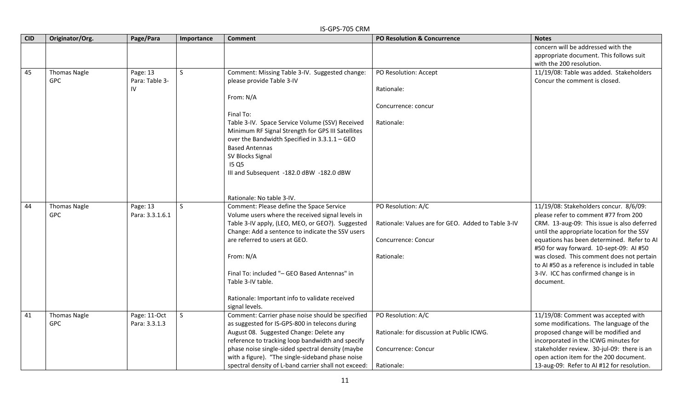|            | IS-GPS-705 CRM                    |                                  |              |                                                                                                                                                                                                                                                                                                                                                                                                      |                                                                                                               |                                                                                                                                                                                                                                                                                                                                                                                                                         |  |  |  |
|------------|-----------------------------------|----------------------------------|--------------|------------------------------------------------------------------------------------------------------------------------------------------------------------------------------------------------------------------------------------------------------------------------------------------------------------------------------------------------------------------------------------------------------|---------------------------------------------------------------------------------------------------------------|-------------------------------------------------------------------------------------------------------------------------------------------------------------------------------------------------------------------------------------------------------------------------------------------------------------------------------------------------------------------------------------------------------------------------|--|--|--|
| <b>CID</b> | Originator/Org.                   | Page/Para                        | Importance   | <b>Comment</b>                                                                                                                                                                                                                                                                                                                                                                                       | <b>PO Resolution &amp; Concurrence</b>                                                                        | <b>Notes</b>                                                                                                                                                                                                                                                                                                                                                                                                            |  |  |  |
|            |                                   |                                  |              |                                                                                                                                                                                                                                                                                                                                                                                                      |                                                                                                               | concern will be addressed with the<br>appropriate document. This follows suit<br>with the 200 resolution.                                                                                                                                                                                                                                                                                                               |  |  |  |
| 45         | <b>Thomas Nagle</b><br><b>GPC</b> | Page: 13<br>Para: Table 3-<br>IV | <sub>S</sub> | Comment: Missing Table 3-IV. Suggested change:<br>please provide Table 3-IV<br>From: N/A<br>Final To:<br>Table 3-IV. Space Service Volume (SSV) Received<br>Minimum RF Signal Strength for GPS III Satellites<br>over the Bandwidth Specified in 3.3.1.1 - GEO<br><b>Based Antennas</b><br>SV Blocks Signal<br><b>I5 Q5</b><br>III and Subsequent -182.0 dBW -182.0 dBW<br>Rationale: No table 3-IV. | PO Resolution: Accept<br>Rationale:<br>Concurrence: concur<br>Rationale:                                      | 11/19/08: Table was added. Stakeholders<br>Concur the comment is closed.                                                                                                                                                                                                                                                                                                                                                |  |  |  |
| 44         | <b>Thomas Nagle</b><br><b>GPC</b> | Page: 13<br>Para: 3.3.1.6.1      | <sub>S</sub> | Comment: Please define the Space Service<br>Volume users where the received signal levels in<br>Table 3-IV apply, (LEO, MEO, or GEO?). Suggested<br>Change: Add a sentence to indicate the SSV users<br>are referred to users at GEO.<br>From: N/A<br>Final To: included "- GEO Based Antennas" in<br>Table 3-IV table.<br>Rationale: Important info to validate received<br>signal levels.          | PO Resolution: A/C<br>Rationale: Values are for GEO. Added to Table 3-IV<br>Concurrence: Concur<br>Rationale: | 11/19/08: Stakeholders concur. 8/6/09:<br>please refer to comment #77 from 200<br>CRM. 13-aug-09: This issue is also deferred<br>until the appropriate location for the SSV<br>equations has been determined. Refer to AI<br>#50 for way forward. 10-sept-09: AI #50<br>was closed. This comment does not pertain<br>to AI #50 as a reference is included in table<br>3-IV. ICC has confirmed change is in<br>document. |  |  |  |
| 41         | <b>Thomas Nagle</b><br><b>GPC</b> | Page: 11-Oct<br>Para: 3.3.1.3    | <sub>S</sub> | Comment: Carrier phase noise should be specified<br>as suggested for IS-GPS-800 in telecons during<br>August 08. Suggested Change: Delete any<br>reference to tracking loop bandwidth and specify<br>phase noise single-sided spectral density (maybe<br>with a figure). "The single-sideband phase noise<br>spectral density of L-band carrier shall not exceed:                                    | PO Resolution: A/C<br>Rationale: for discussion at Public ICWG.<br>Concurrence: Concur<br>Rationale:          | 11/19/08: Comment was accepted with<br>some modifications. The language of the<br>proposed change will be modified and<br>incorporated in the ICWG minutes for<br>stakeholder review. 30-jul-09: there is an<br>open action item for the 200 document.<br>13-aug-09: Refer to AI #12 for resolution.                                                                                                                    |  |  |  |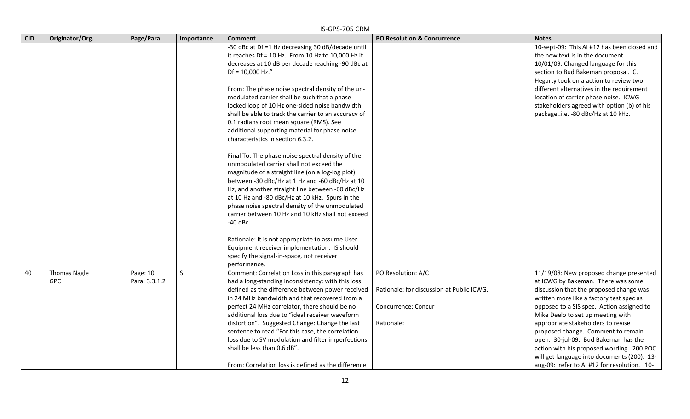|            | IS-GPS-705 CRM      |               |            |                                                      |                                           |                                             |  |  |  |
|------------|---------------------|---------------|------------|------------------------------------------------------|-------------------------------------------|---------------------------------------------|--|--|--|
| <b>CID</b> | Originator/Org.     | Page/Para     | Importance | <b>Comment</b>                                       | <b>PO Resolution &amp; Concurrence</b>    | <b>Notes</b>                                |  |  |  |
|            |                     |               |            | -30 dBc at Df =1 Hz decreasing 30 dB/decade until    |                                           | 10-sept-09: This AI #12 has been closed and |  |  |  |
|            |                     |               |            | it reaches $Df = 10$ Hz. From 10 Hz to 10,000 Hz it  |                                           | the new text is in the document.            |  |  |  |
|            |                     |               |            | decreases at 10 dB per decade reaching -90 dBc at    |                                           | 10/01/09: Changed language for this         |  |  |  |
|            |                     |               |            | $Df = 10,000$ Hz."                                   |                                           | section to Bud Bakeman proposal. C.         |  |  |  |
|            |                     |               |            |                                                      |                                           | Hegarty took on a action to review two      |  |  |  |
|            |                     |               |            | From: The phase noise spectral density of the un-    |                                           | different alternatives in the requirement   |  |  |  |
|            |                     |               |            | modulated carrier shall be such that a phase         |                                           | location of carrier phase noise. ICWG       |  |  |  |
|            |                     |               |            | locked loop of 10 Hz one-sided noise bandwidth       |                                           | stakeholders agreed with option (b) of his  |  |  |  |
|            |                     |               |            | shall be able to track the carrier to an accuracy of |                                           | packagei.e. -80 dBc/Hz at 10 kHz.           |  |  |  |
|            |                     |               |            | 0.1 radians root mean square (RMS). See              |                                           |                                             |  |  |  |
|            |                     |               |            | additional supporting material for phase noise       |                                           |                                             |  |  |  |
|            |                     |               |            | characteristics in section 6.3.2.                    |                                           |                                             |  |  |  |
|            |                     |               |            | Final To: The phase noise spectral density of the    |                                           |                                             |  |  |  |
|            |                     |               |            | unmodulated carrier shall not exceed the             |                                           |                                             |  |  |  |
|            |                     |               |            | magnitude of a straight line (on a log-log plot)     |                                           |                                             |  |  |  |
|            |                     |               |            | between -30 dBc/Hz at 1 Hz and -60 dBc/Hz at 10      |                                           |                                             |  |  |  |
|            |                     |               |            | Hz, and another straight line between -60 dBc/Hz     |                                           |                                             |  |  |  |
|            |                     |               |            | at 10 Hz and -80 dBc/Hz at 10 kHz. Spurs in the      |                                           |                                             |  |  |  |
|            |                     |               |            | phase noise spectral density of the unmodulated      |                                           |                                             |  |  |  |
|            |                     |               |            | carrier between 10 Hz and 10 kHz shall not exceed    |                                           |                                             |  |  |  |
|            |                     |               |            | $-40$ dBc.                                           |                                           |                                             |  |  |  |
|            |                     |               |            | Rationale: It is not appropriate to assume User      |                                           |                                             |  |  |  |
|            |                     |               |            | Equipment receiver implementation. IS should         |                                           |                                             |  |  |  |
|            |                     |               |            | specify the signal-in-space, not receiver            |                                           |                                             |  |  |  |
|            |                     |               |            | performance.                                         |                                           |                                             |  |  |  |
| 40         | <b>Thomas Nagle</b> | Page: 10      | S.         | Comment: Correlation Loss in this paragraph has      | PO Resolution: A/C                        | 11/19/08: New proposed change presented     |  |  |  |
|            | <b>GPC</b>          | Para: 3.3.1.2 |            | had a long-standing inconsistency: with this loss    |                                           | at ICWG by Bakeman. There was some          |  |  |  |
|            |                     |               |            | defined as the difference between power received     | Rationale: for discussion at Public ICWG. | discussion that the proposed change was     |  |  |  |
|            |                     |               |            | in 24 MHz bandwidth and that recovered from a        |                                           | written more like a factory test spec as    |  |  |  |
|            |                     |               |            | perfect 24 MHz correlator, there should be no        | Concurrence: Concur                       | opposed to a SIS spec. Action assigned to   |  |  |  |
|            |                     |               |            | additional loss due to "ideal receiver waveform      |                                           | Mike Deelo to set up meeting with           |  |  |  |
|            |                     |               |            | distortion". Suggested Change: Change the last       | Rationale:                                | appropriate stakeholders to revise          |  |  |  |
|            |                     |               |            | sentence to read "For this case, the correlation     |                                           | proposed change. Comment to remain          |  |  |  |
|            |                     |               |            | loss due to SV modulation and filter imperfections   |                                           | open. 30-jul-09: Bud Bakeman has the        |  |  |  |
|            |                     |               |            | shall be less than 0.6 dB".                          |                                           | action with his proposed wording. 200 POC   |  |  |  |
|            |                     |               |            |                                                      |                                           | will get language into documents (200). 13- |  |  |  |
|            |                     |               |            | From: Correlation loss is defined as the difference  |                                           | aug-09: refer to AI #12 for resolution. 10- |  |  |  |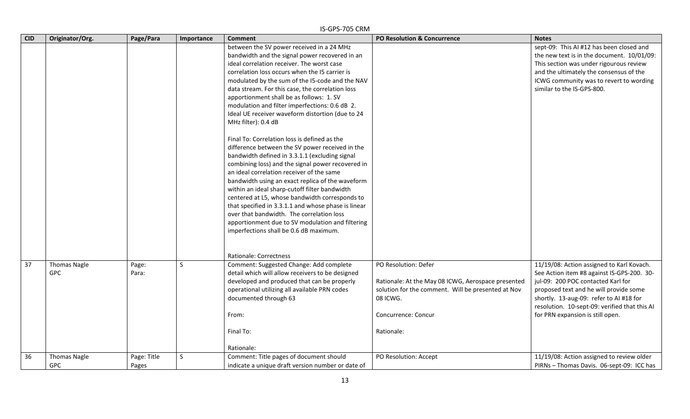|            | IS-GPS-705 CRM                    |                      |            |                                                                                                                                                                                                                                                                                                                                                                                                                                                                                                                                                                                                                                                                                       |                                                                                                                                                                                   |                                                                                                                                                                                                                                                                                                         |  |  |  |
|------------|-----------------------------------|----------------------|------------|---------------------------------------------------------------------------------------------------------------------------------------------------------------------------------------------------------------------------------------------------------------------------------------------------------------------------------------------------------------------------------------------------------------------------------------------------------------------------------------------------------------------------------------------------------------------------------------------------------------------------------------------------------------------------------------|-----------------------------------------------------------------------------------------------------------------------------------------------------------------------------------|---------------------------------------------------------------------------------------------------------------------------------------------------------------------------------------------------------------------------------------------------------------------------------------------------------|--|--|--|
| <b>CID</b> | Originator/Org.                   | Page/Para            | Importance | <b>Comment</b>                                                                                                                                                                                                                                                                                                                                                                                                                                                                                                                                                                                                                                                                        | PO Resolution & Concurrence                                                                                                                                                       | <b>Notes</b>                                                                                                                                                                                                                                                                                            |  |  |  |
|            |                                   |                      |            | between the SV power received in a 24 MHz<br>bandwidth and the signal power recovered in an<br>ideal correlation receiver. The worst case<br>correlation loss occurs when the 15 carrier is<br>modulated by the sum of the I5-code and the NAV<br>data stream. For this case, the correlation loss<br>apportionment shall be as follows: 1. SV<br>modulation and filter imperfections: 0.6 dB 2.<br>Ideal UE receiver waveform distortion (due to 24<br>MHz filter): 0.4 dB<br>Final To: Correlation loss is defined as the<br>difference between the SV power received in the<br>bandwidth defined in 3.3.1.1 (excluding signal<br>combining loss) and the signal power recovered in |                                                                                                                                                                                   | sept-09: This AI #12 has been closed and<br>the new text is in the document. 10/01/09:<br>This section was under rigourous review<br>and the ultimately the consensus of the<br>ICWG community was to revert to wording<br>similar to the IS-GPS-800.                                                   |  |  |  |
|            |                                   |                      |            | an ideal correlation receiver of the same<br>bandwidth using an exact replica of the waveform<br>within an ideal sharp-cutoff filter bandwidth<br>centered at L5, whose bandwidth corresponds to<br>that specified in 3.3.1.1 and whose phase is linear<br>over that bandwidth. The correlation loss<br>apportionment due to SV modulation and filtering<br>imperfections shall be 0.6 dB maximum.<br>Rationale: Correctness                                                                                                                                                                                                                                                          |                                                                                                                                                                                   |                                                                                                                                                                                                                                                                                                         |  |  |  |
| 37         | <b>Thomas Nagle</b><br><b>GPC</b> | Page:<br>Para:       | S          | Comment: Suggested Change: Add complete<br>detail which will allow receivers to be designed<br>developed and produced that can be properly<br>operational utilizing all available PRN codes<br>documented through 63<br>From:<br>Final To:<br>Rationale:                                                                                                                                                                                                                                                                                                                                                                                                                              | PO Resolution: Defer<br>Rationale: At the May 08 ICWG, Aerospace presented<br>solution for the comment. Will be presented at Nov<br>08 ICWG.<br>Concurrence: Concur<br>Rationale: | 11/19/08: Action assigned to Karl Kovach.<br>See Action item #8 against IS-GPS-200. 30-<br>jul-09: 200 POC contacted Karl for<br>proposed text and he will provide some<br>shortly. 13-aug-09: refer to AI #18 for<br>resolution. 10-sept-09: verified that this AI<br>for PRN expansion is still open. |  |  |  |
| 36         | <b>Thomas Nagle</b><br><b>GPC</b> | Page: Title<br>Pages | S.         | Comment: Title pages of document should<br>indicate a unique draft version number or date of                                                                                                                                                                                                                                                                                                                                                                                                                                                                                                                                                                                          | PO Resolution: Accept                                                                                                                                                             | 11/19/08: Action assigned to review older<br>PIRNs - Thomas Davis. 06-sept-09: ICC has                                                                                                                                                                                                                  |  |  |  |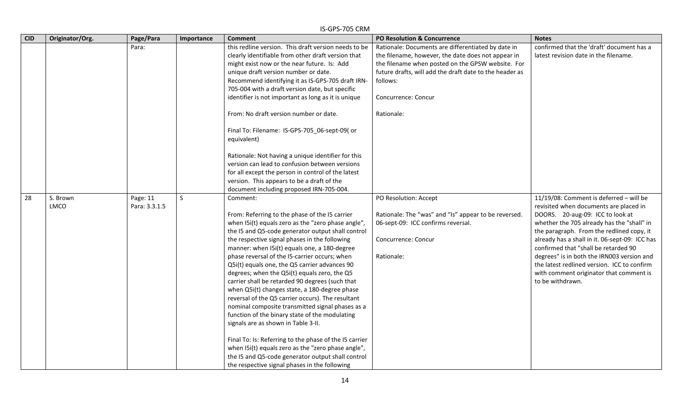|            | IS-GPS-705 CRM   |                           |              |                                                                                                                                                                                                                                                                                                                                                                                                                                                                                                                                                                                                                                                                                                                                                                                                                                                                                                                                                      |                                                                                                                                                                                                                                                                           |                                                                                                                                                                                                                                                                                                                                                                                                                                                                        |  |  |
|------------|------------------|---------------------------|--------------|------------------------------------------------------------------------------------------------------------------------------------------------------------------------------------------------------------------------------------------------------------------------------------------------------------------------------------------------------------------------------------------------------------------------------------------------------------------------------------------------------------------------------------------------------------------------------------------------------------------------------------------------------------------------------------------------------------------------------------------------------------------------------------------------------------------------------------------------------------------------------------------------------------------------------------------------------|---------------------------------------------------------------------------------------------------------------------------------------------------------------------------------------------------------------------------------------------------------------------------|------------------------------------------------------------------------------------------------------------------------------------------------------------------------------------------------------------------------------------------------------------------------------------------------------------------------------------------------------------------------------------------------------------------------------------------------------------------------|--|--|
| <b>CID</b> | Originator/Org.  | Page/Para                 | Importance   | <b>Comment</b>                                                                                                                                                                                                                                                                                                                                                                                                                                                                                                                                                                                                                                                                                                                                                                                                                                                                                                                                       | <b>PO Resolution &amp; Concurrence</b>                                                                                                                                                                                                                                    | <b>Notes</b>                                                                                                                                                                                                                                                                                                                                                                                                                                                           |  |  |
|            |                  | Para:                     |              | this redline version. This draft version needs to be<br>clearly identifiable from other draft version that<br>might exist now or the near future. Is: Add<br>unique draft version number or date.<br>Recommend identifying it as IS-GPS-705 draft IRN-<br>705-004 with a draft version date, but specific<br>identifier is not important as long as it is unique<br>From: No draft version number or date.<br>Final To: Filename: IS-GPS-705_06-sept-09( or<br>equivalent)                                                                                                                                                                                                                                                                                                                                                                                                                                                                           | Rationale: Documents are differentiated by date in<br>the filename, however, the date does not appear in<br>the filename when posted on the GPSW website. For<br>future drafts, will add the draft date to the header as<br>follows:<br>Concurrence: Concur<br>Rationale: | confirmed that the 'draft' document has a<br>latest revision date in the filename.                                                                                                                                                                                                                                                                                                                                                                                     |  |  |
|            |                  |                           |              | Rationale: Not having a unique identifier for this<br>version can lead to confusion between versions<br>for all except the person in control of the latest<br>version. This appears to be a draft of the<br>document including proposed IRN-705-004.                                                                                                                                                                                                                                                                                                                                                                                                                                                                                                                                                                                                                                                                                                 |                                                                                                                                                                                                                                                                           |                                                                                                                                                                                                                                                                                                                                                                                                                                                                        |  |  |
| 28         | S. Brown<br>LMCO | Page: 11<br>Para: 3.3.1.5 | $\mathsf{S}$ | Comment:<br>From: Referring to the phase of the I5 carrier<br>when I5i(t) equals zero as the "zero phase angle",<br>the I5 and Q5-code generator output shall control<br>the respective signal phases in the following<br>manner: when I5i(t) equals one, a 180-degree<br>phase reversal of the I5-carrier occurs; when<br>Q5i(t) equals one, the Q5 carrier advances 90<br>degrees; when the Q5i(t) equals zero, the Q5<br>carrier shall be retarded 90 degrees (such that<br>when Q5i(t) changes state, a 180-degree phase<br>reversal of the Q5 carrier occurs). The resultant<br>nominal composite transmitted signal phases as a<br>function of the binary state of the modulating<br>signals are as shown in Table 3-II.<br>Final To: Is: Referring to the phase of the I5 carrier<br>when I5i(t) equals zero as the "zero phase angle",<br>the I5 and Q5-code generator output shall control<br>the respective signal phases in the following | PO Resolution: Accept<br>Rationale: The "was" and "Is" appear to be reversed.<br>06-sept-09: ICC confirms reversal.<br>Concurrence: Concur<br>Rationale:                                                                                                                  | 11/19/08: Comment is deferred - will be<br>revisited when documents are placed in<br>DOORS. 20-aug-09: ICC to look at<br>whether the 705 already has the "shall" in<br>the paragraph. From the redlined copy, it<br>already has a shall in it. 06-sept-09: ICC has<br>confirmed that "shall be retarded 90<br>degrees" is in both the IRN003 version and<br>the latest redlined version. ICC to confirm<br>with comment originator that comment is<br>to be withdrawn. |  |  |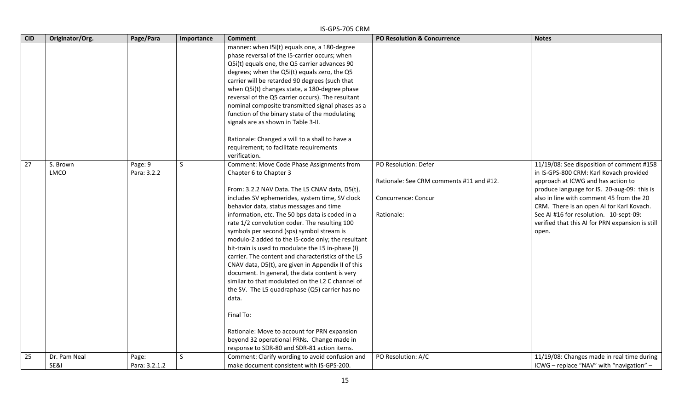|            | IS-GPS-705 CRM       |                        |            |                                                                                                                                                                                                                                                                                                                                                                                                                                                                                                                                                                                                                                                                                                                                                                                                                                                                                                                      |                                                                                                       |                                                                                                                                                                                                                                                                                                                                                                           |  |  |  |
|------------|----------------------|------------------------|------------|----------------------------------------------------------------------------------------------------------------------------------------------------------------------------------------------------------------------------------------------------------------------------------------------------------------------------------------------------------------------------------------------------------------------------------------------------------------------------------------------------------------------------------------------------------------------------------------------------------------------------------------------------------------------------------------------------------------------------------------------------------------------------------------------------------------------------------------------------------------------------------------------------------------------|-------------------------------------------------------------------------------------------------------|---------------------------------------------------------------------------------------------------------------------------------------------------------------------------------------------------------------------------------------------------------------------------------------------------------------------------------------------------------------------------|--|--|--|
| <b>CID</b> | Originator/Org.      | Page/Para              | Importance | <b>Comment</b>                                                                                                                                                                                                                                                                                                                                                                                                                                                                                                                                                                                                                                                                                                                                                                                                                                                                                                       | <b>PO Resolution &amp; Concurrence</b>                                                                | <b>Notes</b>                                                                                                                                                                                                                                                                                                                                                              |  |  |  |
|            |                      |                        |            | manner: when I5i(t) equals one, a 180-degree<br>phase reversal of the I5-carrier occurs; when<br>Q5i(t) equals one, the Q5 carrier advances 90<br>degrees; when the Q5i(t) equals zero, the Q5<br>carrier will be retarded 90 degrees (such that<br>when Q5i(t) changes state, a 180-degree phase<br>reversal of the Q5 carrier occurs). The resultant<br>nominal composite transmitted signal phases as a<br>function of the binary state of the modulating<br>signals are as shown in Table 3-II.<br>Rationale: Changed a will to a shall to have a                                                                                                                                                                                                                                                                                                                                                                |                                                                                                       |                                                                                                                                                                                                                                                                                                                                                                           |  |  |  |
|            |                      |                        |            | requirement; to facilitate requirements<br>verification.                                                                                                                                                                                                                                                                                                                                                                                                                                                                                                                                                                                                                                                                                                                                                                                                                                                             |                                                                                                       |                                                                                                                                                                                                                                                                                                                                                                           |  |  |  |
| 27         | S. Brown<br>LMCO     | Page: 9<br>Para: 3.2.2 | S.         | Comment: Move Code Phase Assignments from<br>Chapter 6 to Chapter 3<br>From: 3.2.2 NAV Data. The L5 CNAV data, D5(t),<br>includes SV ephemerides, system time, SV clock<br>behavior data, status messages and time<br>information, etc. The 50 bps data is coded in a<br>rate 1/2 convolution coder. The resulting 100<br>symbols per second (sps) symbol stream is<br>modulo-2 added to the I5-code only; the resultant<br>bit-train is used to modulate the L5 in-phase (I)<br>carrier. The content and characteristics of the L5<br>CNAV data, D5(t), are given in Appendix II of this<br>document. In general, the data content is very<br>similar to that modulated on the L2 C channel of<br>the SV. The L5 quadraphase (Q5) carrier has no<br>data.<br>Final To:<br>Rationale: Move to account for PRN expansion<br>beyond 32 operational PRNs. Change made in<br>response to SDR-80 and SDR-81 action items. | PO Resolution: Defer<br>Rationale: See CRM comments #11 and #12.<br>Concurrence: Concur<br>Rationale: | 11/19/08: See disposition of comment #158<br>in IS-GPS-800 CRM: Karl Kovach provided<br>approach at ICWG and has action to<br>produce language for IS. 20-aug-09: this is<br>also in line with comment 45 from the 20<br>CRM. There is an open AI for Karl Kovach.<br>See AI #16 for resolution. 10-sept-09:<br>verified that this AI for PRN expansion is still<br>open. |  |  |  |
| 25         | Dr. Pam Neal<br>SE&I | Page:<br>Para: 3.2.1.2 | S          | Comment: Clarify wording to avoid confusion and<br>make document consistent with IS-GPS-200.                                                                                                                                                                                                                                                                                                                                                                                                                                                                                                                                                                                                                                                                                                                                                                                                                         | PO Resolution: A/C                                                                                    | 11/19/08: Changes made in real time during<br>ICWG - replace "NAV" with "navigation" -                                                                                                                                                                                                                                                                                    |  |  |  |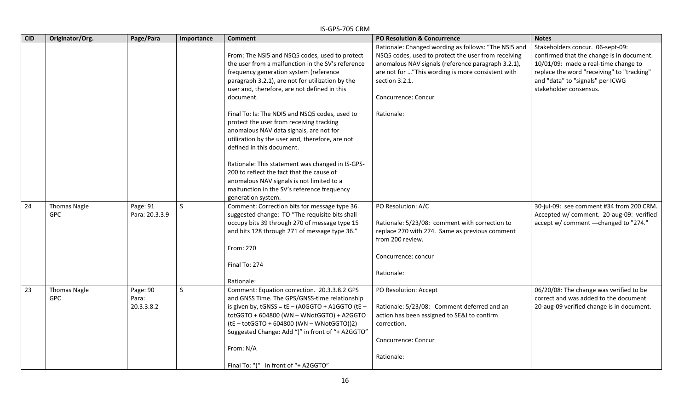|            | IS-GPS-705 CRM                    |                                 |              |                                                                                                                                                                                                                                                                                                                                                                                                                                          |                                                                                                                                                                                                                                                                 |                                                                                                                                                                                                                                   |  |
|------------|-----------------------------------|---------------------------------|--------------|------------------------------------------------------------------------------------------------------------------------------------------------------------------------------------------------------------------------------------------------------------------------------------------------------------------------------------------------------------------------------------------------------------------------------------------|-----------------------------------------------------------------------------------------------------------------------------------------------------------------------------------------------------------------------------------------------------------------|-----------------------------------------------------------------------------------------------------------------------------------------------------------------------------------------------------------------------------------|--|
| <b>CID</b> | Originator/Org.                   | Page/Para                       | Importance   | <b>Comment</b>                                                                                                                                                                                                                                                                                                                                                                                                                           | PO Resolution & Concurrence                                                                                                                                                                                                                                     | <b>Notes</b>                                                                                                                                                                                                                      |  |
|            |                                   |                                 |              | From: The NSI5 and NSQ5 codes, used to protect<br>the user from a malfunction in the SV's reference<br>frequency generation system (reference<br>paragraph 3.2.1), are not for utilization by the<br>user and, therefore, are not defined in this<br>document.                                                                                                                                                                           | Rationale: Changed wording as follows: "The NSI5 and<br>NSQ5 codes, used to protect the user from receiving<br>anomalous NAV signals (reference paragraph 3.2.1),<br>are not for "This wording is more consistent with<br>section 3.2.1.<br>Concurrence: Concur | Stakeholders concur. 06-sept-09:<br>confirmed that the change is in document.<br>10/01/09: made a real-time change to<br>replace the word "receiving" to "tracking"<br>and "data" to "signals" per ICWG<br>stakeholder consensus. |  |
|            |                                   |                                 |              | Final To: Is: The NDI5 and NSQ5 codes, used to<br>protect the user from receiving tracking<br>anomalous NAV data signals, are not for<br>utilization by the user and, therefore, are not<br>defined in this document.<br>Rationale: This statement was changed in IS-GPS-<br>200 to reflect the fact that the cause of<br>anomalous NAV signals is not limited to a<br>malfunction in the SV's reference frequency<br>generation system. | Rationale:                                                                                                                                                                                                                                                      |                                                                                                                                                                                                                                   |  |
| 24         | <b>Thomas Nagle</b><br><b>GPC</b> | Page: 91<br>Para: 20.3.3.9      | S.           | Comment: Correction bits for message type 36.<br>suggested change: TO "The requisite bits shall<br>occupy bits 39 through 270 of message type 15<br>and bits 128 through 271 of message type 36."<br>From: 270<br>Final To: 274<br>Rationale:                                                                                                                                                                                            | PO Resolution: A/C<br>Rationale: 5/23/08: comment with correction to<br>replace 270 with 274. Same as previous comment<br>from 200 review.<br>Concurrence: concur<br>Rationale:                                                                                 | 30-jul-09: see comment #34 from 200 CRM.<br>Accepted w/ comment. 20-aug-09: verified<br>accept w/ comment ---changed to "274."                                                                                                    |  |
| 23         | <b>Thomas Nagle</b><br><b>GPC</b> | Page: 90<br>Para:<br>20.3.3.8.2 | $\mathsf{S}$ | Comment: Equation correction. 20.3.3.8.2 GPS<br>and GNSS Time. The GPS/GNSS-time relationship<br>is given by, $tGNSS = tE - (AOGGTO + A1GGTO (tE -$<br>totGGTO + 604800 (WN - WNotGGTO) + A2GGTO<br>(tE-totGGTO+604800 (WN-WNotGGTO))2)<br>Suggested Change: Add ")" in front of "+ A2GGTO"<br>From: N/A<br>Final To: ")" in front of "+ A2GGTO"                                                                                         | PO Resolution: Accept<br>Rationale: 5/23/08: Comment deferred and an<br>action has been assigned to SE&I to confirm<br>correction.<br>Concurrence: Concur<br>Rationale:                                                                                         | 06/20/08: The change was verified to be<br>correct and was added to the document<br>20-aug-09 verified change is in document.                                                                                                     |  |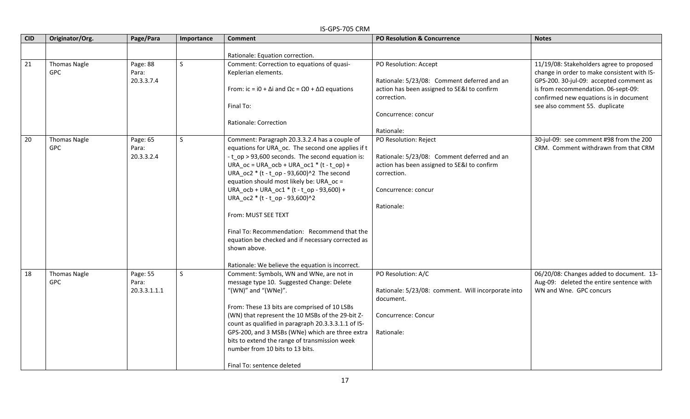|                 | IS-GPS-705 CRM                    |                                   |              |                                                                                                                                                                                                                                                                                                                                                                                                                                                                                                                                                                                  |                                                                                                                                                                         |                                                                                                                                                                                                                                                       |  |  |  |  |
|-----------------|-----------------------------------|-----------------------------------|--------------|----------------------------------------------------------------------------------------------------------------------------------------------------------------------------------------------------------------------------------------------------------------------------------------------------------------------------------------------------------------------------------------------------------------------------------------------------------------------------------------------------------------------------------------------------------------------------------|-------------------------------------------------------------------------------------------------------------------------------------------------------------------------|-------------------------------------------------------------------------------------------------------------------------------------------------------------------------------------------------------------------------------------------------------|--|--|--|--|
| <b>CID</b>      | Originator/Org.                   | Page/Para                         | Importance   | <b>Comment</b>                                                                                                                                                                                                                                                                                                                                                                                                                                                                                                                                                                   | PO Resolution & Concurrence                                                                                                                                             | <b>Notes</b>                                                                                                                                                                                                                                          |  |  |  |  |
|                 |                                   |                                   |              | Rationale: Equation correction.                                                                                                                                                                                                                                                                                                                                                                                                                                                                                                                                                  |                                                                                                                                                                         |                                                                                                                                                                                                                                                       |  |  |  |  |
| $\overline{21}$ | Thomas Nagle<br><b>GPC</b>        | Page: 88<br>Para:<br>20.3.3.7.4   | <sub>S</sub> | Comment: Correction to equations of quasi-<br>Keplerian elements.<br>From: ic = i0 + $\Delta$ i and $\Omega$ c = $\Omega$ 0 + $\Delta\Omega$ equations<br>Final To:<br>Rationale: Correction                                                                                                                                                                                                                                                                                                                                                                                     | PO Resolution: Accept<br>Rationale: 5/23/08: Comment deferred and an<br>action has been assigned to SE&I to confirm<br>correction.<br>Concurrence: concur<br>Rationale: | 11/19/08: Stakeholders agree to proposed<br>change in order to make consistent with IS-<br>GPS-200. 30-jul-09: accepted comment as<br>is from recommendation. 06-sept-09:<br>confirmed new equations is in document<br>see also comment 55. duplicate |  |  |  |  |
| 20              | <b>Thomas Nagle</b><br>GPC        | Page: 65<br>Para:<br>20.3.3.2.4   | S.           | Comment: Paragraph 20.3.3.2.4 has a couple of<br>equations for URA_oc. The second one applies if t<br>-t op > 93,600 seconds. The second equation is:<br>URA_oc = URA_ocb + URA_oc1 $*(t - t$ _op) +<br>URA oc2 $*$ (t - t op - 93,600)^2 The second<br>equation should most likely be: URA oc =<br>URA_ocb + URA_oc1 * (t - t_op - 93,600) +<br>URA oc2 * (t - t op - 93,600)^2<br>From: MUST SEE TEXT<br>Final To: Recommendation: Recommend that the<br>equation be checked and if necessary corrected as<br>shown above.<br>Rationale: We believe the equation is incorrect. | PO Resolution: Reject<br>Rationale: 5/23/08: Comment deferred and an<br>action has been assigned to SE&I to confirm<br>correction.<br>Concurrence: concur<br>Rationale: | 30-jul-09: see comment #98 from the 200<br>CRM. Comment withdrawn from that CRM                                                                                                                                                                       |  |  |  |  |
| 18              | <b>Thomas Nagle</b><br><b>GPC</b> | Page: 55<br>Para:<br>20.3.3.1.1.1 | S.           | Comment: Symbols, WN and WNe, are not in<br>message type 10. Suggested Change: Delete<br>"(WN)" and "(WNe)".<br>From: These 13 bits are comprised of 10 LSBs<br>(WN) that represent the 10 MSBs of the 29-bit Z-<br>count as qualified in paragraph 20.3.3.3.1.1 of IS-<br>GPS-200, and 3 MSBs (WNe) which are three extra<br>bits to extend the range of transmission week<br>number from 10 bits to 13 bits.<br>Final To: sentence deleted                                                                                                                                     | PO Resolution: A/C<br>Rationale: 5/23/08: comment. Will incorporate into<br>document.<br>Concurrence: Concur<br>Rationale:                                              | 06/20/08: Changes added to document. 13-<br>Aug-09: deleted the entire sentence with<br>WN and Wne. GPC concurs                                                                                                                                       |  |  |  |  |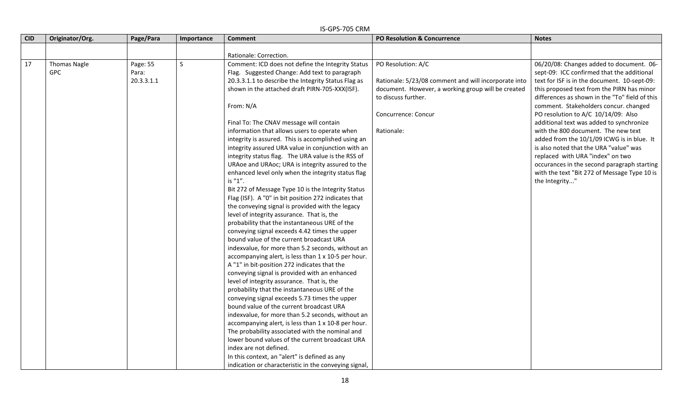|            |                     |            |            | IS-GPS-705 CRM                                        |                                                      |                                                |
|------------|---------------------|------------|------------|-------------------------------------------------------|------------------------------------------------------|------------------------------------------------|
| <b>CID</b> | Originator/Org.     | Page/Para  | Importance | <b>Comment</b>                                        | PO Resolution & Concurrence                          | <b>Notes</b>                                   |
|            |                     |            |            |                                                       |                                                      |                                                |
|            |                     |            |            | Rationale: Correction.                                |                                                      |                                                |
| 17         | <b>Thomas Nagle</b> | Page: 55   | $\sf S$    | Comment: ICD does not define the Integrity Status     | PO Resolution: A/C                                   | 06/20/08: Changes added to document. 06-       |
|            | <b>GPC</b>          | Para:      |            | Flag. Suggested Change: Add text to paragraph         |                                                      | sept-09: ICC confirmed that the additional     |
|            |                     | 20.3.3.1.1 |            | 20.3.3.1.1 to describe the Integrity Status Flag as   | Rationale: 5/23/08 comment and will incorporate into | text for ISF is in the document. 10-sept-09:   |
|            |                     |            |            | shown in the attached draft PIRN-705-XXX(ISF).        | document. However, a working group will be created   | this proposed text from the PIRN has minor     |
|            |                     |            |            |                                                       | to discuss further.                                  | differences as shown in the "To" field of this |
|            |                     |            |            | From: N/A                                             |                                                      | comment. Stakeholders concur. changed          |
|            |                     |            |            |                                                       | Concurrence: Concur                                  | PO resolution to A/C 10/14/09: Also            |
|            |                     |            |            | Final To: The CNAV message will contain               |                                                      | additional text was added to synchronize       |
|            |                     |            |            | information that allows users to operate when         | Rationale:                                           | with the 800 document. The new text            |
|            |                     |            |            | integrity is assured. This is accomplished using an   |                                                      | added from the 10/1/09 ICWG is in blue. It     |
|            |                     |            |            | integrity assured URA value in conjunction with an    |                                                      | is also noted that the URA "value" was         |
|            |                     |            |            | integrity status flag. The URA value is the RSS of    |                                                      | replaced with URA "index" on two               |
|            |                     |            |            | URAoe and URAoc; URA is integrity assured to the      |                                                      | occurances in the second paragraph starting    |
|            |                     |            |            | enhanced level only when the integrity status flag    |                                                      | with the text "Bit 272 of Message Type 10 is   |
|            |                     |            |            | is "1".                                               |                                                      | the Integrity"                                 |
|            |                     |            |            | Bit 272 of Message Type 10 is the Integrity Status    |                                                      |                                                |
|            |                     |            |            | Flag (ISF). A "0" in bit position 272 indicates that  |                                                      |                                                |
|            |                     |            |            | the conveying signal is provided with the legacy      |                                                      |                                                |
|            |                     |            |            | level of integrity assurance. That is, the            |                                                      |                                                |
|            |                     |            |            | probability that the instantaneous URE of the         |                                                      |                                                |
|            |                     |            |            | conveying signal exceeds 4.42 times the upper         |                                                      |                                                |
|            |                     |            |            | bound value of the current broadcast URA              |                                                      |                                                |
|            |                     |            |            | indexvalue, for more than 5.2 seconds, without an     |                                                      |                                                |
|            |                     |            |            | accompanying alert, is less than 1 x 10-5 per hour.   |                                                      |                                                |
|            |                     |            |            | A "1" in bit-position 272 indicates that the          |                                                      |                                                |
|            |                     |            |            | conveying signal is provided with an enhanced         |                                                      |                                                |
|            |                     |            |            | level of integrity assurance. That is, the            |                                                      |                                                |
|            |                     |            |            | probability that the instantaneous URE of the         |                                                      |                                                |
|            |                     |            |            | conveying signal exceeds 5.73 times the upper         |                                                      |                                                |
|            |                     |            |            | bound value of the current broadcast URA              |                                                      |                                                |
|            |                     |            |            | indexvalue, for more than 5.2 seconds, without an     |                                                      |                                                |
|            |                     |            |            | accompanying alert, is less than 1 x 10-8 per hour.   |                                                      |                                                |
|            |                     |            |            | The probability associated with the nominal and       |                                                      |                                                |
|            |                     |            |            | lower bound values of the current broadcast URA       |                                                      |                                                |
|            |                     |            |            | index are not defined.                                |                                                      |                                                |
|            |                     |            |            | In this context, an "alert" is defined as any         |                                                      |                                                |
|            |                     |            |            | indication or characteristic in the conveying signal, |                                                      |                                                |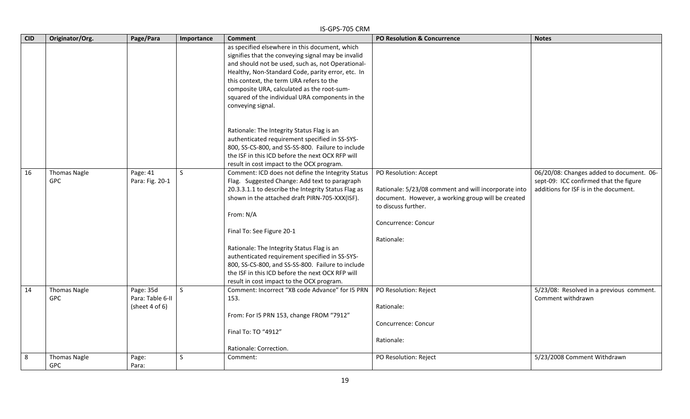|            | IS-GPS-705 CRM                    |                                                      |              |                                                                                                                                                                                                                                                                                                                                                                                                                                                                                                             |                                                                                                                                                                                                 |                                                                                                                             |  |  |  |
|------------|-----------------------------------|------------------------------------------------------|--------------|-------------------------------------------------------------------------------------------------------------------------------------------------------------------------------------------------------------------------------------------------------------------------------------------------------------------------------------------------------------------------------------------------------------------------------------------------------------------------------------------------------------|-------------------------------------------------------------------------------------------------------------------------------------------------------------------------------------------------|-----------------------------------------------------------------------------------------------------------------------------|--|--|--|
| <b>CID</b> | Originator/Org.                   | Page/Para                                            | Importance   | <b>Comment</b>                                                                                                                                                                                                                                                                                                                                                                                                                                                                                              | <b>PO Resolution &amp; Concurrence</b>                                                                                                                                                          | <b>Notes</b>                                                                                                                |  |  |  |
|            |                                   |                                                      |              | as specified elsewhere in this document, which<br>signifies that the conveying signal may be invalid<br>and should not be used, such as, not Operational-<br>Healthy, Non-Standard Code, parity error, etc. In<br>this context, the term URA refers to the<br>composite URA, calculated as the root-sum-<br>squared of the individual URA components in the<br>conveying signal.                                                                                                                            |                                                                                                                                                                                                 |                                                                                                                             |  |  |  |
|            |                                   |                                                      |              | Rationale: The Integrity Status Flag is an<br>authenticated requirement specified in SS-SYS-<br>800, SS-CS-800, and SS-SS-800. Failure to include<br>the ISF in this ICD before the next OCX RFP will<br>result in cost impact to the OCX program.                                                                                                                                                                                                                                                          |                                                                                                                                                                                                 |                                                                                                                             |  |  |  |
| 16         | <b>Thomas Nagle</b><br><b>GPC</b> | Page: 41<br>Para: Fig. 20-1                          | S            | Comment: ICD does not define the Integrity Status<br>Flag. Suggested Change: Add text to paragraph<br>20.3.3.1.1 to describe the Integrity Status Flag as<br>shown in the attached draft PIRN-705-XXX(ISF).<br>From: N/A<br>Final To: See Figure 20-1<br>Rationale: The Integrity Status Flag is an<br>authenticated requirement specified in SS-SYS-<br>800, SS-CS-800, and SS-SS-800. Failure to include<br>the ISF in this ICD before the next OCX RFP will<br>result in cost impact to the OCX program. | PO Resolution: Accept<br>Rationale: 5/23/08 comment and will incorporate into<br>document. However, a working group will be created<br>to discuss further.<br>Concurrence: Concur<br>Rationale: | 06/20/08: Changes added to document. 06-<br>sept-09: ICC confirmed that the figure<br>additions for ISF is in the document. |  |  |  |
| 14         | <b>Thomas Nagle</b><br><b>GPC</b> | Page: 35d<br>Para: Table 6-II<br>(sheet $4$ of $6$ ) | $\mathsf{S}$ | Comment: Incorrect "XB code Advance" for I5 PRN<br>153.<br>From: For I5 PRN 153, change FROM "7912"<br>Final To: TO "4912"<br>Rationale: Correction.                                                                                                                                                                                                                                                                                                                                                        | PO Resolution: Reject<br>Rationale:<br>Concurrence: Concur<br>Rationale:                                                                                                                        | 5/23/08: Resolved in a previous comment.<br>Comment withdrawn                                                               |  |  |  |
| 8          | <b>Thomas Nagle</b><br><b>GPC</b> | Page:<br>Para:                                       | S            | Comment:                                                                                                                                                                                                                                                                                                                                                                                                                                                                                                    | PO Resolution: Reject                                                                                                                                                                           | 5/23/2008 Comment Withdrawn                                                                                                 |  |  |  |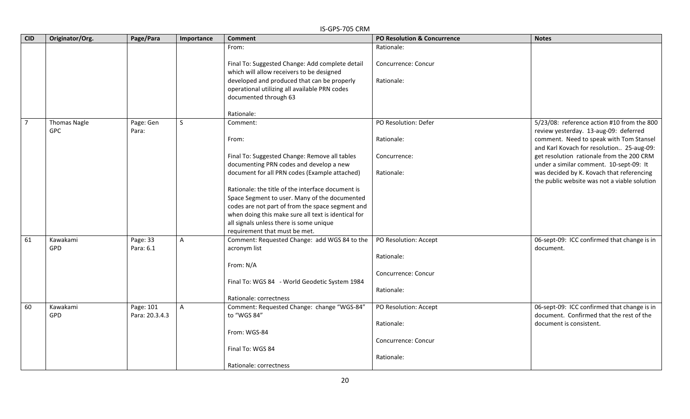|                | IS-GPS-705 CRM      |                |                |                                                     |                                        |                                              |  |  |  |
|----------------|---------------------|----------------|----------------|-----------------------------------------------------|----------------------------------------|----------------------------------------------|--|--|--|
| <b>CID</b>     | Originator/Org.     | Page/Para      | Importance     | <b>Comment</b>                                      | <b>PO Resolution &amp; Concurrence</b> | <b>Notes</b>                                 |  |  |  |
|                |                     |                |                | From:                                               | Rationale:                             |                                              |  |  |  |
|                |                     |                |                | Final To: Suggested Change: Add complete detail     | Concurrence: Concur                    |                                              |  |  |  |
|                |                     |                |                | which will allow receivers to be designed           |                                        |                                              |  |  |  |
|                |                     |                |                | developed and produced that can be properly         | Rationale:                             |                                              |  |  |  |
|                |                     |                |                | operational utilizing all available PRN codes       |                                        |                                              |  |  |  |
|                |                     |                |                | documented through 63                               |                                        |                                              |  |  |  |
|                |                     |                |                | Rationale:                                          |                                        |                                              |  |  |  |
| $\overline{7}$ | <b>Thomas Nagle</b> | Page: Gen      | $\mathsf{S}$   | Comment:                                            | PO Resolution: Defer                   | 5/23/08: reference action #10 from the 800   |  |  |  |
|                | <b>GPC</b>          | Para:          |                |                                                     |                                        | review yesterday. 13-aug-09: deferred        |  |  |  |
|                |                     |                |                | From:                                               | Rationale:                             | comment. Need to speak with Tom Stansel      |  |  |  |
|                |                     |                |                |                                                     |                                        | and Karl Kovach for resolution 25-aug-09:    |  |  |  |
|                |                     |                |                | Final To: Suggested Change: Remove all tables       | Concurrence:                           | get resolution rationale from the 200 CRM    |  |  |  |
|                |                     |                |                | documenting PRN codes and develop a new             |                                        | under a similar comment. 10-sept-09: It      |  |  |  |
|                |                     |                |                | document for all PRN codes (Example attached)       | Rationale:                             | was decided by K. Kovach that referencing    |  |  |  |
|                |                     |                |                |                                                     |                                        | the public website was not a viable solution |  |  |  |
|                |                     |                |                | Rationale: the title of the interface document is   |                                        |                                              |  |  |  |
|                |                     |                |                | Space Segment to user. Many of the documented       |                                        |                                              |  |  |  |
|                |                     |                |                | codes are not part of from the space segment and    |                                        |                                              |  |  |  |
|                |                     |                |                | when doing this make sure all text is identical for |                                        |                                              |  |  |  |
|                |                     |                |                | all signals unless there is some unique             |                                        |                                              |  |  |  |
|                |                     |                |                | requirement that must be met.                       |                                        |                                              |  |  |  |
| 61             | Kawakami            | Page: 33       | $\overline{A}$ | Comment: Requested Change: add WGS 84 to the        | PO Resolution: Accept                  | 06-sept-09: ICC confirmed that change is in  |  |  |  |
|                | GPD                 | Para: 6.1      |                | acronym list                                        |                                        | document.                                    |  |  |  |
|                |                     |                |                |                                                     | Rationale:                             |                                              |  |  |  |
|                |                     |                |                | From: N/A                                           |                                        |                                              |  |  |  |
|                |                     |                |                |                                                     | Concurrence: Concur                    |                                              |  |  |  |
|                |                     |                |                | Final To: WGS 84 - World Geodetic System 1984       |                                        |                                              |  |  |  |
|                |                     |                |                |                                                     | Rationale:                             |                                              |  |  |  |
|                |                     |                |                | Rationale: correctness                              |                                        |                                              |  |  |  |
| 60             | Kawakami            | Page: 101      | $\mathsf{A}$   | Comment: Requested Change: change "WGS-84"          | PO Resolution: Accept                  | 06-sept-09: ICC confirmed that change is in  |  |  |  |
|                | GPD                 | Para: 20.3.4.3 |                | to "WGS 84"                                         |                                        | document. Confirmed that the rest of the     |  |  |  |
|                |                     |                |                |                                                     | Rationale:                             | document is consistent.                      |  |  |  |
|                |                     |                |                | From: WGS-84                                        |                                        |                                              |  |  |  |
|                |                     |                |                |                                                     | Concurrence: Concur                    |                                              |  |  |  |
|                |                     |                |                | Final To: WGS 84                                    |                                        |                                              |  |  |  |
|                |                     |                |                |                                                     |                                        |                                              |  |  |  |
|                |                     |                |                |                                                     | Rationale:                             |                                              |  |  |  |
|                |                     |                |                | Rationale: correctness                              |                                        |                                              |  |  |  |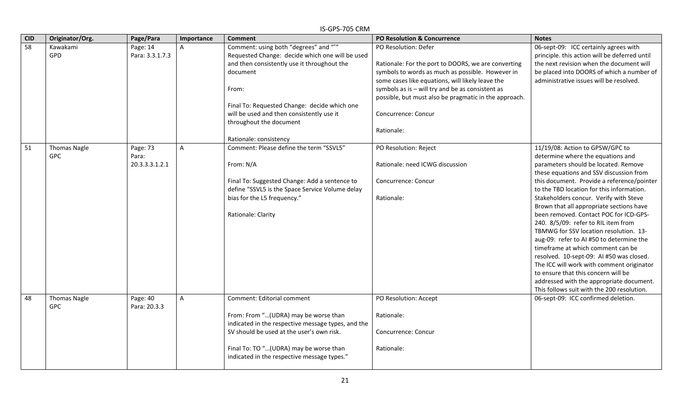| <b>CID</b> | Originator/Org.     | Page/Para       | Importance     | יוויט כט <i>ו</i> יט כו<br><b>Comment</b>                                                  | <b>PO Resolution &amp; Concurrence</b>                | <b>Notes</b>                                  |
|------------|---------------------|-----------------|----------------|--------------------------------------------------------------------------------------------|-------------------------------------------------------|-----------------------------------------------|
| 58         | Kawakami            | Page: 14        |                | Comment: using both "degrees" and "°"                                                      | PO Resolution: Defer                                  | 06-sept-09: ICC certainly agrees with         |
|            | GPD                 | Para: 3.3.1.7.3 |                | Requested Change: decide which one will be used                                            |                                                       | principle. this action will be deferred until |
|            |                     |                 |                | and then consistently use it throughout the                                                | Rationale: For the port to DOORS, we are converting   | the next revision when the document will      |
|            |                     |                 |                | document                                                                                   | symbols to words as much as possible. However in      | be placed into DOORS of which a number of     |
|            |                     |                 |                |                                                                                            | some cases like equations, will likely leave the      | administrative issues will be resolved.       |
|            |                     |                 |                | From:                                                                                      | symbols as is - will try and be as consistent as      |                                               |
|            |                     |                 |                |                                                                                            | possible, but must also be pragmatic in the approach. |                                               |
|            |                     |                 |                | Final To: Requested Change: decide which one                                               |                                                       |                                               |
|            |                     |                 |                | will be used and then consistently use it                                                  | Concurrence: Concur                                   |                                               |
|            |                     |                 |                | throughout the document                                                                    |                                                       |                                               |
|            |                     |                 |                |                                                                                            | Rationale:                                            |                                               |
|            |                     |                 |                | Rationale: consistency                                                                     |                                                       |                                               |
| 51         | <b>Thomas Nagle</b> | Page: 73        | $\overline{A}$ | Comment: Please define the term "SSVL5"                                                    | PO Resolution: Reject                                 | 11/19/08: Action to GPSW/GPC to               |
|            | <b>GPC</b>          | Para:           |                |                                                                                            |                                                       | determine where the equations and             |
|            |                     | 20.3.3.3.1.2.1  |                | From: N/A                                                                                  | Rationale: need ICWG discussion                       | parameters should be located. Remove          |
|            |                     |                 |                |                                                                                            |                                                       | these equations and SSV discussion from       |
|            |                     |                 |                | Final To: Suggested Change: Add a sentence to                                              | Concurrence: Concur                                   | this document. Provide a reference/pointer    |
|            |                     |                 |                | define "SSVL5 is the Space Service Volume delay                                            |                                                       | to the TBD location for this information.     |
|            |                     |                 |                | bias for the L5 frequency."                                                                | Rationale:                                            | Stakeholders concur. Verify with Steve        |
|            |                     |                 |                |                                                                                            |                                                       | Brown that all appropriate sections have      |
|            |                     |                 |                | Rationale: Clarity                                                                         |                                                       | been removed. Contact POC for ICD-GPS-        |
|            |                     |                 |                |                                                                                            |                                                       | 240. 8/5/09: refer to RIL item from           |
|            |                     |                 |                |                                                                                            |                                                       | TBMWG for SSV location resolution. 13-        |
|            |                     |                 |                |                                                                                            |                                                       | aug-09: refer to AI #50 to determine the      |
|            |                     |                 |                |                                                                                            |                                                       | timeframe at which comment can be             |
|            |                     |                 |                |                                                                                            |                                                       | resolved. 10-sept-09: AI #50 was closed.      |
|            |                     |                 |                |                                                                                            |                                                       | The ICC will work with comment originator     |
|            |                     |                 |                |                                                                                            |                                                       | to ensure that this concern will be           |
|            |                     |                 |                |                                                                                            |                                                       | addressed with the appropriate document.      |
|            |                     |                 |                |                                                                                            |                                                       | This follows suit with the 200 resolution.    |
| 48         | <b>Thomas Nagle</b> | Page: 40        | A              | Comment: Editorial comment                                                                 | PO Resolution: Accept                                 | 06-sept-09: ICC confirmed deletion.           |
|            | <b>GPC</b>          | Para: 20.3.3    |                |                                                                                            |                                                       |                                               |
|            |                     |                 |                | From: From "(UDRA) may be worse than<br>indicated in the respective message types, and the | Rationale:                                            |                                               |
|            |                     |                 |                | SV should be used at the user's own risk.                                                  | Concurrence: Concur                                   |                                               |
|            |                     |                 |                |                                                                                            |                                                       |                                               |
|            |                     |                 |                | Final To: TO "(UDRA) may be worse than                                                     | Rationale:                                            |                                               |
|            |                     |                 |                | indicated in the respective message types."                                                |                                                       |                                               |
|            |                     |                 |                |                                                                                            |                                                       |                                               |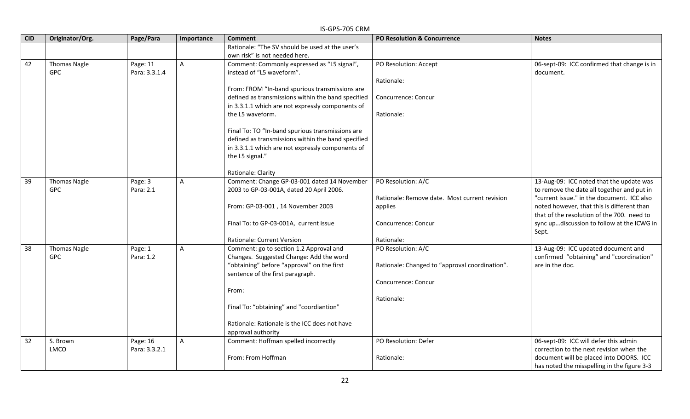|            | IS-GPS-705 CRM                    |                           |                |                                                                                                                                                                              |                                                          |                                                                                                                                        |  |  |  |
|------------|-----------------------------------|---------------------------|----------------|------------------------------------------------------------------------------------------------------------------------------------------------------------------------------|----------------------------------------------------------|----------------------------------------------------------------------------------------------------------------------------------------|--|--|--|
| <b>CID</b> | Originator/Org.                   | Page/Para                 | Importance     | <b>Comment</b>                                                                                                                                                               | <b>PO Resolution &amp; Concurrence</b>                   | <b>Notes</b>                                                                                                                           |  |  |  |
|            |                                   |                           |                | Rationale: "The SV should be used at the user's<br>own risk" is not needed here.                                                                                             |                                                          |                                                                                                                                        |  |  |  |
| 42         | <b>Thomas Nagle</b><br>GPC        | Page: 11<br>Para: 3.3.1.4 | $\mathsf{A}$   | Comment: Commonly expressed as "L5 signal",<br>instead of "L5 waveform".                                                                                                     | PO Resolution: Accept<br>Rationale:                      | 06-sept-09: ICC confirmed that change is in<br>document.                                                                               |  |  |  |
|            |                                   |                           |                | From: FROM "In-band spurious transmissions are<br>defined as transmissions within the band specified<br>in 3.3.1.1 which are not expressly components of<br>the L5 waveform. | Concurrence: Concur<br>Rationale:                        |                                                                                                                                        |  |  |  |
|            |                                   |                           |                | Final To: TO "In-band spurious transmissions are                                                                                                                             |                                                          |                                                                                                                                        |  |  |  |
|            |                                   |                           |                | defined as transmissions within the band specified<br>in 3.3.1.1 which are not expressly components of<br>the L5 signal."                                                    |                                                          |                                                                                                                                        |  |  |  |
|            |                                   |                           |                | Rationale: Clarity                                                                                                                                                           |                                                          |                                                                                                                                        |  |  |  |
| 39         | <b>Thomas Nagle</b><br><b>GPC</b> | Page: 3<br>Para: 2.1      | $\mathsf{A}$   | Comment: Change GP-03-001 dated 14 November<br>2003 to GP-03-001A, dated 20 April 2006.                                                                                      | PO Resolution: A/C                                       | 13-Aug-09: ICC noted that the update was<br>to remove the date all together and put in                                                 |  |  |  |
|            |                                   |                           |                | From: GP-03-001, 14 November 2003                                                                                                                                            | Rationale: Remove date. Most current revision<br>applies | "current issue." in the document. ICC also<br>noted however, that this is different than<br>that of the resolution of the 700. need to |  |  |  |
|            |                                   |                           |                | Final To: to GP-03-001A, current issue                                                                                                                                       | Concurrence: Concur                                      | sync updiscussion to follow at the ICWG in<br>Sept.                                                                                    |  |  |  |
|            |                                   |                           |                | Rationale: Current Version                                                                                                                                                   | Rationale:                                               |                                                                                                                                        |  |  |  |
| 38         | <b>Thomas Nagle</b><br><b>GPC</b> | Page: 1<br>Para: 1.2      | $\overline{A}$ | Comment: go to section 1.2 Approval and<br>Changes. Suggested Change: Add the word                                                                                           | PO Resolution: A/C                                       | 13-Aug-09: ICC updated document and<br>confirmed "obtaining" and "coordination"                                                        |  |  |  |
|            |                                   |                           |                | "obtaining" before "approval" on the first<br>sentence of the first paragraph.                                                                                               | Rationale: Changed to "approval coordination".           | are in the doc.                                                                                                                        |  |  |  |
|            |                                   |                           |                | From:                                                                                                                                                                        | Concurrence: Concur                                      |                                                                                                                                        |  |  |  |
|            |                                   |                           |                | Final To: "obtaining" and "coordiantion"                                                                                                                                     | Rationale:                                               |                                                                                                                                        |  |  |  |
|            |                                   |                           |                | Rationale: Rationale is the ICC does not have<br>approval authority                                                                                                          |                                                          |                                                                                                                                        |  |  |  |
| 32         | S. Brown<br><b>LMCO</b>           | Page: 16<br>Para: 3.3.2.1 | $\overline{A}$ | Comment: Hoffman spelled incorrectly                                                                                                                                         | PO Resolution: Defer                                     | 06-sept-09: ICC will defer this admin<br>correction to the next revision when the                                                      |  |  |  |
|            |                                   |                           |                | From: From Hoffman                                                                                                                                                           | Rationale:                                               | document will be placed into DOORS. ICC<br>has noted the misspelling in the figure 3-3                                                 |  |  |  |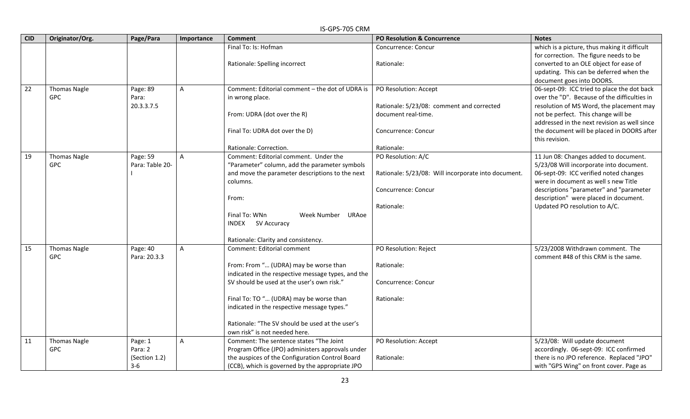| <b>CID</b> | Originator/Org.     | Page/Para       |                | וווט כט <i>ו</i> ט וט כו<br><b>Comment</b>         | <b>PO Resolution &amp; Concurrence</b>              | <b>Notes</b>                                 |
|------------|---------------------|-----------------|----------------|----------------------------------------------------|-----------------------------------------------------|----------------------------------------------|
|            |                     |                 | Importance     |                                                    |                                                     |                                              |
|            |                     |                 |                | Final To: Is: Hofman                               | Concurrence: Concur                                 | which is a picture, thus making it difficult |
|            |                     |                 |                |                                                    |                                                     | for correction. The figure needs to be       |
|            |                     |                 |                | Rationale: Spelling incorrect                      | Rationale:                                          | converted to an OLE object for ease of       |
|            |                     |                 |                |                                                    |                                                     | updating. This can be deferred when the      |
|            |                     |                 |                |                                                    |                                                     | document goes into DOORS.                    |
| 22         | <b>Thomas Nagle</b> | Page: 89        | $\mathsf{A}$   | Comment: Editorial comment - the dot of UDRA is    | PO Resolution: Accept                               | 06-sept-09: ICC tried to place the dot back  |
|            | <b>GPC</b>          | Para:           |                | in wrong place.                                    |                                                     | over the "D". Because of the difficulties in |
|            |                     | 20.3.3.7.5      |                |                                                    | Rationale: 5/23/08: comment and corrected           | resolution of MS Word, the placement may     |
|            |                     |                 |                | From: UDRA (dot over the R)                        | document real-time.                                 | not be perfect. This change will be          |
|            |                     |                 |                |                                                    |                                                     | addressed in the next revision as well since |
|            |                     |                 |                | Final To: UDRA dot over the D)                     | Concurrence: Concur                                 | the document will be placed in DOORS after   |
|            |                     |                 |                |                                                    |                                                     | this revision.                               |
|            |                     |                 |                | Rationale: Correction.                             | Rationale:                                          |                                              |
| 19         | <b>Thomas Nagle</b> | Page: 59        | $\overline{A}$ | Comment: Editorial comment. Under the              | PO Resolution: A/C                                  | 11 Jun 08: Changes added to document.        |
|            | <b>GPC</b>          | Para: Table 20- |                | "Parameter" column, add the parameter symbols      |                                                     | 5/23/08 Will incorporate into document.      |
|            |                     |                 |                | and move the parameter descriptions to the next    | Rationale: 5/23/08: Will incorporate into document. | 06-sept-09: ICC verified noted changes       |
|            |                     |                 |                | columns.                                           |                                                     | were in document as well s new Title         |
|            |                     |                 |                |                                                    | Concurrence: Concur                                 | descriptions "parameter" and "parameter      |
|            |                     |                 |                | From:                                              |                                                     | description" were placed in document.        |
|            |                     |                 |                |                                                    | Rationale:                                          | Updated PO resolution to A/C.                |
|            |                     |                 |                | Final To: WNn<br>Week Number<br>URAoe              |                                                     |                                              |
|            |                     |                 |                | INDEX<br>SV Accuracy                               |                                                     |                                              |
|            |                     |                 |                |                                                    |                                                     |                                              |
|            |                     |                 |                | Rationale: Clarity and consistency.                |                                                     |                                              |
| 15         | <b>Thomas Nagle</b> | Page: 40        | $\mathsf{A}$   | Comment: Editorial comment                         | PO Resolution: Reject                               | 5/23/2008 Withdrawn comment. The             |
|            | <b>GPC</b>          | Para: 20.3.3    |                |                                                    |                                                     | comment #48 of this CRM is the same.         |
|            |                     |                 |                | From: From " (UDRA) may be worse than              | Rationale:                                          |                                              |
|            |                     |                 |                | indicated in the respective message types, and the |                                                     |                                              |
|            |                     |                 |                | SV should be used at the user's own risk."         | Concurrence: Concur                                 |                                              |
|            |                     |                 |                |                                                    |                                                     |                                              |
|            |                     |                 |                | Final To: TO " (UDRA) may be worse than            | Rationale:                                          |                                              |
|            |                     |                 |                | indicated in the respective message types."        |                                                     |                                              |
|            |                     |                 |                |                                                    |                                                     |                                              |
|            |                     |                 |                | Rationale: "The SV should be used at the user's    |                                                     |                                              |
|            |                     |                 |                | own risk" is not needed here.                      |                                                     |                                              |
| 11         | <b>Thomas Nagle</b> | Page: 1         | $\mathsf{A}$   | Comment: The sentence states "The Joint            | PO Resolution: Accept                               | 5/23/08: Will update document                |
|            | <b>GPC</b>          | Para: 2         |                | Program Office (JPO) administers approvals under   |                                                     | accordingly. 06-sept-09: ICC confirmed       |
|            |                     | (Section 1.2)   |                | the auspices of the Configuration Control Board    | Rationale:                                          | there is no JPO reference. Replaced "JPO"    |
|            |                     | $3-6$           |                | (CCB), which is governed by the appropriate JPO    |                                                     | with "GPS Wing" on front cover. Page as      |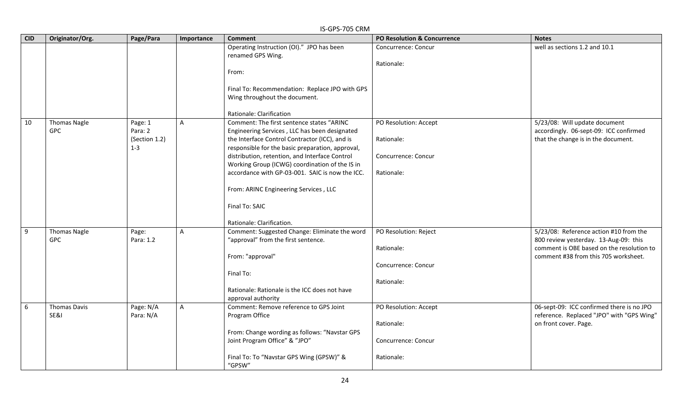|            | IS-GPS-705 CRM                    |                                                |            |                                                                                                                                                                                                                                                                                                                                                                                                                                                 |                                                                          |                                                                                                                                                                      |  |  |  |
|------------|-----------------------------------|------------------------------------------------|------------|-------------------------------------------------------------------------------------------------------------------------------------------------------------------------------------------------------------------------------------------------------------------------------------------------------------------------------------------------------------------------------------------------------------------------------------------------|--------------------------------------------------------------------------|----------------------------------------------------------------------------------------------------------------------------------------------------------------------|--|--|--|
| <b>CID</b> | Originator/Org.                   | Page/Para                                      | Importance | <b>Comment</b>                                                                                                                                                                                                                                                                                                                                                                                                                                  | <b>PO Resolution &amp; Concurrence</b>                                   | <b>Notes</b>                                                                                                                                                         |  |  |  |
|            |                                   |                                                |            | Operating Instruction (OI)." JPO has been<br>renamed GPS Wing.<br>From:<br>Final To: Recommendation: Replace JPO with GPS<br>Wing throughout the document.<br>Rationale: Clarification                                                                                                                                                                                                                                                          | Concurrence: Concur<br>Rationale:                                        | well as sections 1.2 and 10.1                                                                                                                                        |  |  |  |
| 10         | <b>Thomas Nagle</b><br><b>GPC</b> | Page: 1<br>Para: 2<br>(Section 1.2)<br>$1 - 3$ | A          | Comment: The first sentence states "ARINC<br>Engineering Services, LLC has been designated<br>the Interface Control Contractor (ICC), and is<br>responsible for the basic preparation, approval,<br>distribution, retention, and Interface Control<br>Working Group (ICWG) coordination of the IS in<br>accordance with GP-03-001. SAIC is now the ICC.<br>From: ARINC Engineering Services, LLC<br>Final To: SAIC<br>Rationale: Clarification. | PO Resolution: Accept<br>Rationale:<br>Concurrence: Concur<br>Rationale: | 5/23/08: Will update document<br>accordingly. 06-sept-09: ICC confirmed<br>that the change is in the document.                                                       |  |  |  |
| $9\,$      | <b>Thomas Nagle</b><br><b>GPC</b> | Page:<br>Para: 1.2                             | A          | Comment: Suggested Change: Eliminate the word<br>"approval" from the first sentence.<br>From: "approval"<br>Final To:<br>Rationale: Rationale is the ICC does not have<br>approval authority                                                                                                                                                                                                                                                    | PO Resolution: Reject<br>Rationale:<br>Concurrence: Concur<br>Rationale: | 5/23/08: Reference action #10 from the<br>800 review yesterday. 13-Aug-09: this<br>comment is OBE based on the resolution to<br>comment #38 from this 705 worksheet. |  |  |  |
| 6          | <b>Thomas Davis</b><br>SE&I       | Page: N/A<br>Para: N/A                         | A          | Comment: Remove reference to GPS Joint<br>Program Office<br>From: Change wording as follows: "Navstar GPS<br>Joint Program Office" & "JPO"<br>Final To: To "Navstar GPS Wing (GPSW)" &<br>"GPSW"                                                                                                                                                                                                                                                | PO Resolution: Accept<br>Rationale:<br>Concurrence: Concur<br>Rationale: | 06-sept-09: ICC confirmed there is no JPO<br>reference. Replaced "JPO" with "GPS Wing"<br>on front cover. Page.                                                      |  |  |  |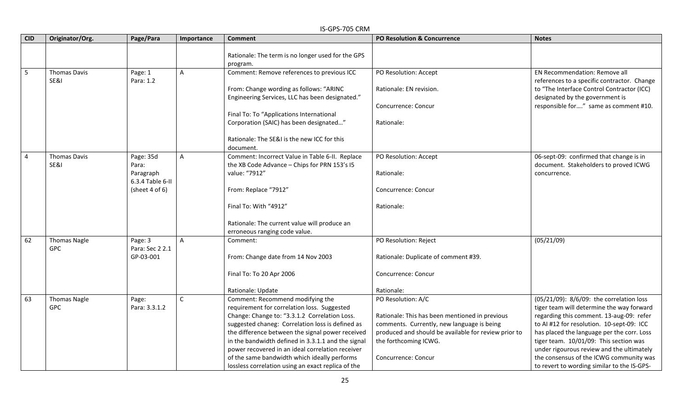|                         | IS-GPS-705 CRM                    |                                                                            |                |                                                                                                                                                                                                                                                                                                                                                                                                                                                          |                                                                                                                                                                                                                            |                                                                                                                                                                                                                                                                                                                                                                                                               |  |  |  |
|-------------------------|-----------------------------------|----------------------------------------------------------------------------|----------------|----------------------------------------------------------------------------------------------------------------------------------------------------------------------------------------------------------------------------------------------------------------------------------------------------------------------------------------------------------------------------------------------------------------------------------------------------------|----------------------------------------------------------------------------------------------------------------------------------------------------------------------------------------------------------------------------|---------------------------------------------------------------------------------------------------------------------------------------------------------------------------------------------------------------------------------------------------------------------------------------------------------------------------------------------------------------------------------------------------------------|--|--|--|
| <b>CID</b>              | Originator/Org.                   | Page/Para                                                                  | Importance     | <b>Comment</b>                                                                                                                                                                                                                                                                                                                                                                                                                                           | <b>PO Resolution &amp; Concurrence</b>                                                                                                                                                                                     | <b>Notes</b>                                                                                                                                                                                                                                                                                                                                                                                                  |  |  |  |
|                         |                                   |                                                                            |                | Rationale: The term is no longer used for the GPS<br>program.                                                                                                                                                                                                                                                                                                                                                                                            |                                                                                                                                                                                                                            |                                                                                                                                                                                                                                                                                                                                                                                                               |  |  |  |
| 5                       | <b>Thomas Davis</b><br>SE&I       | Page: 1<br>Para: 1.2                                                       | $\overline{A}$ | Comment: Remove references to previous ICC<br>From: Change wording as follows: "ARINC<br>Engineering Services, LLC has been designated."                                                                                                                                                                                                                                                                                                                 | PO Resolution: Accept<br>Rationale: EN revision.<br>Concurrence: Concur                                                                                                                                                    | EN Recommendation: Remove all<br>references to a specific contractor. Change<br>to "The Interface Control Contractor (ICC)<br>designated by the government is<br>responsible for" same as comment #10.                                                                                                                                                                                                        |  |  |  |
|                         |                                   |                                                                            |                | Final To: To "Applications International<br>Corporation (SAIC) has been designated"<br>Rationale: The SE&I is the new ICC for this<br>document.                                                                                                                                                                                                                                                                                                          | Rationale:                                                                                                                                                                                                                 |                                                                                                                                                                                                                                                                                                                                                                                                               |  |  |  |
| $\overline{\mathbf{4}}$ | <b>Thomas Davis</b><br>SE&I       | Page: 35d<br>Para:<br>Paragraph<br>6.3.4 Table 6-II<br>(sheet $4$ of $6$ ) | $\overline{A}$ | Comment: Incorrect Value in Table 6-II. Replace<br>the XB Code Advance - Chips for PRN 153's I5<br>value: "7912"<br>From: Replace "7912"                                                                                                                                                                                                                                                                                                                 | PO Resolution: Accept<br>Rationale:<br>Concurrence: Concur                                                                                                                                                                 | 06-sept-09: confirmed that change is in<br>document. Stakeholders to proved ICWG<br>concurrence.                                                                                                                                                                                                                                                                                                              |  |  |  |
|                         |                                   |                                                                            |                | Final To: With "4912"<br>Rationale: The current value will produce an<br>erroneous ranging code value.                                                                                                                                                                                                                                                                                                                                                   | Rationale:                                                                                                                                                                                                                 |                                                                                                                                                                                                                                                                                                                                                                                                               |  |  |  |
| 62                      | <b>Thomas Nagle</b><br><b>GPC</b> | Page: 3<br>Para: Sec 2 2.1<br>GP-03-001                                    | $\overline{A}$ | Comment:<br>From: Change date from 14 Nov 2003<br>Final To: To 20 Apr 2006<br>Rationale: Update                                                                                                                                                                                                                                                                                                                                                          | PO Resolution: Reject<br>Rationale: Duplicate of comment #39.<br>Concurrence: Concur<br>Rationale:                                                                                                                         | (05/21/09)                                                                                                                                                                                                                                                                                                                                                                                                    |  |  |  |
| 63                      | <b>Thomas Nagle</b><br><b>GPC</b> | Page:<br>Para: 3.3.1.2                                                     | $\mathsf{C}$   | Comment: Recommend modifying the<br>requirement for correlation loss. Suggested<br>Change: Change to: "3.3.1.2 Correlation Loss.<br>suggested chaneg: Correlation loss is defined as<br>the difference between the signal power received<br>in the bandwidth defined in 3.3.1.1 and the signal<br>power recovered in an ideal correlation receiver<br>of the same bandwidth which ideally performs<br>lossless correlation using an exact replica of the | PO Resolution: A/C<br>Rationale: This has been mentioned in previous<br>comments. Currently, new language is being<br>produced and should be available for review prior to<br>the forthcoming ICWG.<br>Concurrence: Concur | (05/21/09): 8/6/09: the correlation loss<br>tiger team will determine the way forward<br>regarding this comment. 13-aug-09: refer<br>to AI #12 for resolution. 10-sept-09: ICC<br>has placed the language per the corr. Loss<br>tiger team. 10/01/09: This section was<br>under rigourous review and the ultimately<br>the consensus of the ICWG community was<br>to revert to wording similar to the IS-GPS- |  |  |  |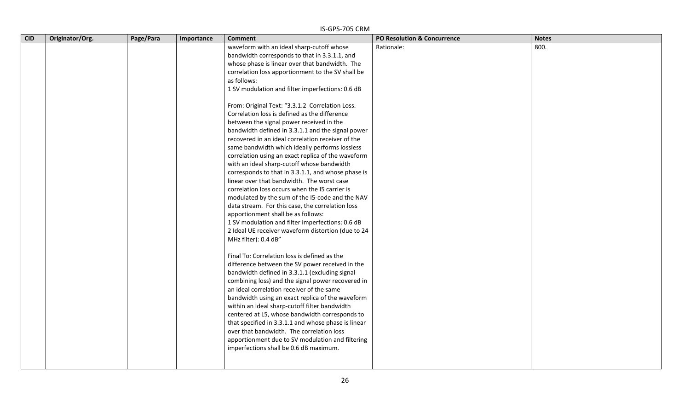| <b>CID</b> | Originator/Org. | Page/Para | Importance | <b>Comment</b>                                                                         | PO Resolution & Concurrence | <b>Notes</b> |
|------------|-----------------|-----------|------------|----------------------------------------------------------------------------------------|-----------------------------|--------------|
|            |                 |           |            | waveform with an ideal sharp-cutoff whose                                              | Rationale:                  | 800.         |
|            |                 |           |            | bandwidth corresponds to that in 3.3.1.1, and                                          |                             |              |
|            |                 |           |            | whose phase is linear over that bandwidth. The                                         |                             |              |
|            |                 |           |            | correlation loss apportionment to the SV shall be                                      |                             |              |
|            |                 |           |            | as follows:                                                                            |                             |              |
|            |                 |           |            | 1 SV modulation and filter imperfections: 0.6 dB                                       |                             |              |
|            |                 |           |            |                                                                                        |                             |              |
|            |                 |           |            | From: Original Text: "3.3.1.2 Correlation Loss.                                        |                             |              |
|            |                 |           |            | Correlation loss is defined as the difference                                          |                             |              |
|            |                 |           |            | between the signal power received in the                                               |                             |              |
|            |                 |           |            | bandwidth defined in 3.3.1.1 and the signal power                                      |                             |              |
|            |                 |           |            | recovered in an ideal correlation receiver of the                                      |                             |              |
|            |                 |           |            | same bandwidth which ideally performs lossless                                         |                             |              |
|            |                 |           |            | correlation using an exact replica of the waveform                                     |                             |              |
|            |                 |           |            | with an ideal sharp-cutoff whose bandwidth                                             |                             |              |
|            |                 |           |            | corresponds to that in 3.3.1.1, and whose phase is                                     |                             |              |
|            |                 |           |            | linear over that bandwidth. The worst case                                             |                             |              |
|            |                 |           |            | correlation loss occurs when the I5 carrier is                                         |                             |              |
|            |                 |           |            | modulated by the sum of the I5-code and the NAV                                        |                             |              |
|            |                 |           |            | data stream. For this case, the correlation loss<br>apportionment shall be as follows: |                             |              |
|            |                 |           |            | 1 SV modulation and filter imperfections: 0.6 dB                                       |                             |              |
|            |                 |           |            | 2 Ideal UE receiver waveform distortion (due to 24                                     |                             |              |
|            |                 |           |            | MHz filter): 0.4 dB"                                                                   |                             |              |
|            |                 |           |            |                                                                                        |                             |              |
|            |                 |           |            | Final To: Correlation loss is defined as the                                           |                             |              |
|            |                 |           |            | difference between the SV power received in the                                        |                             |              |
|            |                 |           |            | bandwidth defined in 3.3.1.1 (excluding signal                                         |                             |              |
|            |                 |           |            | combining loss) and the signal power recovered in                                      |                             |              |
|            |                 |           |            | an ideal correlation receiver of the same                                              |                             |              |
|            |                 |           |            | bandwidth using an exact replica of the waveform                                       |                             |              |
|            |                 |           |            | within an ideal sharp-cutoff filter bandwidth                                          |                             |              |
|            |                 |           |            | centered at L5, whose bandwidth corresponds to                                         |                             |              |
|            |                 |           |            | that specified in 3.3.1.1 and whose phase is linear                                    |                             |              |
|            |                 |           |            | over that bandwidth. The correlation loss                                              |                             |              |
|            |                 |           |            | apportionment due to SV modulation and filtering                                       |                             |              |
|            |                 |           |            | imperfections shall be 0.6 dB maximum.                                                 |                             |              |
|            |                 |           |            |                                                                                        |                             |              |
|            |                 |           |            |                                                                                        |                             |              |

#### IS-GPS-705 CRM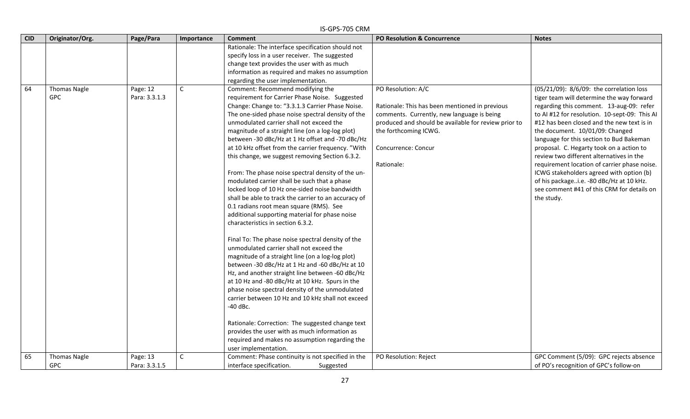|            | IS-GPS-705 CRM                    |                           |              |                                                                                                                                                                                                                                                                                                                                                                                                                                                                                                                                                                                                                                                                                                                                                                                                                                                                                                                                                                                                                                                                         |                                                                                                                                                                                                                            |                                                                                                                                                                                                                                                                                                                                                                                                         |  |  |
|------------|-----------------------------------|---------------------------|--------------|-------------------------------------------------------------------------------------------------------------------------------------------------------------------------------------------------------------------------------------------------------------------------------------------------------------------------------------------------------------------------------------------------------------------------------------------------------------------------------------------------------------------------------------------------------------------------------------------------------------------------------------------------------------------------------------------------------------------------------------------------------------------------------------------------------------------------------------------------------------------------------------------------------------------------------------------------------------------------------------------------------------------------------------------------------------------------|----------------------------------------------------------------------------------------------------------------------------------------------------------------------------------------------------------------------------|---------------------------------------------------------------------------------------------------------------------------------------------------------------------------------------------------------------------------------------------------------------------------------------------------------------------------------------------------------------------------------------------------------|--|--|
| <b>CID</b> | Originator/Org.                   | Page/Para                 | Importance   | <b>Comment</b>                                                                                                                                                                                                                                                                                                                                                                                                                                                                                                                                                                                                                                                                                                                                                                                                                                                                                                                                                                                                                                                          | <b>PO Resolution &amp; Concurrence</b>                                                                                                                                                                                     | <b>Notes</b>                                                                                                                                                                                                                                                                                                                                                                                            |  |  |
| 64         | <b>Thomas Nagle</b><br><b>GPC</b> | Page: 12<br>Para: 3.3.1.3 | $\mathsf{C}$ | Rationale: The interface specification should not<br>specify loss in a user receiver. The suggested<br>change text provides the user with as much<br>information as required and makes no assumption<br>regarding the user implementation.<br>Comment: Recommend modifying the<br>requirement for Carrier Phase Noise. Suggested<br>Change: Change to: "3.3.1.3 Carrier Phase Noise.<br>The one-sided phase noise spectral density of the<br>unmodulated carrier shall not exceed the<br>magnitude of a straight line (on a log-log plot)<br>between -30 dBc/Hz at 1 Hz offset and -70 dBc/Hz<br>at 10 kHz offset from the carrier frequency. "With                                                                                                                                                                                                                                                                                                                                                                                                                     | PO Resolution: A/C<br>Rationale: This has been mentioned in previous<br>comments. Currently, new language is being<br>produced and should be available for review prior to<br>the forthcoming ICWG.<br>Concurrence: Concur | (05/21/09): 8/6/09: the correlation loss<br>tiger team will determine the way forward<br>regarding this comment. 13-aug-09: refer<br>to AI #12 for resolution. 10-sept-09: This AI<br>#12 has been closed and the new text is in<br>the document. 10/01/09: Changed<br>language for this section to Bud Bakeman<br>proposal. C. Hegarty took on a action to<br>review two different alternatives in the |  |  |
| 65         | <b>Thomas Nagle</b>               | Page: 13                  | $\mathsf{C}$ | this change, we suggest removing Section 6.3.2.<br>From: The phase noise spectral density of the un-<br>modulated carrier shall be such that a phase<br>locked loop of 10 Hz one-sided noise bandwidth<br>shall be able to track the carrier to an accuracy of<br>0.1 radians root mean square (RMS). See<br>additional supporting material for phase noise<br>characteristics in section 6.3.2.<br>Final To: The phase noise spectral density of the<br>unmodulated carrier shall not exceed the<br>magnitude of a straight line (on a log-log plot)<br>between -30 dBc/Hz at 1 Hz and -60 dBc/Hz at 10<br>Hz, and another straight line between -60 dBc/Hz<br>at 10 Hz and -80 dBc/Hz at 10 kHz. Spurs in the<br>phase noise spectral density of the unmodulated<br>carrier between 10 Hz and 10 kHz shall not exceed<br>-40 dBc.<br>Rationale: Correction: The suggested change text<br>provides the user with as much information as<br>required and makes no assumption regarding the<br>user implementation.<br>Comment: Phase continuity is not specified in the | Rationale:<br>PO Resolution: Reject                                                                                                                                                                                        | requirement location of carrier phase noise.<br>ICWG stakeholders agreed with option (b)<br>of his packagei.e. -80 dBc/Hz at 10 kHz.<br>see comment #41 of this CRM for details on<br>the study.<br>GPC Comment (5/09): GPC rejects absence                                                                                                                                                             |  |  |
|            | GPC                               | Para: 3.3.1.5             |              | interface specification.<br>Suggested                                                                                                                                                                                                                                                                                                                                                                                                                                                                                                                                                                                                                                                                                                                                                                                                                                                                                                                                                                                                                                   |                                                                                                                                                                                                                            | of PO's recognition of GPC's follow-on                                                                                                                                                                                                                                                                                                                                                                  |  |  |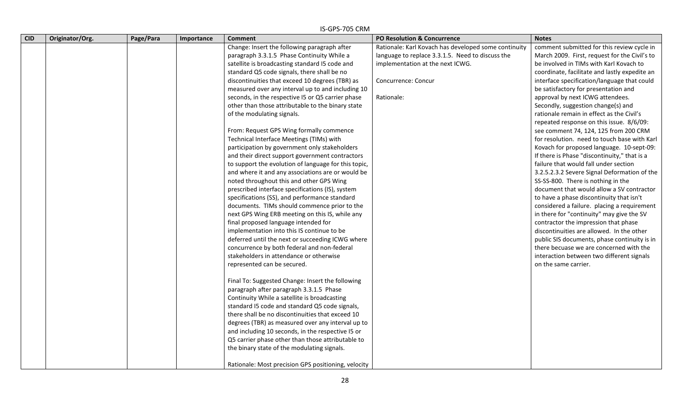|            |                 |           |            | IS-GPS-705 CRM                                                                                                                                                                                                                                                                                                                                                                                                                                                                                                                                                                                                                                                                                                                                                                                                                                                                                                                                                                                                                                                                                                                                                                                                                                                                                                                                                                                                                                                                                                                                                                                                                                                                                                                                                                                        |                                                                                                                                                                                   |                                                                                                                                                                                                                                                                                                                                                                                                                                                                                                                                                                                                                                                                                                                                                                                                                                                                                                                                                                                                                                                                                                                                                                                                                  |
|------------|-----------------|-----------|------------|-------------------------------------------------------------------------------------------------------------------------------------------------------------------------------------------------------------------------------------------------------------------------------------------------------------------------------------------------------------------------------------------------------------------------------------------------------------------------------------------------------------------------------------------------------------------------------------------------------------------------------------------------------------------------------------------------------------------------------------------------------------------------------------------------------------------------------------------------------------------------------------------------------------------------------------------------------------------------------------------------------------------------------------------------------------------------------------------------------------------------------------------------------------------------------------------------------------------------------------------------------------------------------------------------------------------------------------------------------------------------------------------------------------------------------------------------------------------------------------------------------------------------------------------------------------------------------------------------------------------------------------------------------------------------------------------------------------------------------------------------------------------------------------------------------|-----------------------------------------------------------------------------------------------------------------------------------------------------------------------------------|------------------------------------------------------------------------------------------------------------------------------------------------------------------------------------------------------------------------------------------------------------------------------------------------------------------------------------------------------------------------------------------------------------------------------------------------------------------------------------------------------------------------------------------------------------------------------------------------------------------------------------------------------------------------------------------------------------------------------------------------------------------------------------------------------------------------------------------------------------------------------------------------------------------------------------------------------------------------------------------------------------------------------------------------------------------------------------------------------------------------------------------------------------------------------------------------------------------|
| <b>CID</b> | Originator/Org. | Page/Para | Importance | <b>Comment</b>                                                                                                                                                                                                                                                                                                                                                                                                                                                                                                                                                                                                                                                                                                                                                                                                                                                                                                                                                                                                                                                                                                                                                                                                                                                                                                                                                                                                                                                                                                                                                                                                                                                                                                                                                                                        | PO Resolution & Concurrence                                                                                                                                                       | <b>Notes</b>                                                                                                                                                                                                                                                                                                                                                                                                                                                                                                                                                                                                                                                                                                                                                                                                                                                                                                                                                                                                                                                                                                                                                                                                     |
|            |                 |           |            | Change: Insert the following paragraph after<br>paragraph 3.3.1.5 Phase Continuity While a<br>satellite is broadcasting standard I5 code and<br>standard Q5 code signals, there shall be no<br>discontinuities that exceed 10 degrees (TBR) as<br>measured over any interval up to and including 10<br>seconds, in the respective I5 or Q5 carrier phase<br>other than those attributable to the binary state<br>of the modulating signals.<br>From: Request GPS Wing formally commence<br>Technical Interface Meetings (TIMs) with<br>participation by government only stakeholders<br>and their direct support government contractors<br>to support the evolution of language for this topic,<br>and where it and any associations are or would be<br>noted throughout this and other GPS Wing<br>prescribed interface specifications (IS), system<br>specifications (SS), and performance standard<br>documents. TIMs should commence prior to the<br>next GPS Wing ERB meeting on this IS, while any<br>final proposed language intended for<br>implementation into this IS continue to be<br>deferred until the next or succeeding ICWG where<br>concurrence by both federal and non-federal<br>stakeholders in attendance or otherwise<br>represented can be secured.<br>Final To: Suggested Change: Insert the following<br>paragraph after paragraph 3.3.1.5 Phase<br>Continuity While a satellite is broadcasting<br>standard I5 code and standard Q5 code signals,<br>there shall be no discontinuities that exceed 10<br>degrees (TBR) as measured over any interval up to<br>and including 10 seconds, in the respective I5 or<br>Q5 carrier phase other than those attributable to<br>the binary state of the modulating signals.<br>Rationale: Most precision GPS positioning, velocity | Rationale: Karl Kovach has developed some continuity<br>language to replace 3.3.1.5. Need to discuss the<br>implementation at the next ICWG.<br>Concurrence: Concur<br>Rationale: | comment submitted for this review cycle in<br>March 2009. First, request for the Civil's to<br>be involved in TIMs with Karl Kovach to<br>coordinate, facilitate and lastly expedite an<br>interface specification/language that could<br>be satisfactory for presentation and<br>approval by next ICWG attendees.<br>Secondly, suggestion change(s) and<br>rationale remain in effect as the Civil's<br>repeated response on this issue. 8/6/09:<br>see comment 74, 124, 125 from 200 CRM<br>for resolution. need to touch base with Karl<br>Kovach for proposed language. 10-sept-09:<br>If there is Phase "discontinuity," that is a<br>failure that would fall under section<br>3.2.5.2.3.2 Severe Signal Deformation of the<br>SS-SS-800. There is nothing in the<br>document that would allow a SV contractor<br>to have a phase discontinuity that isn't<br>considered a failure. placing a requirement<br>in there for "continuity" may give the SV<br>contractor the impression that phase<br>discontinuities are allowed. In the other<br>public SIS documents, phase continuity is in<br>there becuase we are concerned with the<br>interaction between two different signals<br>on the same carrier. |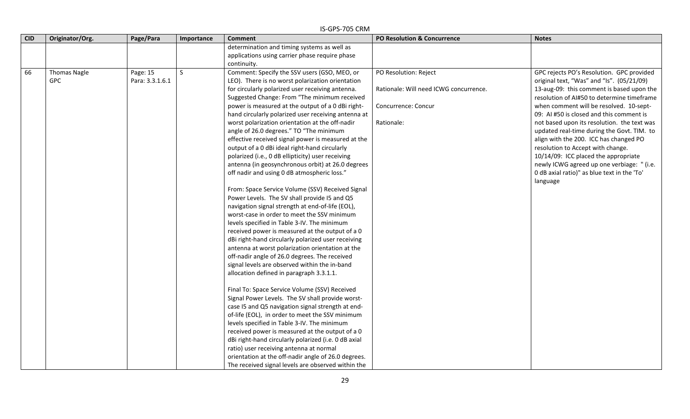|            | IS-GPS-705 CRM      |                 |              |                                                      |                                        |                                             |  |  |  |
|------------|---------------------|-----------------|--------------|------------------------------------------------------|----------------------------------------|---------------------------------------------|--|--|--|
| <b>CID</b> | Originator/Org.     | Page/Para       | Importance   | <b>Comment</b>                                       | PO Resolution & Concurrence            | <b>Notes</b>                                |  |  |  |
|            |                     |                 |              | determination and timing systems as well as          |                                        |                                             |  |  |  |
|            |                     |                 |              | applications using carrier phase require phase       |                                        |                                             |  |  |  |
|            |                     |                 |              | continuity.                                          |                                        |                                             |  |  |  |
| 66         | <b>Thomas Nagle</b> | Page: 15        | <sub>S</sub> | Comment: Specify the SSV users (GSO, MEO, or         | PO Resolution: Reject                  | GPC rejects PO's Resolution. GPC provided   |  |  |  |
|            | <b>GPC</b>          | Para: 3.3.1.6.1 |              | LEO). There is no worst polarization orientation     |                                        | original text, "Was" and "Is". (05/21/09)   |  |  |  |
|            |                     |                 |              | for circularly polarized user receiving antenna.     | Rationale: Will need ICWG concurrence. | 13-aug-09: this comment is based upon the   |  |  |  |
|            |                     |                 |              | Suggested Change: From "The minimum received         |                                        | resolution of AI#50 to determine timeframe  |  |  |  |
|            |                     |                 |              | power is measured at the output of a 0 dBi right-    | Concurrence: Concur                    | when comment will be resolved. 10-sept-     |  |  |  |
|            |                     |                 |              | hand circularly polarized user receiving antenna at  |                                        | 09: AI #50 is closed and this comment is    |  |  |  |
|            |                     |                 |              | worst polarization orientation at the off-nadir      | Rationale:                             | not based upon its resolution. the text was |  |  |  |
|            |                     |                 |              | angle of 26.0 degrees." TO "The minimum              |                                        | updated real-time during the Govt. TIM. to  |  |  |  |
|            |                     |                 |              | effective received signal power is measured at the   |                                        | align with the 200. ICC has changed PO      |  |  |  |
|            |                     |                 |              | output of a 0 dBi ideal right-hand circularly        |                                        | resolution to Accept with change.           |  |  |  |
|            |                     |                 |              | polarized (i.e., 0 dB ellipticity) user receiving    |                                        | 10/14/09: ICC placed the appropriate        |  |  |  |
|            |                     |                 |              | antenna (in geosynchronous orbit) at 26.0 degrees    |                                        | newly ICWG agreed up one verbiage: " (i.e.  |  |  |  |
|            |                     |                 |              | off nadir and using 0 dB atmospheric loss."          |                                        | 0 dB axial ratio)" as blue text in the 'To' |  |  |  |
|            |                     |                 |              |                                                      |                                        | language                                    |  |  |  |
|            |                     |                 |              | From: Space Service Volume (SSV) Received Signal     |                                        |                                             |  |  |  |
|            |                     |                 |              | Power Levels. The SV shall provide I5 and Q5         |                                        |                                             |  |  |  |
|            |                     |                 |              | navigation signal strength at end-of-life (EOL),     |                                        |                                             |  |  |  |
|            |                     |                 |              | worst-case in order to meet the SSV minimum          |                                        |                                             |  |  |  |
|            |                     |                 |              | levels specified in Table 3-IV. The minimum          |                                        |                                             |  |  |  |
|            |                     |                 |              | received power is measured at the output of a 0      |                                        |                                             |  |  |  |
|            |                     |                 |              | dBi right-hand circularly polarized user receiving   |                                        |                                             |  |  |  |
|            |                     |                 |              | antenna at worst polarization orientation at the     |                                        |                                             |  |  |  |
|            |                     |                 |              | off-nadir angle of 26.0 degrees. The received        |                                        |                                             |  |  |  |
|            |                     |                 |              | signal levels are observed within the in-band        |                                        |                                             |  |  |  |
|            |                     |                 |              | allocation defined in paragraph 3.3.1.1.             |                                        |                                             |  |  |  |
|            |                     |                 |              | Final To: Space Service Volume (SSV) Received        |                                        |                                             |  |  |  |
|            |                     |                 |              | Signal Power Levels. The SV shall provide worst-     |                                        |                                             |  |  |  |
|            |                     |                 |              | case I5 and Q5 navigation signal strength at end-    |                                        |                                             |  |  |  |
|            |                     |                 |              | of-life (EOL), in order to meet the SSV minimum      |                                        |                                             |  |  |  |
|            |                     |                 |              | levels specified in Table 3-IV. The minimum          |                                        |                                             |  |  |  |
|            |                     |                 |              | received power is measured at the output of a 0      |                                        |                                             |  |  |  |
|            |                     |                 |              | dBi right-hand circularly polarized (i.e. 0 dB axial |                                        |                                             |  |  |  |
|            |                     |                 |              | ratio) user receiving antenna at normal              |                                        |                                             |  |  |  |
|            |                     |                 |              | orientation at the off-nadir angle of 26.0 degrees.  |                                        |                                             |  |  |  |
|            |                     |                 |              | The received signal levels are observed within the   |                                        |                                             |  |  |  |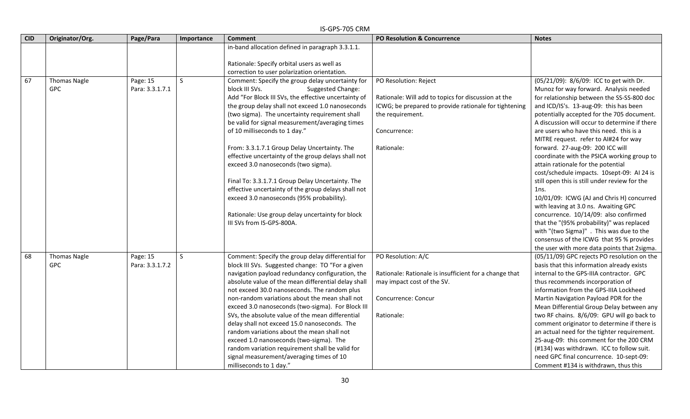|            |                                   |                             |            | IS-GPS-705 CRM                                                                                                                                                                                                                                                                                                                                                                                                                                                                                                                                                                                                                                                                                 |                                                                                                                                                 |                                                                                                                                                                                                                                                                                                                                                                                                                                                                                                                                                                                                                                                                                                                             |
|------------|-----------------------------------|-----------------------------|------------|------------------------------------------------------------------------------------------------------------------------------------------------------------------------------------------------------------------------------------------------------------------------------------------------------------------------------------------------------------------------------------------------------------------------------------------------------------------------------------------------------------------------------------------------------------------------------------------------------------------------------------------------------------------------------------------------|-------------------------------------------------------------------------------------------------------------------------------------------------|-----------------------------------------------------------------------------------------------------------------------------------------------------------------------------------------------------------------------------------------------------------------------------------------------------------------------------------------------------------------------------------------------------------------------------------------------------------------------------------------------------------------------------------------------------------------------------------------------------------------------------------------------------------------------------------------------------------------------------|
| <b>CID</b> | Originator/Org.                   | Page/Para                   | Importance | <b>Comment</b>                                                                                                                                                                                                                                                                                                                                                                                                                                                                                                                                                                                                                                                                                 | PO Resolution & Concurrence                                                                                                                     | <b>Notes</b>                                                                                                                                                                                                                                                                                                                                                                                                                                                                                                                                                                                                                                                                                                                |
|            |                                   |                             |            | in-band allocation defined in paragraph 3.3.1.1.                                                                                                                                                                                                                                                                                                                                                                                                                                                                                                                                                                                                                                               |                                                                                                                                                 |                                                                                                                                                                                                                                                                                                                                                                                                                                                                                                                                                                                                                                                                                                                             |
|            |                                   |                             |            | Rationale: Specify orbital users as well as                                                                                                                                                                                                                                                                                                                                                                                                                                                                                                                                                                                                                                                    |                                                                                                                                                 |                                                                                                                                                                                                                                                                                                                                                                                                                                                                                                                                                                                                                                                                                                                             |
|            |                                   |                             |            | correction to user polarization orientation.                                                                                                                                                                                                                                                                                                                                                                                                                                                                                                                                                                                                                                                   |                                                                                                                                                 |                                                                                                                                                                                                                                                                                                                                                                                                                                                                                                                                                                                                                                                                                                                             |
| 67         | <b>Thomas Nagle</b>               | Page: 15                    | S          | Comment: Specify the group delay uncertainty for                                                                                                                                                                                                                                                                                                                                                                                                                                                                                                                                                                                                                                               | PO Resolution: Reject                                                                                                                           | (05/21/09): 8/6/09: ICC to get with Dr.                                                                                                                                                                                                                                                                                                                                                                                                                                                                                                                                                                                                                                                                                     |
|            | <b>GPC</b>                        | Para: 3.3.1.7.1             |            | block III SVs.<br>Suggested Change:                                                                                                                                                                                                                                                                                                                                                                                                                                                                                                                                                                                                                                                            |                                                                                                                                                 | Munoz for way forward. Analysis needed                                                                                                                                                                                                                                                                                                                                                                                                                                                                                                                                                                                                                                                                                      |
|            |                                   |                             |            | Add "For Block III SVs, the effective uncertainty of                                                                                                                                                                                                                                                                                                                                                                                                                                                                                                                                                                                                                                           | Rationale: Will add to topics for discussion at the                                                                                             | for relationship between the SS-SS-800 doc                                                                                                                                                                                                                                                                                                                                                                                                                                                                                                                                                                                                                                                                                  |
|            |                                   |                             |            | the group delay shall not exceed 1.0 nanoseconds                                                                                                                                                                                                                                                                                                                                                                                                                                                                                                                                                                                                                                               | ICWG; be prepared to provide rationale for tightening                                                                                           | and ICD/IS's. 13-aug-09: this has been                                                                                                                                                                                                                                                                                                                                                                                                                                                                                                                                                                                                                                                                                      |
|            |                                   |                             |            | (two sigma). The uncertainty requirement shall                                                                                                                                                                                                                                                                                                                                                                                                                                                                                                                                                                                                                                                 | the requirement.                                                                                                                                | potentially accepted for the 705 document.                                                                                                                                                                                                                                                                                                                                                                                                                                                                                                                                                                                                                                                                                  |
|            |                                   |                             |            | be valid for signal measurement/averaging times                                                                                                                                                                                                                                                                                                                                                                                                                                                                                                                                                                                                                                                |                                                                                                                                                 | A discussion will occur to determine if there                                                                                                                                                                                                                                                                                                                                                                                                                                                                                                                                                                                                                                                                               |
|            |                                   |                             |            | of 10 milliseconds to 1 day."                                                                                                                                                                                                                                                                                                                                                                                                                                                                                                                                                                                                                                                                  | Concurrence:                                                                                                                                    | are users who have this need. this is a                                                                                                                                                                                                                                                                                                                                                                                                                                                                                                                                                                                                                                                                                     |
|            |                                   |                             |            |                                                                                                                                                                                                                                                                                                                                                                                                                                                                                                                                                                                                                                                                                                |                                                                                                                                                 | MITRE request. refer to AI#24 for way                                                                                                                                                                                                                                                                                                                                                                                                                                                                                                                                                                                                                                                                                       |
|            |                                   |                             |            | From: 3.3.1.7.1 Group Delay Uncertainty. The                                                                                                                                                                                                                                                                                                                                                                                                                                                                                                                                                                                                                                                   | Rationale:                                                                                                                                      | forward. 27-aug-09: 200 ICC will                                                                                                                                                                                                                                                                                                                                                                                                                                                                                                                                                                                                                                                                                            |
|            |                                   |                             |            | effective uncertainty of the group delays shall not                                                                                                                                                                                                                                                                                                                                                                                                                                                                                                                                                                                                                                            |                                                                                                                                                 | coordinate with the PSICA working group to                                                                                                                                                                                                                                                                                                                                                                                                                                                                                                                                                                                                                                                                                  |
|            |                                   |                             |            | exceed 3.0 nanoseconds (two sigma).                                                                                                                                                                                                                                                                                                                                                                                                                                                                                                                                                                                                                                                            |                                                                                                                                                 | attain rationale for the potential                                                                                                                                                                                                                                                                                                                                                                                                                                                                                                                                                                                                                                                                                          |
|            |                                   |                             |            |                                                                                                                                                                                                                                                                                                                                                                                                                                                                                                                                                                                                                                                                                                |                                                                                                                                                 | cost/schedule impacts. 10sept-09: Al 24 is                                                                                                                                                                                                                                                                                                                                                                                                                                                                                                                                                                                                                                                                                  |
|            |                                   |                             |            | Final To: 3.3.1.7.1 Group Delay Uncertainty. The                                                                                                                                                                                                                                                                                                                                                                                                                                                                                                                                                                                                                                               |                                                                                                                                                 | still open this is still under review for the                                                                                                                                                                                                                                                                                                                                                                                                                                                                                                                                                                                                                                                                               |
|            |                                   |                             |            | effective uncertainty of the group delays shall not                                                                                                                                                                                                                                                                                                                                                                                                                                                                                                                                                                                                                                            |                                                                                                                                                 | 1ns.                                                                                                                                                                                                                                                                                                                                                                                                                                                                                                                                                                                                                                                                                                                        |
|            |                                   |                             |            | exceed 3.0 nanoseconds (95% probability).                                                                                                                                                                                                                                                                                                                                                                                                                                                                                                                                                                                                                                                      |                                                                                                                                                 | 10/01/09: ICWG (AJ and Chris H) concurred                                                                                                                                                                                                                                                                                                                                                                                                                                                                                                                                                                                                                                                                                   |
|            |                                   |                             |            |                                                                                                                                                                                                                                                                                                                                                                                                                                                                                                                                                                                                                                                                                                |                                                                                                                                                 | with leaving at 3.0 ns. Awaiting GPC                                                                                                                                                                                                                                                                                                                                                                                                                                                                                                                                                                                                                                                                                        |
|            |                                   |                             |            | Rationale: Use group delay uncertainty for block                                                                                                                                                                                                                                                                                                                                                                                                                                                                                                                                                                                                                                               |                                                                                                                                                 | concurrence. 10/14/09: also confirmed                                                                                                                                                                                                                                                                                                                                                                                                                                                                                                                                                                                                                                                                                       |
|            |                                   |                             |            | III SVs from IS-GPS-800A.                                                                                                                                                                                                                                                                                                                                                                                                                                                                                                                                                                                                                                                                      |                                                                                                                                                 | that the "(95% probability)" was replaced                                                                                                                                                                                                                                                                                                                                                                                                                                                                                                                                                                                                                                                                                   |
|            |                                   |                             |            |                                                                                                                                                                                                                                                                                                                                                                                                                                                                                                                                                                                                                                                                                                |                                                                                                                                                 | with "(two Sigma)" . This was due to the                                                                                                                                                                                                                                                                                                                                                                                                                                                                                                                                                                                                                                                                                    |
|            |                                   |                             |            |                                                                                                                                                                                                                                                                                                                                                                                                                                                                                                                                                                                                                                                                                                |                                                                                                                                                 |                                                                                                                                                                                                                                                                                                                                                                                                                                                                                                                                                                                                                                                                                                                             |
|            |                                   |                             |            |                                                                                                                                                                                                                                                                                                                                                                                                                                                                                                                                                                                                                                                                                                |                                                                                                                                                 |                                                                                                                                                                                                                                                                                                                                                                                                                                                                                                                                                                                                                                                                                                                             |
|            |                                   |                             |            |                                                                                                                                                                                                                                                                                                                                                                                                                                                                                                                                                                                                                                                                                                |                                                                                                                                                 |                                                                                                                                                                                                                                                                                                                                                                                                                                                                                                                                                                                                                                                                                                                             |
|            |                                   |                             |            |                                                                                                                                                                                                                                                                                                                                                                                                                                                                                                                                                                                                                                                                                                |                                                                                                                                                 |                                                                                                                                                                                                                                                                                                                                                                                                                                                                                                                                                                                                                                                                                                                             |
|            |                                   |                             |            |                                                                                                                                                                                                                                                                                                                                                                                                                                                                                                                                                                                                                                                                                                |                                                                                                                                                 |                                                                                                                                                                                                                                                                                                                                                                                                                                                                                                                                                                                                                                                                                                                             |
|            |                                   |                             |            |                                                                                                                                                                                                                                                                                                                                                                                                                                                                                                                                                                                                                                                                                                |                                                                                                                                                 |                                                                                                                                                                                                                                                                                                                                                                                                                                                                                                                                                                                                                                                                                                                             |
|            |                                   |                             |            |                                                                                                                                                                                                                                                                                                                                                                                                                                                                                                                                                                                                                                                                                                |                                                                                                                                                 |                                                                                                                                                                                                                                                                                                                                                                                                                                                                                                                                                                                                                                                                                                                             |
|            |                                   |                             |            |                                                                                                                                                                                                                                                                                                                                                                                                                                                                                                                                                                                                                                                                                                |                                                                                                                                                 |                                                                                                                                                                                                                                                                                                                                                                                                                                                                                                                                                                                                                                                                                                                             |
|            |                                   |                             |            |                                                                                                                                                                                                                                                                                                                                                                                                                                                                                                                                                                                                                                                                                                |                                                                                                                                                 |                                                                                                                                                                                                                                                                                                                                                                                                                                                                                                                                                                                                                                                                                                                             |
|            |                                   |                             |            |                                                                                                                                                                                                                                                                                                                                                                                                                                                                                                                                                                                                                                                                                                |                                                                                                                                                 |                                                                                                                                                                                                                                                                                                                                                                                                                                                                                                                                                                                                                                                                                                                             |
|            |                                   |                             |            |                                                                                                                                                                                                                                                                                                                                                                                                                                                                                                                                                                                                                                                                                                |                                                                                                                                                 |                                                                                                                                                                                                                                                                                                                                                                                                                                                                                                                                                                                                                                                                                                                             |
|            |                                   |                             |            |                                                                                                                                                                                                                                                                                                                                                                                                                                                                                                                                                                                                                                                                                                |                                                                                                                                                 |                                                                                                                                                                                                                                                                                                                                                                                                                                                                                                                                                                                                                                                                                                                             |
|            |                                   |                             |            |                                                                                                                                                                                                                                                                                                                                                                                                                                                                                                                                                                                                                                                                                                |                                                                                                                                                 |                                                                                                                                                                                                                                                                                                                                                                                                                                                                                                                                                                                                                                                                                                                             |
|            |                                   |                             |            |                                                                                                                                                                                                                                                                                                                                                                                                                                                                                                                                                                                                                                                                                                |                                                                                                                                                 |                                                                                                                                                                                                                                                                                                                                                                                                                                                                                                                                                                                                                                                                                                                             |
|            |                                   |                             |            |                                                                                                                                                                                                                                                                                                                                                                                                                                                                                                                                                                                                                                                                                                |                                                                                                                                                 |                                                                                                                                                                                                                                                                                                                                                                                                                                                                                                                                                                                                                                                                                                                             |
| 68         | <b>Thomas Nagle</b><br><b>GPC</b> | Page: 15<br>Para: 3.3.1.7.2 | S          | Comment: Specify the group delay differential for<br>block III SVs. Suggested change: TO "For a given<br>navigation payload redundancy configuration, the<br>absolute value of the mean differential delay shall<br>not exceed 30.0 nanoseconds. The random plus<br>non-random variations about the mean shall not<br>exceed 3.0 nanoseconds (two-sigma). For Block III<br>SVs, the absolute value of the mean differential<br>delay shall not exceed 15.0 nanoseconds. The<br>random variations about the mean shall not<br>exceed 1.0 nanoseconds (two-sigma). The<br>random variation requirement shall be valid for<br>signal measurement/averaging times of 10<br>milliseconds to 1 day." | PO Resolution: A/C<br>Rationale: Rationale is insufficient for a change that<br>may impact cost of the SV.<br>Concurrence: Concur<br>Rationale: | consensus of the ICWG that 95 % provides<br>the user with more data points that 2sigma.<br>(05/11/09) GPC rejects PO resolution on the<br>basis that this information already exists<br>internal to the GPS-IIIA contractor. GPC<br>thus recommends incorporation of<br>information from the GPS-IIIA Lockheed<br>Martin Navigation Payload PDR for the<br>Mean Differential Group Delay between any<br>two RF chains. 8/6/09: GPU will go back to<br>comment originator to determine if there is<br>an actual need for the tighter requirement.<br>25-aug-09: this comment for the 200 CRM<br>(#134) was withdrawn. ICC to follow suit.<br>need GPC final concurrence. 10-sept-09:<br>Comment #134 is withdrawn, thus this |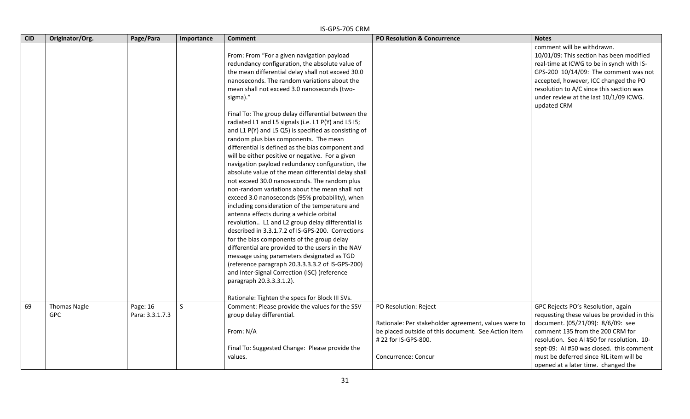|            | IS-GPS-705 CRM                    |                             |            |                                                                                                                                                                                                                                                                                                                                                                                                                                                                                                                                                                                                                                                                                                                                                                                                                                                                                                                                                                                                                                                                                                                                                                                                                                                                                                                                             |                                                                               |                                                                                                                                                                                                                                                                                                            |  |  |
|------------|-----------------------------------|-----------------------------|------------|---------------------------------------------------------------------------------------------------------------------------------------------------------------------------------------------------------------------------------------------------------------------------------------------------------------------------------------------------------------------------------------------------------------------------------------------------------------------------------------------------------------------------------------------------------------------------------------------------------------------------------------------------------------------------------------------------------------------------------------------------------------------------------------------------------------------------------------------------------------------------------------------------------------------------------------------------------------------------------------------------------------------------------------------------------------------------------------------------------------------------------------------------------------------------------------------------------------------------------------------------------------------------------------------------------------------------------------------|-------------------------------------------------------------------------------|------------------------------------------------------------------------------------------------------------------------------------------------------------------------------------------------------------------------------------------------------------------------------------------------------------|--|--|
| <b>CID</b> | Originator/Org.                   | Page/Para                   | Importance | <b>Comment</b>                                                                                                                                                                                                                                                                                                                                                                                                                                                                                                                                                                                                                                                                                                                                                                                                                                                                                                                                                                                                                                                                                                                                                                                                                                                                                                                              | PO Resolution & Concurrence                                                   | <b>Notes</b>                                                                                                                                                                                                                                                                                               |  |  |
|            |                                   |                             |            | From: From "For a given navigation payload<br>redundancy configuration, the absolute value of<br>the mean differential delay shall not exceed 30.0<br>nanoseconds. The random variations about the<br>mean shall not exceed 3.0 nanoseconds (two-<br>sigma)."<br>Final To: The group delay differential between the<br>radiated L1 and L5 signals (i.e. L1 P(Y) and L5 I5;<br>and L1 P(Y) and L5 Q5) is specified as consisting of<br>random plus bias components. The mean<br>differential is defined as the bias component and<br>will be either positive or negative. For a given<br>navigation payload redundancy configuration, the<br>absolute value of the mean differential delay shall<br>not exceed 30.0 nanoseconds. The random plus<br>non-random variations about the mean shall not<br>exceed 3.0 nanoseconds (95% probability), when<br>including consideration of the temperature and<br>antenna effects during a vehicle orbital<br>revolution L1 and L2 group delay differential is<br>described in 3.3.1.7.2 of IS-GPS-200. Corrections<br>for the bias components of the group delay<br>differential are provided to the users in the NAV<br>message using parameters designated as TGD<br>(reference paragraph 20.3.3.3.3.2 of IS-GPS-200)<br>and Inter-Signal Correction (ISC) (reference<br>paragraph 20.3.3.3.1.2). |                                                                               | comment will be withdrawn.<br>10/01/09: This section has been modified<br>real-time at ICWG to be in synch with IS-<br>GPS-200 10/14/09: The comment was not<br>accepted, however, ICC changed the PO<br>resolution to A/C since this section was<br>under review at the last 10/1/09 ICWG.<br>updated CRM |  |  |
|            |                                   |                             |            | Rationale: Tighten the specs for Block III SVs.                                                                                                                                                                                                                                                                                                                                                                                                                                                                                                                                                                                                                                                                                                                                                                                                                                                                                                                                                                                                                                                                                                                                                                                                                                                                                             |                                                                               |                                                                                                                                                                                                                                                                                                            |  |  |
| 69         | <b>Thomas Nagle</b><br><b>GPC</b> | Page: 16<br>Para: 3.3.1.7.3 | S.         | Comment: Please provide the values for the SSV<br>group delay differential.                                                                                                                                                                                                                                                                                                                                                                                                                                                                                                                                                                                                                                                                                                                                                                                                                                                                                                                                                                                                                                                                                                                                                                                                                                                                 | PO Resolution: Reject<br>Rationale: Per stakeholder agreement, values were to | GPC Rejects PO's Resolution, again<br>requesting these values be provided in this<br>document. (05/21/09): 8/6/09: see                                                                                                                                                                                     |  |  |
|            |                                   |                             |            | From: N/A                                                                                                                                                                                                                                                                                                                                                                                                                                                                                                                                                                                                                                                                                                                                                                                                                                                                                                                                                                                                                                                                                                                                                                                                                                                                                                                                   | be placed outside of this document. See Action Item<br># 22 for IS-GPS-800.   | comment 135 from the 200 CRM for<br>resolution. See AI #50 for resolution. 10-                                                                                                                                                                                                                             |  |  |
|            |                                   |                             |            | Final To: Suggested Change: Please provide the<br>values.                                                                                                                                                                                                                                                                                                                                                                                                                                                                                                                                                                                                                                                                                                                                                                                                                                                                                                                                                                                                                                                                                                                                                                                                                                                                                   | Concurrence: Concur                                                           | sept-09: AI #50 was closed. this comment<br>must be deferred since RIL item will be<br>opened at a later time. changed the                                                                                                                                                                                 |  |  |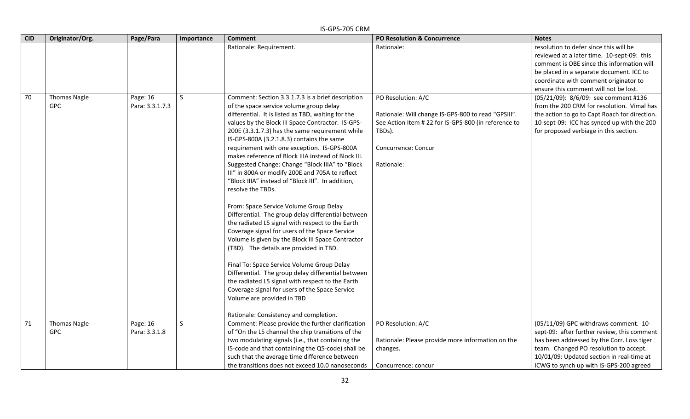| <b>CID</b> | Originator/Org.                   | Page/Para                   | Importance   | <b>Comment</b>                                                                                                                                                                                                                                                                                                                                                                                                                                                                                                                                                                                                                                                                                                                                                                                                                                                                                                                                                                                                                                                                                                                                                                        | <b>PO Resolution &amp; Concurrence</b>                                                                                                                                           | <b>Notes</b>                                                                                                                                                                                                                                                         |
|------------|-----------------------------------|-----------------------------|--------------|---------------------------------------------------------------------------------------------------------------------------------------------------------------------------------------------------------------------------------------------------------------------------------------------------------------------------------------------------------------------------------------------------------------------------------------------------------------------------------------------------------------------------------------------------------------------------------------------------------------------------------------------------------------------------------------------------------------------------------------------------------------------------------------------------------------------------------------------------------------------------------------------------------------------------------------------------------------------------------------------------------------------------------------------------------------------------------------------------------------------------------------------------------------------------------------|----------------------------------------------------------------------------------------------------------------------------------------------------------------------------------|----------------------------------------------------------------------------------------------------------------------------------------------------------------------------------------------------------------------------------------------------------------------|
|            |                                   |                             |              | Rationale: Requirement.                                                                                                                                                                                                                                                                                                                                                                                                                                                                                                                                                                                                                                                                                                                                                                                                                                                                                                                                                                                                                                                                                                                                                               | Rationale:                                                                                                                                                                       | resolution to defer since this will be<br>reviewed at a later time. 10-sept-09: this<br>comment is OBE since this information will<br>be placed in a separate document. ICC to<br>coordinate with comment originator to<br>ensure this comment will not be lost.     |
| 70         | <b>Thomas Nagle</b><br><b>GPC</b> | Page: 16<br>Para: 3.3.1.7.3 | $\mathsf{S}$ | Comment: Section 3.3.1.7.3 is a brief description<br>of the space service volume group delay<br>differential. It is listed as TBD, waiting for the<br>values by the Block III Space Contractor. IS-GPS-<br>200E (3.3.1.7.3) has the same requirement while<br>IS-GPS-800A (3.2.1.8.3) contains the same<br>requirement with one exception. IS-GPS-800A<br>makes reference of Block IIIA instead of Block III.<br>Suggested Change: Change "Block IIIA" to "Block<br>III" in 800A or modify 200E and 705A to reflect<br>"Block IIIA" instead of "Block III". In addition,<br>resolve the TBDs.<br>From: Space Service Volume Group Delay<br>Differential. The group delay differential between<br>the radiated L5 signal with respect to the Earth<br>Coverage signal for users of the Space Service<br>Volume is given by the Block III Space Contractor<br>(TBD). The details are provided in TBD.<br>Final To: Space Service Volume Group Delay<br>Differential. The group delay differential between<br>the radiated L5 signal with respect to the Earth<br>Coverage signal for users of the Space Service<br>Volume are provided in TBD<br>Rationale: Consistency and completion. | PO Resolution: A/C<br>Rationale: Will change IS-GPS-800 to read "GPSIII".<br>See Action Item # 22 for IS-GPS-800 (in reference to<br>TBDs).<br>Concurrence: Concur<br>Rationale: | (05/21/09): 8/6/09: see comment #136<br>from the 200 CRM for resolution. Vimal has<br>the action to go to Capt Roach for direction.<br>10-sept-09: ICC has synced up with the 200<br>for proposed verbiage in this section.                                          |
| 71         | <b>Thomas Nagle</b><br><b>GPC</b> | Page: 16<br>Para: 3.3.1.8   | S            | Comment: Please provide the further clarification<br>of "On the L5 channel the chip transitions of the<br>two modulating signals (i.e., that containing the<br>I5-code and that containing the Q5-code) shall be<br>such that the average time difference between<br>the transitions does not exceed 10.0 nanoseconds                                                                                                                                                                                                                                                                                                                                                                                                                                                                                                                                                                                                                                                                                                                                                                                                                                                                 | PO Resolution: A/C<br>Rationale: Please provide more information on the<br>changes.<br>Concurrence: concur                                                                       | (05/11/09) GPC withdraws comment. 10-<br>sept-09: after further review, this comment<br>has been addressed by the Corr. Loss tiger<br>team. Changed PO resolution to accept.<br>10/01/09: Updated section in real-time at<br>ICWG to synch up with IS-GPS-200 agreed |

#### IS-GPS-705 CRM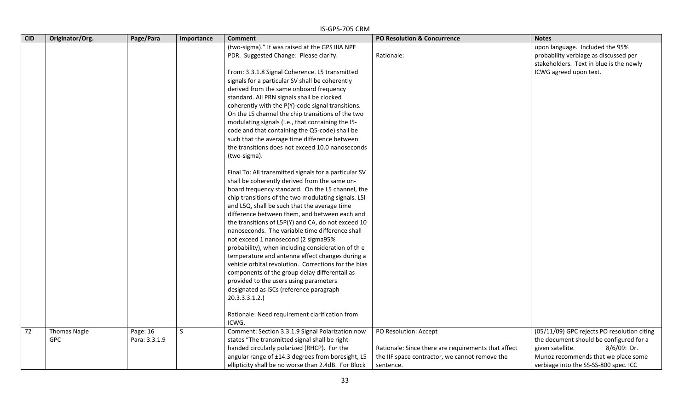|            |                                   |                           |            | IS-GPS-705 CRM                                                                                                                                               |                                                                              |                                                                                                                           |
|------------|-----------------------------------|---------------------------|------------|--------------------------------------------------------------------------------------------------------------------------------------------------------------|------------------------------------------------------------------------------|---------------------------------------------------------------------------------------------------------------------------|
| <b>CID</b> | Originator/Org.                   | Page/Para                 | Importance | <b>Comment</b>                                                                                                                                               | PO Resolution & Concurrence                                                  | <b>Notes</b>                                                                                                              |
|            |                                   |                           |            | (two-sigma)." It was raised at the GPS IIIA NPE<br>PDR. Suggested Change: Please clarify.                                                                    | Rationale:                                                                   | upon language. Included the 95%<br>probability verbiage as discussed per<br>stakeholders. Text in blue is the newly       |
|            |                                   |                           |            | From: 3.3.1.8 Signal Coherence. L5 transmitted<br>signals for a particular SV shall be coherently                                                            |                                                                              | ICWG agreed upon text.                                                                                                    |
|            |                                   |                           |            | derived from the same onboard frequency<br>standard. All PRN signals shall be clocked<br>coherently with the P(Y)-code signal transitions.                   |                                                                              |                                                                                                                           |
|            |                                   |                           |            | On the L5 channel the chip transitions of the two<br>modulating signals (i.e., that containing the I5-<br>code and that containing the Q5-code) shall be     |                                                                              |                                                                                                                           |
|            |                                   |                           |            | such that the average time difference between<br>the transitions does not exceed 10.0 nanoseconds<br>(two-sigma).                                            |                                                                              |                                                                                                                           |
|            |                                   |                           |            | Final To: All transmitted signals for a particular SV<br>shall be coherently derived from the same on-                                                       |                                                                              |                                                                                                                           |
|            |                                   |                           |            | board frequency standard. On the L5 channel, the<br>chip transitions of the two modulating signals. L5I                                                      |                                                                              |                                                                                                                           |
|            |                                   |                           |            | and L5Q, shall be such that the average time<br>difference between them, and between each and<br>the transitions of L5P(Y) and CA, do not exceed 10          |                                                                              |                                                                                                                           |
|            |                                   |                           |            | nanoseconds. The variable time difference shall<br>not exceed 1 nanosecond (2 sigma95%                                                                       |                                                                              |                                                                                                                           |
|            |                                   |                           |            | probability), when including consideration of the<br>temperature and antenna effect changes during a<br>vehicle orbital revolution. Corrections for the bias |                                                                              |                                                                                                                           |
|            |                                   |                           |            | components of the group delay differentail as<br>provided to the users using parameters<br>designated as ISCs (reference paragraph                           |                                                                              |                                                                                                                           |
|            |                                   |                           |            | 20.3.3.3.1.2.                                                                                                                                                |                                                                              |                                                                                                                           |
|            |                                   |                           |            | Rationale: Need requirement clarification from<br>ICWG.                                                                                                      |                                                                              |                                                                                                                           |
| 72         | <b>Thomas Nagle</b><br><b>GPC</b> | Page: 16<br>Para: 3.3.1.9 | S          | Comment: Section 3.3.1.9 Signal Polarization now<br>states "The transmitted signal shall be right-<br>handed circularly polarized (RHCP). For the            | PO Resolution: Accept<br>Rationale: Since there are requirements that affect | (05/11/09) GPC rejects PO resolution citing<br>the document should be configured for a<br>given satellite.<br>8/6/09: Dr. |
|            |                                   |                           |            | angular range of ±14.3 degrees from boresight, L5<br>ellipticity shall be no worse than 2.4dB. For Block                                                     | the IIF space contractor, we cannot remove the<br>sentence.                  | Munoz recommends that we place some<br>verbiage into the SS-SS-800 spec. ICC                                              |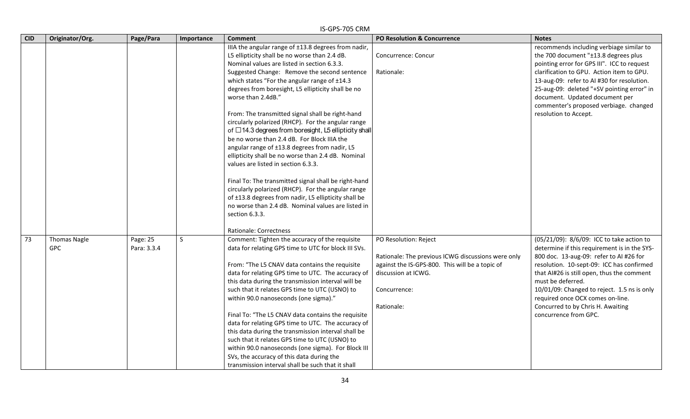|            | IS-GPS-705 CRM                    |                         |              |                                                                                                                                                                                                                                                                                                                                                                                                                                                                                                                                                                                                                                                                                                                                                                                                                                                                                                                                                     |                                                                                                                                                                                     |                                                                                                                                                                                                                                                                                                                                                                                                       |  |  |  |
|------------|-----------------------------------|-------------------------|--------------|-----------------------------------------------------------------------------------------------------------------------------------------------------------------------------------------------------------------------------------------------------------------------------------------------------------------------------------------------------------------------------------------------------------------------------------------------------------------------------------------------------------------------------------------------------------------------------------------------------------------------------------------------------------------------------------------------------------------------------------------------------------------------------------------------------------------------------------------------------------------------------------------------------------------------------------------------------|-------------------------------------------------------------------------------------------------------------------------------------------------------------------------------------|-------------------------------------------------------------------------------------------------------------------------------------------------------------------------------------------------------------------------------------------------------------------------------------------------------------------------------------------------------------------------------------------------------|--|--|--|
| <b>CID</b> | Originator/Org.                   | Page/Para               | Importance   | <b>Comment</b>                                                                                                                                                                                                                                                                                                                                                                                                                                                                                                                                                                                                                                                                                                                                                                                                                                                                                                                                      | PO Resolution & Concurrence                                                                                                                                                         | <b>Notes</b>                                                                                                                                                                                                                                                                                                                                                                                          |  |  |  |
|            |                                   |                         |              | IIIA the angular range of ±13.8 degrees from nadir,<br>L5 ellipticity shall be no worse than 2.4 dB.<br>Nominal values are listed in section 6.3.3.<br>Suggested Change: Remove the second sentence<br>which states "For the angular range of ±14.3<br>degrees from boresight, L5 ellipticity shall be no<br>worse than 2.4dB."<br>From: The transmitted signal shall be right-hand<br>circularly polarized (RHCP). For the angular range<br>of $\Box$ 14.3 degrees from boresight, L5 ellipticity shall<br>be no worse than 2.4 dB. For Block IIIA the<br>angular range of ±13.8 degrees from nadir, L5<br>ellipticity shall be no worse than 2.4 dB. Nominal<br>values are listed in section 6.3.3.<br>Final To: The transmitted signal shall be right-hand<br>circularly polarized (RHCP). For the angular range<br>of ±13.8 degrees from nadir, L5 ellipticity shall be<br>no worse than 2.4 dB. Nominal values are listed in<br>section 6.3.3. | Concurrence: Concur<br>Rationale:                                                                                                                                                   | recommends including verbiage similar to<br>the 700 document "±13.8 degrees plus<br>pointing error for GPS III". ICC to request<br>clarification to GPU. Action item to GPU.<br>13-aug-09: refer to AI #30 for resolution.<br>25-aug-09: deleted "+SV pointing error" in<br>document. Updated document per<br>commenter's proposed verbiage. changed<br>resolution to Accept.                         |  |  |  |
| 73         | <b>Thomas Nagle</b><br><b>GPC</b> | Page: 25<br>Para: 3.3.4 | <sub>S</sub> | Rationale: Correctness<br>Comment: Tighten the accuracy of the requisite<br>data for relating GPS time to UTC for block III SVs.<br>From: "The L5 CNAV data contains the requisite<br>data for relating GPS time to UTC. The accuracy of<br>this data during the transmission interval will be<br>such that it relates GPS time to UTC (USNO) to<br>within 90.0 nanoseconds (one sigma)."<br>Final To: "The L5 CNAV data contains the requisite<br>data for relating GPS time to UTC. The accuracy of<br>this data during the transmission interval shall be<br>such that it relates GPS time to UTC (USNO) to<br>within 90.0 nanoseconds (one sigma). For Block III<br>SVs, the accuracy of this data during the<br>transmission interval shall be such that it shall                                                                                                                                                                              | PO Resolution: Reject<br>Rationale: The previous ICWG discussions were only<br>against the IS-GPS-800. This will be a topic of<br>discussion at ICWG.<br>Concurrence:<br>Rationale: | (05/21/09): 8/6/09: ICC to take action to<br>determine if this requirement is in the SYS-<br>800 doc. 13-aug-09: refer to AI #26 for<br>resolution. 10-sept-09: ICC has confirmed<br>that AI#26 is still open, thus the comment<br>must be deferred.<br>10/01/09: Changed to reject. 1.5 ns is only<br>required once OCX comes on-line.<br>Concurred to by Chris H. Awaiting<br>concurrence from GPC. |  |  |  |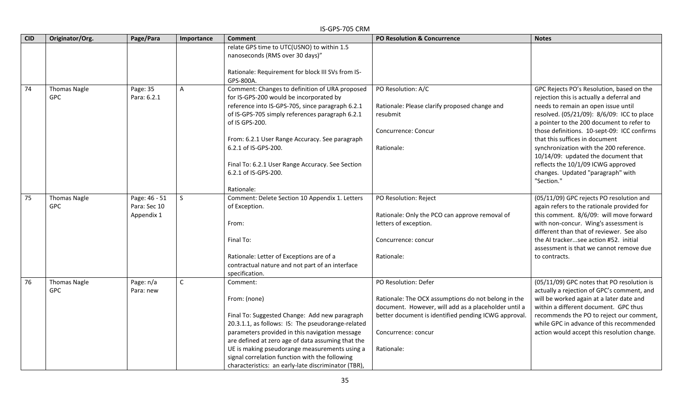|            | IS-GPS-705 CRM                    |                                             |              |                                                                                                                                                                                                                                                                                                                                                                                                 |                                                                                                                                                                                                                                  |                                                                                                                                                                                                                                                                                                                                                                                                                                                                                      |  |  |
|------------|-----------------------------------|---------------------------------------------|--------------|-------------------------------------------------------------------------------------------------------------------------------------------------------------------------------------------------------------------------------------------------------------------------------------------------------------------------------------------------------------------------------------------------|----------------------------------------------------------------------------------------------------------------------------------------------------------------------------------------------------------------------------------|--------------------------------------------------------------------------------------------------------------------------------------------------------------------------------------------------------------------------------------------------------------------------------------------------------------------------------------------------------------------------------------------------------------------------------------------------------------------------------------|--|--|
| <b>CID</b> | Originator/Org.                   | Page/Para                                   | Importance   | <b>Comment</b>                                                                                                                                                                                                                                                                                                                                                                                  | <b>PO Resolution &amp; Concurrence</b>                                                                                                                                                                                           | <b>Notes</b>                                                                                                                                                                                                                                                                                                                                                                                                                                                                         |  |  |
|            |                                   |                                             |              | relate GPS time to UTC(USNO) to within 1.5<br>nanoseconds (RMS over 30 days)"<br>Rationale: Requirement for block III SVs from IS-<br>GPS-800A.                                                                                                                                                                                                                                                 |                                                                                                                                                                                                                                  |                                                                                                                                                                                                                                                                                                                                                                                                                                                                                      |  |  |
| 74         | <b>Thomas Nagle</b><br>GPC        | Page: $3\overline{5}$<br>Para: 6.2.1        | $\mathsf{A}$ | Comment: Changes to definition of URA proposed<br>for IS-GPS-200 would be incorporated by<br>reference into IS-GPS-705, since paragraph 6.2.1<br>of IS-GPS-705 simply references paragraph 6.2.1<br>of IS GPS-200.<br>From: 6.2.1 User Range Accuracy. See paragraph<br>6.2.1 of IS-GPS-200.<br>Final To: 6.2.1 User Range Accuracy. See Section<br>6.2.1 of IS-GPS-200.<br>Rationale:          | PO Resolution: A/C<br>Rationale: Please clarify proposed change and<br>resubmit<br>Concurrence: Concur<br>Rationale:                                                                                                             | GPC Rejects PO's Resolution, based on the<br>rejection this is actually a deferral and<br>needs to remain an open issue until<br>resolved. (05/21/09): 8/6/09: ICC to place<br>a pointer to the 200 document to refer to<br>those definitions. 10-sept-09: ICC confirms<br>that this suffices in document<br>synchronization with the 200 reference.<br>10/14/09: updated the document that<br>reflects the 10/1/09 ICWG approved<br>changes. Updated "paragraph" with<br>"Section." |  |  |
| 75         | <b>Thomas Nagle</b><br><b>GPC</b> | Page: 46 - 51<br>Para: Sec 10<br>Appendix 1 | S            | Comment: Delete Section 10 Appendix 1. Letters<br>of Exception.<br>From:<br>Final To:<br>Rationale: Letter of Exceptions are of a<br>contractual nature and not part of an interface<br>specification.                                                                                                                                                                                          | PO Resolution: Reject<br>Rationale: Only the PCO can approve removal of<br>letters of exception.<br>Concurrence: concur<br>Rationale:                                                                                            | (05/11/09) GPC rejects PO resolution and<br>again refers to the rationale provided for<br>this comment. 8/6/09: will move forward<br>with non-concur. Wing's assessment is<br>different than that of reviewer. See also<br>the AI trackersee action #52. initial<br>assessment is that we cannot remove due<br>to contracts.                                                                                                                                                         |  |  |
| 76         | <b>Thomas Nagle</b><br><b>GPC</b> | Page: n/a<br>Para: new                      | $\mathsf{C}$ | Comment:<br>From: (none)<br>Final To: Suggested Change: Add new paragraph<br>20.3.1.1, as follows: IS: The pseudorange-related<br>parameters provided in this navigation message<br>are defined at zero age of data assuming that the<br>UE is making pseudorange measurements using a<br>signal correlation function with the following<br>characteristics: an early-late discriminator (TBR), | PO Resolution: Defer<br>Rationale: The OCX assumptions do not belong in the<br>document. However, will add as a placeholder until a<br>better document is identified pending ICWG approval.<br>Concurrence: concur<br>Rationale: | (05/11/09) GPC notes that PO resolution is<br>actually a rejection of GPC's comment, and<br>will be worked again at a later date and<br>within a different document. GPC thus<br>recommends the PO to reject our comment,<br>while GPC in advance of this recommended<br>action would accept this resolution change.                                                                                                                                                                 |  |  |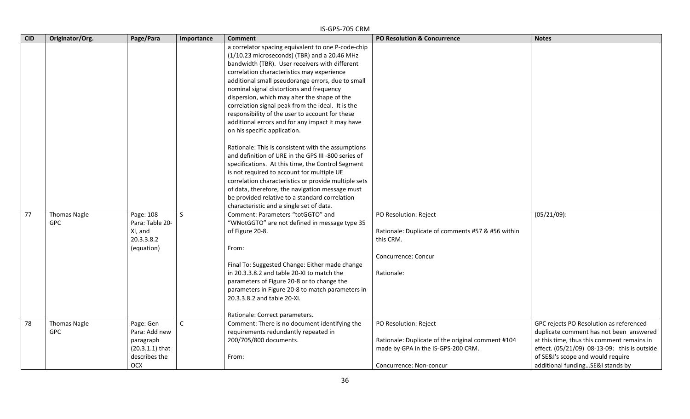|            |                                   |                                                                                      |              | IS-GPS-705 CRM                                                                                                                                                                                                                                                                                                                                                                                                                                                                                                                                                                                                                                                                                                                                                                                                                                                                                                               |                                                                                                                                             |                                                                                                                                                                                                                                                            |
|------------|-----------------------------------|--------------------------------------------------------------------------------------|--------------|------------------------------------------------------------------------------------------------------------------------------------------------------------------------------------------------------------------------------------------------------------------------------------------------------------------------------------------------------------------------------------------------------------------------------------------------------------------------------------------------------------------------------------------------------------------------------------------------------------------------------------------------------------------------------------------------------------------------------------------------------------------------------------------------------------------------------------------------------------------------------------------------------------------------------|---------------------------------------------------------------------------------------------------------------------------------------------|------------------------------------------------------------------------------------------------------------------------------------------------------------------------------------------------------------------------------------------------------------|
| <b>CID</b> | Originator/Org.                   | Page/Para                                                                            | Importance   | <b>Comment</b>                                                                                                                                                                                                                                                                                                                                                                                                                                                                                                                                                                                                                                                                                                                                                                                                                                                                                                               | <b>PO Resolution &amp; Concurrence</b>                                                                                                      | <b>Notes</b>                                                                                                                                                                                                                                               |
|            |                                   |                                                                                      |              | a correlator spacing equivalent to one P-code-chip<br>(1/10.23 microseconds) (TBR) and a 20.46 MHz<br>bandwidth (TBR). User receivers with different<br>correlation characteristics may experience<br>additional small pseudorange errors, due to small<br>nominal signal distortions and frequency<br>dispersion, which may alter the shape of the<br>correlation signal peak from the ideal. It is the<br>responsibility of the user to account for these<br>additional errors and for any impact it may have<br>on his specific application.<br>Rationale: This is consistent with the assumptions<br>and definition of URE in the GPS III -800 series of<br>specifications. At this time, the Control Segment<br>is not required to account for multiple UE<br>correlation characteristics or provide multiple sets<br>of data, therefore, the navigation message must<br>be provided relative to a standard correlation |                                                                                                                                             |                                                                                                                                                                                                                                                            |
| 77         | <b>Thomas Nagle</b><br>GPC        | Page: 108<br>Para: Table 20-<br>XI, and<br>20.3.3.8.2<br>(equation)                  | S            | characteristic and a single set of data.<br>Comment: Parameters "totGGTO" and<br>"WNotGGTO" are not defined in message type 35<br>of Figure 20-8.<br>From:<br>Final To: Suggested Change: Either made change<br>in 20.3.3.8.2 and table 20-XI to match the<br>parameters of Figure 20-8 or to change the<br>parameters in Figure 20-8 to match parameters in<br>20.3.3.8.2 and table 20-XI.<br>Rationale: Correct parameters.                                                                                                                                                                                                                                                                                                                                                                                                                                                                                                | PO Resolution: Reject<br>Rationale: Duplicate of comments #57 & #56 within<br>this CRM.<br>Concurrence: Concur<br>Rationale:                | $(05/21/09)$ :                                                                                                                                                                                                                                             |
| 78         | <b>Thomas Nagle</b><br><b>GPC</b> | Page: Gen<br>Para: Add new<br>paragraph<br>$(20.3.1.1)$ that<br>describes the<br>OCX | $\mathsf{C}$ | Comment: There is no document identifying the<br>requirements redundantly repeated in<br>200/705/800 documents.<br>From:                                                                                                                                                                                                                                                                                                                                                                                                                                                                                                                                                                                                                                                                                                                                                                                                     | PO Resolution: Reject<br>Rationale: Duplicate of the original comment #104<br>made by GPA in the IS-GPS-200 CRM.<br>Concurrence: Non-concur | GPC rejects PO Resolution as referenced<br>duplicate comment has not been answered<br>at this time, thus this comment remains in<br>effect. (05/21/09) 08-13-09: this is outside<br>of SE&I's scope and would require<br>additional funding SE&I stands by |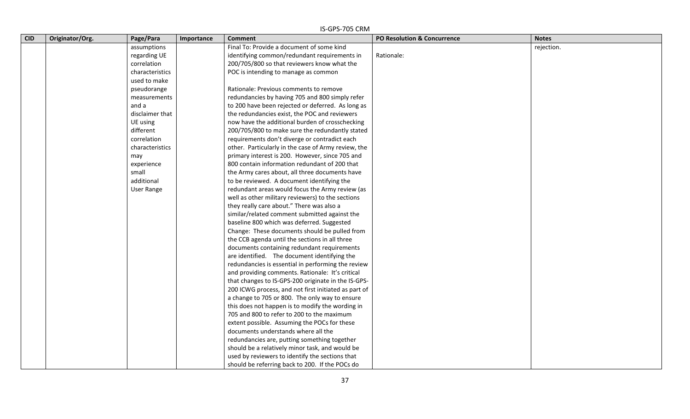| <b>CID</b> | Originator/Org. | Page/Para         | Importance | <b>Comment</b>                                       | PO Resolution & Concurrence | <b>Notes</b> |
|------------|-----------------|-------------------|------------|------------------------------------------------------|-----------------------------|--------------|
|            |                 | assumptions       |            | Final To: Provide a document of some kind            |                             | rejection.   |
|            |                 | regarding UE      |            | identifying common/redundant requirements in         | Rationale:                  |              |
|            |                 | correlation       |            | 200/705/800 so that reviewers know what the          |                             |              |
|            |                 | characteristics   |            | POC is intending to manage as common                 |                             |              |
|            |                 | used to make      |            |                                                      |                             |              |
|            |                 | pseudorange       |            | Rationale: Previous comments to remove               |                             |              |
|            |                 | measurements      |            | redundancies by having 705 and 800 simply refer      |                             |              |
|            |                 | and a             |            | to 200 have been rejected or deferred. As long as    |                             |              |
|            |                 | disclaimer that   |            | the redundancies exist, the POC and reviewers        |                             |              |
|            |                 | UE using          |            | now have the additional burden of crosschecking      |                             |              |
|            |                 | different         |            | 200/705/800 to make sure the redundantly stated      |                             |              |
|            |                 | correlation       |            | requirements don't diverge or contradict each        |                             |              |
|            |                 | characteristics   |            | other. Particularly in the case of Army review, the  |                             |              |
|            |                 | may               |            | primary interest is 200. However, since 705 and      |                             |              |
|            |                 | experience        |            | 800 contain information redundant of 200 that        |                             |              |
|            |                 | small             |            | the Army cares about, all three documents have       |                             |              |
|            |                 | additional        |            | to be reviewed. A document identifying the           |                             |              |
|            |                 | <b>User Range</b> |            | redundant areas would focus the Army review (as      |                             |              |
|            |                 |                   |            | well as other military reviewers) to the sections    |                             |              |
|            |                 |                   |            | they really care about." There was also a            |                             |              |
|            |                 |                   |            | similar/related comment submitted against the        |                             |              |
|            |                 |                   |            | baseline 800 which was deferred. Suggested           |                             |              |
|            |                 |                   |            | Change: These documents should be pulled from        |                             |              |
|            |                 |                   |            | the CCB agenda until the sections in all three       |                             |              |
|            |                 |                   |            | documents containing redundant requirements          |                             |              |
|            |                 |                   |            | are identified. The document identifying the         |                             |              |
|            |                 |                   |            | redundancies is essential in performing the review   |                             |              |
|            |                 |                   |            | and providing comments. Rationale: It's critical     |                             |              |
|            |                 |                   |            | that changes to IS-GPS-200 originate in the IS-GPS-  |                             |              |
|            |                 |                   |            | 200 ICWG process, and not first initiated as part of |                             |              |
|            |                 |                   |            | a change to 705 or 800. The only way to ensure       |                             |              |
|            |                 |                   |            | this does not happen is to modify the wording in     |                             |              |
|            |                 |                   |            | 705 and 800 to refer to 200 to the maximum           |                             |              |
|            |                 |                   |            | extent possible. Assuming the POCs for these         |                             |              |
|            |                 |                   |            | documents understands where all the                  |                             |              |
|            |                 |                   |            | redundancies are, putting something together         |                             |              |
|            |                 |                   |            | should be a relatively minor task, and would be      |                             |              |
|            |                 |                   |            | used by reviewers to identify the sections that      |                             |              |
|            |                 |                   |            | should be referring back to 200. If the POCs do      |                             |              |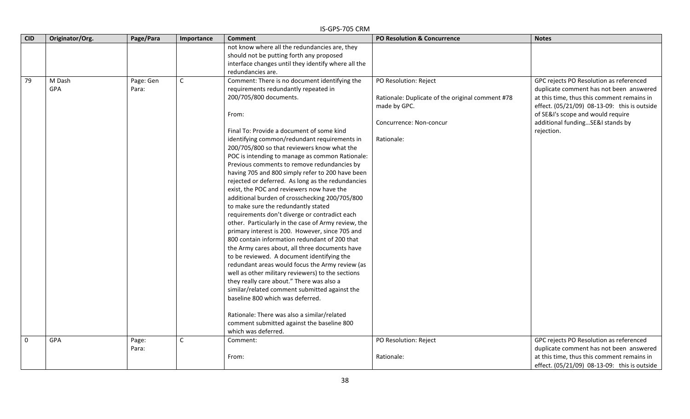| <b>CID</b>  | Originator/Org.      | Page/Para          | Importance   | <b>Comment</b>                                                                                                                                                                                                                                                                                                                                                                                                                                                                                                                                                                                                                                                                                                                                                                                                                                                                                                                                                                                                                                                                                                                                                                                                                                                           | PO Resolution & Concurrence                                                                                                        | <b>Notes</b>                                                                                                                                                                                                                                                            |
|-------------|----------------------|--------------------|--------------|--------------------------------------------------------------------------------------------------------------------------------------------------------------------------------------------------------------------------------------------------------------------------------------------------------------------------------------------------------------------------------------------------------------------------------------------------------------------------------------------------------------------------------------------------------------------------------------------------------------------------------------------------------------------------------------------------------------------------------------------------------------------------------------------------------------------------------------------------------------------------------------------------------------------------------------------------------------------------------------------------------------------------------------------------------------------------------------------------------------------------------------------------------------------------------------------------------------------------------------------------------------------------|------------------------------------------------------------------------------------------------------------------------------------|-------------------------------------------------------------------------------------------------------------------------------------------------------------------------------------------------------------------------------------------------------------------------|
|             |                      |                    |              | not know where all the redundancies are, they<br>should not be putting forth any proposed<br>interface changes until they identify where all the                                                                                                                                                                                                                                                                                                                                                                                                                                                                                                                                                                                                                                                                                                                                                                                                                                                                                                                                                                                                                                                                                                                         |                                                                                                                                    |                                                                                                                                                                                                                                                                         |
|             |                      |                    |              | redundancies are.                                                                                                                                                                                                                                                                                                                                                                                                                                                                                                                                                                                                                                                                                                                                                                                                                                                                                                                                                                                                                                                                                                                                                                                                                                                        |                                                                                                                                    |                                                                                                                                                                                                                                                                         |
| 79          | M Dash<br><b>GPA</b> | Page: Gen<br>Para: | $\mathsf{C}$ | Comment: There is no document identifying the<br>requirements redundantly repeated in<br>200/705/800 documents.<br>From:<br>Final To: Provide a document of some kind<br>identifying common/redundant requirements in<br>200/705/800 so that reviewers know what the<br>POC is intending to manage as common Rationale:<br>Previous comments to remove redundancies by<br>having 705 and 800 simply refer to 200 have been<br>rejected or deferred. As long as the redundancies<br>exist, the POC and reviewers now have the<br>additional burden of crosschecking 200/705/800<br>to make sure the redundantly stated<br>requirements don't diverge or contradict each<br>other. Particularly in the case of Army review, the<br>primary interest is 200. However, since 705 and<br>800 contain information redundant of 200 that<br>the Army cares about, all three documents have<br>to be reviewed. A document identifying the<br>redundant areas would focus the Army review (as<br>well as other military reviewers) to the sections<br>they really care about." There was also a<br>similar/related comment submitted against the<br>baseline 800 which was deferred.<br>Rationale: There was also a similar/related<br>comment submitted against the baseline 800 | PO Resolution: Reject<br>Rationale: Duplicate of the original comment #78<br>made by GPC.<br>Concurrence: Non-concur<br>Rationale: | GPC rejects PO Resolution as referenced<br>duplicate comment has not been answered<br>at this time, thus this comment remains in<br>effect. (05/21/09) 08-13-09: this is outside<br>of SE&I's scope and would require<br>additional fundingSE&I stands by<br>rejection. |
|             |                      |                    |              | which was deferred.                                                                                                                                                                                                                                                                                                                                                                                                                                                                                                                                                                                                                                                                                                                                                                                                                                                                                                                                                                                                                                                                                                                                                                                                                                                      |                                                                                                                                    |                                                                                                                                                                                                                                                                         |
| $\mathbf 0$ | GPA                  | Page:<br>Para:     | $\mathsf C$  | Comment:<br>From:                                                                                                                                                                                                                                                                                                                                                                                                                                                                                                                                                                                                                                                                                                                                                                                                                                                                                                                                                                                                                                                                                                                                                                                                                                                        | PO Resolution: Reject<br>Rationale:                                                                                                | GPC rejects PO Resolution as referenced<br>duplicate comment has not been answered<br>at this time, thus this comment remains in<br>effect. (05/21/09) 08-13-09: this is outside                                                                                        |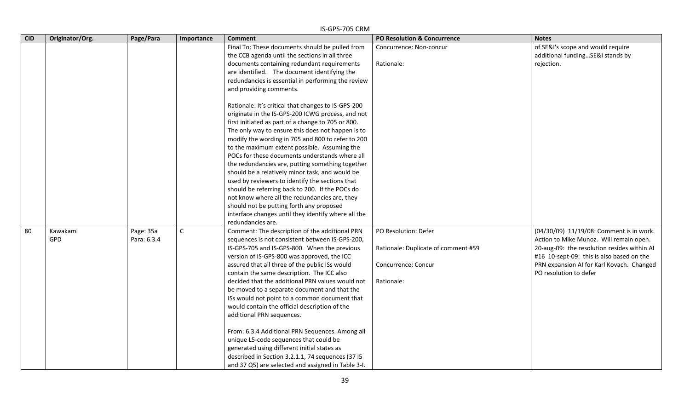| <b>CID</b> | Originator/Org. | Page/Para   | Importance  | וזווט כט <i>ו</i> כו וט כו<br><b>Comment</b>        | PO Resolution & Concurrence         | <b>Notes</b>                                |
|------------|-----------------|-------------|-------------|-----------------------------------------------------|-------------------------------------|---------------------------------------------|
|            |                 |             |             | Final To: These documents should be pulled from     | Concurrence: Non-concur             | of SE&I's scope and would require           |
|            |                 |             |             | the CCB agenda until the sections in all three      |                                     | additional funding SE&I stands by           |
|            |                 |             |             | documents containing redundant requirements         | Rationale:                          | rejection.                                  |
|            |                 |             |             | are identified. The document identifying the        |                                     |                                             |
|            |                 |             |             | redundancies is essential in performing the review  |                                     |                                             |
|            |                 |             |             | and providing comments.                             |                                     |                                             |
|            |                 |             |             |                                                     |                                     |                                             |
|            |                 |             |             | Rationale: It's critical that changes to IS-GPS-200 |                                     |                                             |
|            |                 |             |             | originate in the IS-GPS-200 ICWG process, and not   |                                     |                                             |
|            |                 |             |             | first initiated as part of a change to 705 or 800.  |                                     |                                             |
|            |                 |             |             | The only way to ensure this does not happen is to   |                                     |                                             |
|            |                 |             |             | modify the wording in 705 and 800 to refer to 200   |                                     |                                             |
|            |                 |             |             | to the maximum extent possible. Assuming the        |                                     |                                             |
|            |                 |             |             | POCs for these documents understands where all      |                                     |                                             |
|            |                 |             |             | the redundancies are, putting something together    |                                     |                                             |
|            |                 |             |             | should be a relatively minor task, and would be     |                                     |                                             |
|            |                 |             |             | used by reviewers to identify the sections that     |                                     |                                             |
|            |                 |             |             | should be referring back to 200. If the POCs do     |                                     |                                             |
|            |                 |             |             | not know where all the redundancies are, they       |                                     |                                             |
|            |                 |             |             | should not be putting forth any proposed            |                                     |                                             |
|            |                 |             |             | interface changes until they identify where all the |                                     |                                             |
|            |                 |             |             | redundancies are.                                   |                                     |                                             |
| 80         | Kawakami        | Page: 35a   | $\mathsf C$ | Comment: The description of the additional PRN      | PO Resolution: Defer                | (04/30/09) 11/19/08: Comment is in work.    |
|            | <b>GPD</b>      | Para: 6.3.4 |             | sequences is not consistent between IS-GPS-200,     |                                     | Action to Mike Munoz. Will remain open.     |
|            |                 |             |             | IS-GPS-705 and IS-GPS-800. When the previous        | Rationale: Duplicate of comment #59 | 20-aug-09: the resolution resides within AI |
|            |                 |             |             | version of IS-GPS-800 was approved, the ICC         |                                     | #16 10-sept-09: this is also based on the   |
|            |                 |             |             | assured that all three of the public ISs would      | Concurrence: Concur                 | PRN expansion AI for Karl Kovach. Changed   |
|            |                 |             |             | contain the same description. The ICC also          |                                     | PO resolution to defer                      |
|            |                 |             |             | decided that the additional PRN values would not    | Rationale:                          |                                             |
|            |                 |             |             | be moved to a separate document and that the        |                                     |                                             |
|            |                 |             |             | ISs would not point to a common document that       |                                     |                                             |
|            |                 |             |             | would contain the official description of the       |                                     |                                             |
|            |                 |             |             | additional PRN sequences.                           |                                     |                                             |
|            |                 |             |             | From: 6.3.4 Additional PRN Sequences. Among all     |                                     |                                             |
|            |                 |             |             | unique L5-code sequences that could be              |                                     |                                             |
|            |                 |             |             | generated using different initial states as         |                                     |                                             |
|            |                 |             |             | described in Section 3.2.1.1, 74 sequences (37 I5   |                                     |                                             |
|            |                 |             |             | and 37 Q5) are selected and assigned in Table 3-I.  |                                     |                                             |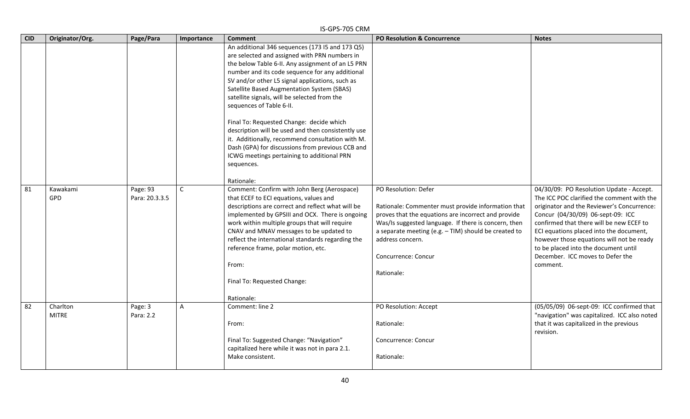|            | IS-GPS-705 CRM           |                            |              |                                                                                                                                                                                                                                                                                                                                                                                                                                                                                                                                                                                                                                                                           |                                                                                                                                                                                                                                                                                                              |                                                                                                                                                                                                                                                                                                                                                                                                       |  |  |  |
|------------|--------------------------|----------------------------|--------------|---------------------------------------------------------------------------------------------------------------------------------------------------------------------------------------------------------------------------------------------------------------------------------------------------------------------------------------------------------------------------------------------------------------------------------------------------------------------------------------------------------------------------------------------------------------------------------------------------------------------------------------------------------------------------|--------------------------------------------------------------------------------------------------------------------------------------------------------------------------------------------------------------------------------------------------------------------------------------------------------------|-------------------------------------------------------------------------------------------------------------------------------------------------------------------------------------------------------------------------------------------------------------------------------------------------------------------------------------------------------------------------------------------------------|--|--|--|
| <b>CID</b> | Originator/Org.          | Page/Para                  | Importance   | <b>Comment</b>                                                                                                                                                                                                                                                                                                                                                                                                                                                                                                                                                                                                                                                            | <b>PO Resolution &amp; Concurrence</b>                                                                                                                                                                                                                                                                       | <b>Notes</b>                                                                                                                                                                                                                                                                                                                                                                                          |  |  |  |
|            |                          |                            |              | An additional 346 sequences (173 I5 and 173 Q5)<br>are selected and assigned with PRN numbers in<br>the below Table 6-II. Any assignment of an L5 PRN<br>number and its code sequence for any additional<br>SV and/or other L5 signal applications, such as<br>Satellite Based Augmentation System (SBAS)<br>satellite signals, will be selected from the<br>sequences of Table 6-II.<br>Final To: Requested Change: decide which<br>description will be used and then consistently use<br>it. Additionally, recommend consultation with M.<br>Dash (GPA) for discussions from previous CCB and<br>ICWG meetings pertaining to additional PRN<br>sequences.<br>Rationale: |                                                                                                                                                                                                                                                                                                              |                                                                                                                                                                                                                                                                                                                                                                                                       |  |  |  |
| 81         | Kawakami<br><b>GPD</b>   | Page: 93<br>Para: 20.3.3.5 | $\mathsf{C}$ | Comment: Confirm with John Berg (Aerospace)<br>that ECEF to ECI equations, values and<br>descriptions are correct and reflect what will be<br>implemented by GPSIII and OCX. There is ongoing<br>work within multiple groups that will require<br>CNAV and MNAV messages to be updated to<br>reflect the international standards regarding the<br>reference frame, polar motion, etc.<br>From:<br>Final To: Requested Change:<br>Rationale:                                                                                                                                                                                                                               | PO Resolution: Defer<br>Rationale: Commenter must provide information that<br>proves that the equations are incorrect and provide<br>Was/Is suggested language. If there is concern, then<br>a separate meeting (e.g. $-$ TIM) should be created to<br>address concern.<br>Concurrence: Concur<br>Rationale: | 04/30/09: PO Resolution Update - Accept.<br>The ICC POC clarified the comment with the<br>originator and the Reviewer's Concurrence:<br>Concur (04/30/09) 06-sept-09: ICC<br>confirmed that there will be new ECEF to<br>ECI equations placed into the document,<br>however those equations will not be ready<br>to be placed into the document until<br>December. ICC moves to Defer the<br>comment. |  |  |  |
| 82         | Charlton<br><b>MITRE</b> | Page: 3<br>Para: 2.2       | A            | Comment: line 2<br>From:<br>Final To: Suggested Change: "Navigation"<br>capitalized here while it was not in para 2.1.<br>Make consistent.                                                                                                                                                                                                                                                                                                                                                                                                                                                                                                                                | PO Resolution: Accept<br>Rationale:<br>Concurrence: Concur<br>Rationale:                                                                                                                                                                                                                                     | (05/05/09) 06-sept-09: ICC confirmed that<br>"navigation" was capitalized. ICC also noted<br>that it was capitalized in the previous<br>revision.                                                                                                                                                                                                                                                     |  |  |  |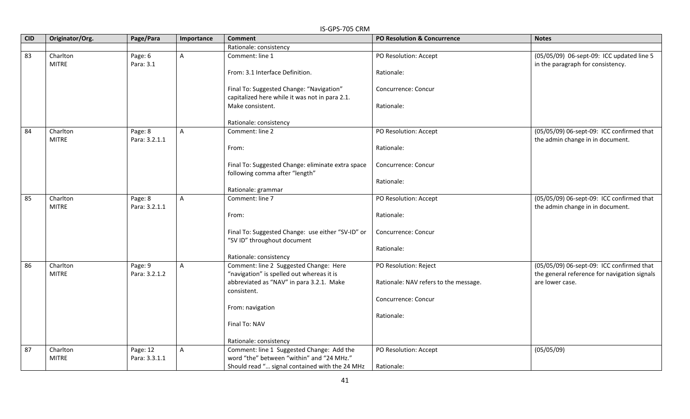|            | IS-GPS-705 CRM           |                           |                |                                                                                            |                                        |                                                                                           |  |  |
|------------|--------------------------|---------------------------|----------------|--------------------------------------------------------------------------------------------|----------------------------------------|-------------------------------------------------------------------------------------------|--|--|
| <b>CID</b> | Originator/Org.          | Page/Para                 | Importance     | <b>Comment</b>                                                                             | <b>PO Resolution &amp; Concurrence</b> | <b>Notes</b>                                                                              |  |  |
|            |                          |                           |                | Rationale: consistency                                                                     |                                        |                                                                                           |  |  |
| 83         | Charlton<br><b>MITRE</b> | Page: 6<br>Para: 3.1      | $\mathsf{A}$   | Comment: line 1                                                                            | PO Resolution: Accept                  | (05/05/09) 06-sept-09: ICC updated line 5<br>in the paragraph for consistency.            |  |  |
|            |                          |                           |                | From: 3.1 Interface Definition.                                                            | Rationale:                             |                                                                                           |  |  |
|            |                          |                           |                | Final To: Suggested Change: "Navigation"<br>capitalized here while it was not in para 2.1. | Concurrence: Concur                    |                                                                                           |  |  |
|            |                          |                           |                | Make consistent.                                                                           | Rationale:                             |                                                                                           |  |  |
|            |                          |                           |                | Rationale: consistency                                                                     |                                        |                                                                                           |  |  |
| 84         | Charlton<br><b>MITRE</b> | Page: 8<br>Para: 3.2.1.1  | $\mathsf{A}$   | Comment: line 2                                                                            | PO Resolution: Accept                  | (05/05/09) 06-sept-09: ICC confirmed that<br>the admin change in in document.             |  |  |
|            |                          |                           |                | From:                                                                                      | Rationale:                             |                                                                                           |  |  |
|            |                          |                           |                | Final To: Suggested Change: eliminate extra space<br>following comma after "length"        | Concurrence: Concur                    |                                                                                           |  |  |
|            |                          |                           |                | Rationale: grammar                                                                         | Rationale:                             |                                                                                           |  |  |
| 85         | Charlton                 | Page: 8                   | $\overline{A}$ | Comment: line 7                                                                            | PO Resolution: Accept                  | (05/05/09) 06-sept-09: ICC confirmed that                                                 |  |  |
|            | <b>MITRE</b>             | Para: 3.2.1.1             |                |                                                                                            |                                        | the admin change in in document.                                                          |  |  |
|            |                          |                           |                | From:                                                                                      | Rationale:                             |                                                                                           |  |  |
|            |                          |                           |                | Final To: Suggested Change: use either "SV-ID" or<br>"SV ID" throughout document           | Concurrence: Concur                    |                                                                                           |  |  |
|            |                          |                           |                |                                                                                            | Rationale:                             |                                                                                           |  |  |
|            |                          |                           |                | Rationale: consistency                                                                     |                                        |                                                                                           |  |  |
| 86         | Charlton<br><b>MITRE</b> | Page: 9<br>Para: 3.2.1.2  | $\overline{A}$ | Comment: line 2 Suggested Change: Here<br>"navigation" is spelled out whereas it is        | PO Resolution: Reject                  | (05/05/09) 06-sept-09: ICC confirmed that<br>the general reference for navigation signals |  |  |
|            |                          |                           |                | abbreviated as "NAV" in para 3.2.1. Make<br>consistent.                                    | Rationale: NAV refers to the message.  | are lower case.                                                                           |  |  |
|            |                          |                           |                |                                                                                            | Concurrence: Concur                    |                                                                                           |  |  |
|            |                          |                           |                | From: navigation                                                                           |                                        |                                                                                           |  |  |
|            |                          |                           |                |                                                                                            | Rationale:                             |                                                                                           |  |  |
|            |                          |                           |                | Final To: NAV                                                                              |                                        |                                                                                           |  |  |
|            |                          |                           |                | Rationale: consistency                                                                     |                                        |                                                                                           |  |  |
| 87         | Charlton<br><b>MITRE</b> | Page: 12<br>Para: 3.3.1.1 | $\overline{A}$ | Comment: line 1 Suggested Change: Add the<br>word "the" between "within" and "24 MHz."     | PO Resolution: Accept                  | (05/05/09)                                                                                |  |  |
|            |                          |                           |                | Should read " signal contained with the 24 MHz                                             | Rationale:                             |                                                                                           |  |  |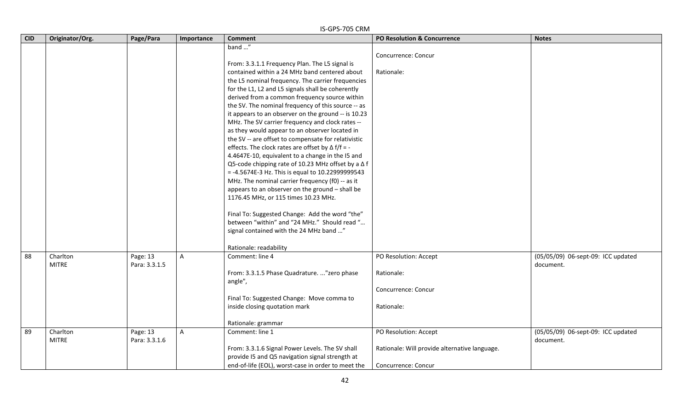|            | IS-GPS-705 CRM           |                           |              |                                                                                                                                                                                                                                                                                                                                                                                                                                                                                                                                                                                                                                                                                                                                                                                                                                                                                                                                                                                                                                                                                                   |                                                                                               |                                                 |  |  |  |
|------------|--------------------------|---------------------------|--------------|---------------------------------------------------------------------------------------------------------------------------------------------------------------------------------------------------------------------------------------------------------------------------------------------------------------------------------------------------------------------------------------------------------------------------------------------------------------------------------------------------------------------------------------------------------------------------------------------------------------------------------------------------------------------------------------------------------------------------------------------------------------------------------------------------------------------------------------------------------------------------------------------------------------------------------------------------------------------------------------------------------------------------------------------------------------------------------------------------|-----------------------------------------------------------------------------------------------|-------------------------------------------------|--|--|--|
| <b>CID</b> | Originator/Org.          | Page/Para                 | Importance   | <b>Comment</b>                                                                                                                                                                                                                                                                                                                                                                                                                                                                                                                                                                                                                                                                                                                                                                                                                                                                                                                                                                                                                                                                                    | <b>PO Resolution &amp; Concurrence</b>                                                        | <b>Notes</b>                                    |  |  |  |
|            |                          |                           |              | band "<br>From: 3.3.1.1 Frequency Plan. The L5 signal is<br>contained within a 24 MHz band centered about<br>the L5 nominal frequency. The carrier frequencies<br>for the L1, L2 and L5 signals shall be coherently<br>derived from a common frequency source within<br>the SV. The nominal frequency of this source -- as<br>it appears to an observer on the ground -- is 10.23<br>MHz. The SV carrier frequency and clock rates --<br>as they would appear to an observer located in<br>the SV -- are offset to compensate for relativistic<br>effects. The clock rates are offset by $\Delta f/f = -$<br>4.4647E-10, equivalent to a change in the I5 and<br>Q5-code chipping rate of 10.23 MHz offset by a ∆f<br>$= -4.5674E - 3 Hz$ . This is equal to 10.22999999543<br>MHz. The nominal carrier frequency (f0) -- as it<br>appears to an observer on the ground - shall be<br>1176.45 MHz, or 115 times 10.23 MHz.<br>Final To: Suggested Change: Add the word "the"<br>between "within" and "24 MHz." Should read "<br>signal contained with the 24 MHz band "<br>Rationale: readability | Concurrence: Concur<br>Rationale:                                                             |                                                 |  |  |  |
| 88         | Charlton<br><b>MITRE</b> | Page: 13<br>Para: 3.3.1.5 | $\mathsf{A}$ | Comment: line 4<br>From: 3.3.1.5 Phase Quadrature. "zero phase<br>angle",<br>Final To: Suggested Change: Move comma to<br>inside closing quotation mark<br>Rationale: grammar                                                                                                                                                                                                                                                                                                                                                                                                                                                                                                                                                                                                                                                                                                                                                                                                                                                                                                                     | PO Resolution: Accept<br>Rationale:<br>Concurrence: Concur<br>Rationale:                      | (05/05/09) 06-sept-09: ICC updated<br>document. |  |  |  |
| 89         | Charlton<br><b>MITRE</b> | Page: 13<br>Para: 3.3.1.6 | $\mathsf{A}$ | Comment: line 1<br>From: 3.3.1.6 Signal Power Levels. The SV shall<br>provide I5 and Q5 navigation signal strength at<br>end-of-life (EOL), worst-case in order to meet the                                                                                                                                                                                                                                                                                                                                                                                                                                                                                                                                                                                                                                                                                                                                                                                                                                                                                                                       | PO Resolution: Accept<br>Rationale: Will provide alternative language.<br>Concurrence: Concur | (05/05/09) 06-sept-09: ICC updated<br>document. |  |  |  |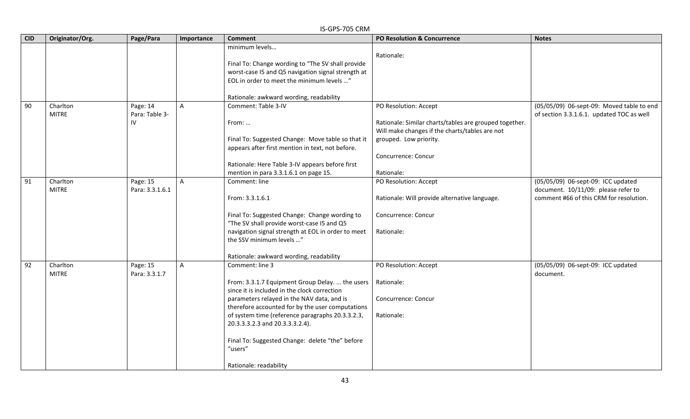|            | IS-GPS-705 CRM           |                            |                |                                                                                                                                                                        |                                                                                                          |                                                                                        |  |  |
|------------|--------------------------|----------------------------|----------------|------------------------------------------------------------------------------------------------------------------------------------------------------------------------|----------------------------------------------------------------------------------------------------------|----------------------------------------------------------------------------------------|--|--|
| <b>CID</b> | Originator/Org.          | Page/Para                  | Importance     | <b>Comment</b>                                                                                                                                                         | PO Resolution & Concurrence                                                                              | <b>Notes</b>                                                                           |  |  |
|            |                          |                            |                | minimum levels<br>Final To: Change wording to "The SV shall provide<br>worst-case I5 and Q5 navigation signal strength at<br>EOL in order to meet the minimum levels " | Rationale:                                                                                               |                                                                                        |  |  |
|            |                          |                            |                | Rationale: awkward wording, readability                                                                                                                                |                                                                                                          |                                                                                        |  |  |
| 90         | Charlton<br><b>MITRE</b> | Page: 14<br>Para: Table 3- | $\mathsf{A}$   | Comment: Table 3-IV                                                                                                                                                    | PO Resolution: Accept                                                                                    | (05/05/09) 06-sept-09: Moved table to end<br>of section 3.3.1.6.1. updated TOC as well |  |  |
|            |                          | IV                         |                | From:                                                                                                                                                                  | Rationale: Similar charts/tables are grouped together.<br>Will make changes if the charts/tables are not |                                                                                        |  |  |
|            |                          |                            |                | Final To: Suggested Change: Move table so that it<br>appears after first mention in text, not before.                                                                  | grouped. Low priority.                                                                                   |                                                                                        |  |  |
|            |                          |                            |                | Rationale: Here Table 3-IV appears before first<br>mention in para 3.3.1.6.1 on page 15.                                                                               | Concurrence: Concur                                                                                      |                                                                                        |  |  |
| 91         | Charlton                 | Page: 15                   | $\mathsf{A}$   | Comment: line                                                                                                                                                          | Rationale:<br>PO Resolution: Accept                                                                      | (05/05/09) 06-sept-09: ICC updated                                                     |  |  |
|            | <b>MITRE</b>             | Para: 3.3.1.6.1            |                | From: 3.3.1.6.1                                                                                                                                                        | Rationale: Will provide alternative language.                                                            | document. 10/11/09: please refer to<br>comment #66 of this CRM for resolution.         |  |  |
|            |                          |                            |                | Final To: Suggested Change: Change wording to<br>"The SV shall provide worst-case I5 and Q5                                                                            | Concurrence: Concur                                                                                      |                                                                                        |  |  |
|            |                          |                            |                | navigation signal strength at EOL in order to meet<br>the SSV minimum levels "                                                                                         | Rationale:                                                                                               |                                                                                        |  |  |
|            |                          |                            |                | Rationale: awkward wording, readability                                                                                                                                |                                                                                                          |                                                                                        |  |  |
| 92         | Charlton<br><b>MITRE</b> | Page: 15<br>Para: 3.3.1.7  | $\overline{A}$ | Comment: line 3                                                                                                                                                        | PO Resolution: Accept                                                                                    | (05/05/09) 06-sept-09: ICC updated<br>document.                                        |  |  |
|            |                          |                            |                | From: 3.3.1.7 Equipment Group Delay.  the users<br>since it is included in the clock correction                                                                        | Rationale:                                                                                               |                                                                                        |  |  |
|            |                          |                            |                | parameters relayed in the NAV data, and is<br>therefore accounted for by the user computations                                                                         | Concurrence: Concur                                                                                      |                                                                                        |  |  |
|            |                          |                            |                | of system time (reference paragraphs 20.3.3.2.3,<br>20.3.3.3.2.3 and 20.3.3.3.2.4).                                                                                    | Rationale:                                                                                               |                                                                                        |  |  |
|            |                          |                            |                | Final To: Suggested Change: delete "the" before<br>"users"                                                                                                             |                                                                                                          |                                                                                        |  |  |
|            |                          |                            |                | Rationale: readability                                                                                                                                                 |                                                                                                          |                                                                                        |  |  |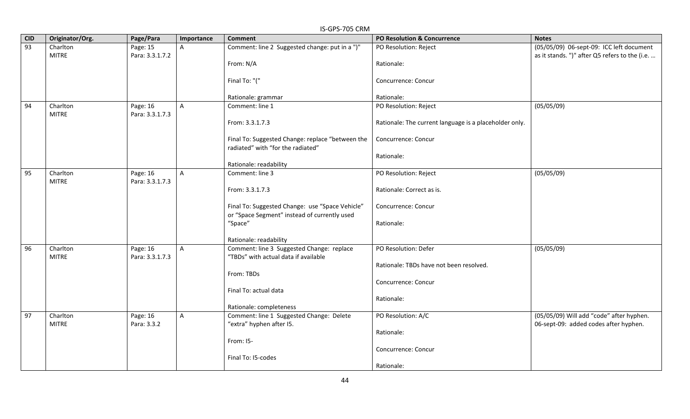|            | IS-GPS-705 CRM           |                             |              |                                                  |                                                        |                                                |  |  |  |
|------------|--------------------------|-----------------------------|--------------|--------------------------------------------------|--------------------------------------------------------|------------------------------------------------|--|--|--|
| <b>CID</b> | Originator/Org.          | Page/Para                   | Importance   | <b>Comment</b>                                   | <b>PO Resolution &amp; Concurrence</b>                 | <b>Notes</b>                                   |  |  |  |
| 93         | Charlton                 | Page: 15                    | $\mathsf{A}$ | Comment: line 2 Suggested change: put in a ")"   | PO Resolution: Reject                                  | (05/05/09) 06-sept-09: ICC left document       |  |  |  |
|            | <b>MITRE</b>             | Para: 3.3.1.7.2             |              |                                                  |                                                        | as it stands. ")" after Q5 refers to the (i.e. |  |  |  |
|            |                          |                             |              | From: N/A                                        | Rationale:                                             |                                                |  |  |  |
|            |                          |                             |              |                                                  |                                                        |                                                |  |  |  |
|            |                          |                             |              | Final To: "("                                    | Concurrence: Concur                                    |                                                |  |  |  |
|            |                          |                             |              |                                                  |                                                        |                                                |  |  |  |
| 94         | Charlton                 |                             |              | Rationale: grammar<br>Comment: line 1            | Rationale:<br>PO Resolution: Reject                    |                                                |  |  |  |
|            | <b>MITRE</b>             | Page: 16<br>Para: 3.3.1.7.3 | $\mathsf{A}$ |                                                  |                                                        | (05/05/09)                                     |  |  |  |
|            |                          |                             |              | From: 3.3.1.7.3                                  | Rationale: The current language is a placeholder only. |                                                |  |  |  |
|            |                          |                             |              |                                                  |                                                        |                                                |  |  |  |
|            |                          |                             |              | Final To: Suggested Change: replace "between the | Concurrence: Concur                                    |                                                |  |  |  |
|            |                          |                             |              | radiated" with "for the radiated"                |                                                        |                                                |  |  |  |
|            |                          |                             |              |                                                  | Rationale:                                             |                                                |  |  |  |
|            |                          |                             |              | Rationale: readability                           |                                                        |                                                |  |  |  |
| 95         | Charlton                 | Page: 16                    | $\mathsf{A}$ | Comment: line 3                                  | PO Resolution: Reject                                  | (05/05/09)                                     |  |  |  |
|            | <b>MITRE</b>             | Para: 3.3.1.7.3             |              |                                                  |                                                        |                                                |  |  |  |
|            |                          |                             |              | From: 3.3.1.7.3                                  | Rationale: Correct as is.                              |                                                |  |  |  |
|            |                          |                             |              |                                                  |                                                        |                                                |  |  |  |
|            |                          |                             |              | Final To: Suggested Change: use "Space Vehicle"  | Concurrence: Concur                                    |                                                |  |  |  |
|            |                          |                             |              | or "Space Segment" instead of currently used     |                                                        |                                                |  |  |  |
|            |                          |                             |              | "Space"                                          | Rationale:                                             |                                                |  |  |  |
|            |                          |                             |              | Rationale: readability                           |                                                        |                                                |  |  |  |
| 96         | Charlton                 | Page: 16                    | $\mathsf{A}$ | Comment: line 3 Suggested Change: replace        | PO Resolution: Defer                                   | (05/05/09)                                     |  |  |  |
|            | <b>MITRE</b>             | Para: 3.3.1.7.3             |              | "TBDs" with actual data if available             |                                                        |                                                |  |  |  |
|            |                          |                             |              |                                                  | Rationale: TBDs have not been resolved.                |                                                |  |  |  |
|            |                          |                             |              | From: TBDs                                       |                                                        |                                                |  |  |  |
|            |                          |                             |              |                                                  | Concurrence: Concur                                    |                                                |  |  |  |
|            |                          |                             |              | Final To: actual data                            |                                                        |                                                |  |  |  |
|            |                          |                             |              |                                                  | Rationale:                                             |                                                |  |  |  |
|            |                          |                             |              | Rationale: completeness                          |                                                        |                                                |  |  |  |
| 97         | Charlton<br><b>MITRE</b> | Page: 16<br>Para: 3.3.2     | $\mathsf{A}$ | Comment: line 1 Suggested Change: Delete         | PO Resolution: A/C                                     | (05/05/09) Will add "code" after hyphen.       |  |  |  |
|            |                          |                             |              | "extra" hyphen after I5.                         | Rationale:                                             | 06-sept-09: added codes after hyphen.          |  |  |  |
|            |                          |                             |              | From: 15-                                        |                                                        |                                                |  |  |  |
|            |                          |                             |              |                                                  | Concurrence: Concur                                    |                                                |  |  |  |
|            |                          |                             |              | Final To: I5-codes                               |                                                        |                                                |  |  |  |
|            |                          |                             |              |                                                  | Rationale:                                             |                                                |  |  |  |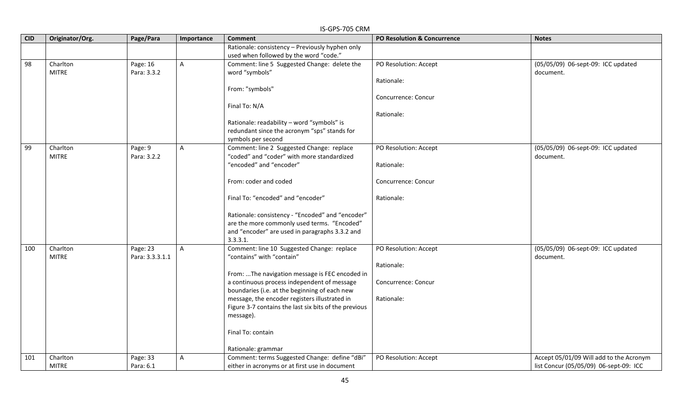| <b>CID</b> | Originator/Org. | Page/Para       | Importance   | ועוויט כט <i>ו</i> יכ זט־כו<br><b>Comment</b>                                                 | PO Resolution & Concurrence | <b>Notes</b>                            |
|------------|-----------------|-----------------|--------------|-----------------------------------------------------------------------------------------------|-----------------------------|-----------------------------------------|
|            |                 |                 |              | Rationale: consistency - Previously hyphen only                                               |                             |                                         |
|            |                 |                 |              | used when followed by the word "code."                                                        |                             |                                         |
| 98         | Charlton        | Page: 16        | A            | Comment: line 5 Suggested Change: delete the                                                  | PO Resolution: Accept       | (05/05/09) 06-sept-09: ICC updated      |
|            | <b>MITRE</b>    | Para: 3.3.2     |              | word "symbols"                                                                                |                             | document.                               |
|            |                 |                 |              |                                                                                               | Rationale:                  |                                         |
|            |                 |                 |              | From: "symbols"                                                                               |                             |                                         |
|            |                 |                 |              |                                                                                               | Concurrence: Concur         |                                         |
|            |                 |                 |              | Final To: N/A                                                                                 | Rationale:                  |                                         |
|            |                 |                 |              | Rationale: readability - word "symbols" is                                                    |                             |                                         |
|            |                 |                 |              | redundant since the acronym "sps" stands for                                                  |                             |                                         |
|            |                 |                 |              | symbols per second                                                                            |                             |                                         |
| 99         | Charlton        | Page: 9         | $\mathsf{A}$ | Comment: line 2 Suggested Change: replace                                                     | PO Resolution: Accept       | (05/05/09) 06-sept-09: ICC updated      |
|            | <b>MITRE</b>    | Para: 3.2.2     |              | "coded" and "coder" with more standardized                                                    |                             | document.                               |
|            |                 |                 |              | "encoded" and "encoder"                                                                       | Rationale:                  |                                         |
|            |                 |                 |              | From: coder and coded                                                                         | Concurrence: Concur         |                                         |
|            |                 |                 |              | Final To: "encoded" and "encoder"                                                             | Rationale:                  |                                         |
|            |                 |                 |              | Rationale: consistency - "Encoded" and "encoder"                                              |                             |                                         |
|            |                 |                 |              | are the more commonly used terms. "Encoded"                                                   |                             |                                         |
|            |                 |                 |              | and "encoder" are used in paragraphs 3.3.2 and                                                |                             |                                         |
|            |                 |                 |              | 3.3.3.1.                                                                                      |                             |                                         |
| 100        | Charlton        | Page: 23        | $\mathsf{A}$ | Comment: line 10 Suggested Change: replace                                                    | PO Resolution: Accept       | (05/05/09) 06-sept-09: ICC updated      |
|            | <b>MITRE</b>    | Para: 3.3.3.1.1 |              | "contains" with "contain"                                                                     |                             | document.                               |
|            |                 |                 |              |                                                                                               | Rationale:                  |                                         |
|            |                 |                 |              | From: The navigation message is FEC encoded in<br>a continuous process independent of message | Concurrence: Concur         |                                         |
|            |                 |                 |              | boundaries (i.e. at the beginning of each new                                                 |                             |                                         |
|            |                 |                 |              | message, the encoder registers illustrated in                                                 | Rationale:                  |                                         |
|            |                 |                 |              | Figure 3-7 contains the last six bits of the previous                                         |                             |                                         |
|            |                 |                 |              | message).                                                                                     |                             |                                         |
|            |                 |                 |              | Final To: contain                                                                             |                             |                                         |
|            |                 |                 |              | Rationale: grammar                                                                            |                             |                                         |
| 101        | Charlton        | Page: 33        | A            | Comment: terms Suggested Change: define "dBi"                                                 | PO Resolution: Accept       | Accept 05/01/09 Will add to the Acronym |
|            | <b>MITRE</b>    | Para: 6.1       |              | either in acronyms or at first use in document                                                |                             | list Concur (05/05/09) 06-sept-09: ICC  |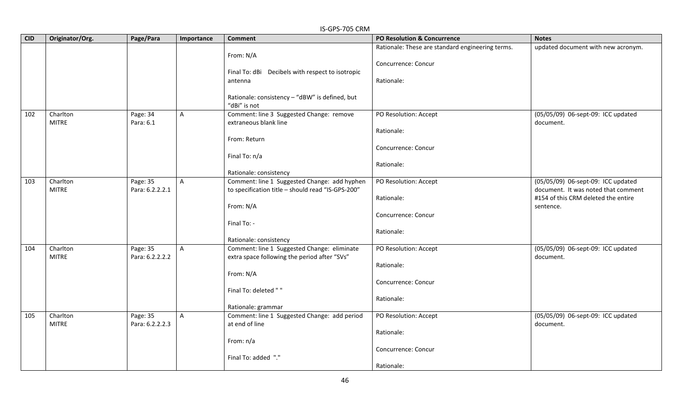|            | IS-GPS-705 CRM  |                 |              |                                                   |                                                  |                                     |  |  |  |
|------------|-----------------|-----------------|--------------|---------------------------------------------------|--------------------------------------------------|-------------------------------------|--|--|--|
| <b>CID</b> | Originator/Org. | Page/Para       | Importance   | <b>Comment</b>                                    | <b>PO Resolution &amp; Concurrence</b>           | <b>Notes</b>                        |  |  |  |
|            |                 |                 |              |                                                   | Rationale: These are standard engineering terms. | updated document with new acronym.  |  |  |  |
|            |                 |                 |              | From: N/A                                         |                                                  |                                     |  |  |  |
|            |                 |                 |              |                                                   | Concurrence: Concur                              |                                     |  |  |  |
|            |                 |                 |              | Final To: dBi  Decibels with respect to isotropic |                                                  |                                     |  |  |  |
|            |                 |                 |              | antenna                                           | Rationale:                                       |                                     |  |  |  |
|            |                 |                 |              |                                                   |                                                  |                                     |  |  |  |
|            |                 |                 |              | Rationale: consistency - "dBW" is defined, but    |                                                  |                                     |  |  |  |
|            |                 |                 |              | "dBi" is not                                      |                                                  |                                     |  |  |  |
| 102        | Charlton        | Page: 34        | $\mathsf{A}$ | Comment: line 3 Suggested Change: remove          | PO Resolution: Accept                            | (05/05/09) 06-sept-09: ICC updated  |  |  |  |
|            | <b>MITRE</b>    | Para: 6.1       |              | extraneous blank line                             |                                                  | document.                           |  |  |  |
|            |                 |                 |              |                                                   | Rationale:                                       |                                     |  |  |  |
|            |                 |                 |              | From: Return                                      |                                                  |                                     |  |  |  |
|            |                 |                 |              |                                                   | Concurrence: Concur                              |                                     |  |  |  |
|            |                 |                 |              | Final To: n/a                                     | Rationale:                                       |                                     |  |  |  |
|            |                 |                 |              | Rationale: consistency                            |                                                  |                                     |  |  |  |
| 103        | Charlton        | Page: 35        | $\mathsf{A}$ | Comment: line 1 Suggested Change: add hyphen      | PO Resolution: Accept                            | (05/05/09) 06-sept-09: ICC updated  |  |  |  |
|            | <b>MITRE</b>    | Para: 6.2.2.2.1 |              | to specification title - should read "IS-GPS-200" |                                                  | document. It was noted that comment |  |  |  |
|            |                 |                 |              |                                                   | Rationale:                                       | #154 of this CRM deleted the entire |  |  |  |
|            |                 |                 |              | From: N/A                                         |                                                  | sentence.                           |  |  |  |
|            |                 |                 |              |                                                   | Concurrence: Concur                              |                                     |  |  |  |
|            |                 |                 |              | Final To: -                                       |                                                  |                                     |  |  |  |
|            |                 |                 |              |                                                   | Rationale:                                       |                                     |  |  |  |
|            |                 |                 |              | Rationale: consistency                            |                                                  |                                     |  |  |  |
| 104        | Charlton        | Page: 35        | A            | Comment: line 1 Suggested Change: eliminate       | PO Resolution: Accept                            | (05/05/09) 06-sept-09: ICC updated  |  |  |  |
|            | <b>MITRE</b>    | Para: 6.2.2.2.2 |              | extra space following the period after "SVs"      |                                                  | document.                           |  |  |  |
|            |                 |                 |              |                                                   | Rationale:                                       |                                     |  |  |  |
|            |                 |                 |              | From: N/A                                         |                                                  |                                     |  |  |  |
|            |                 |                 |              |                                                   | Concurrence: Concur                              |                                     |  |  |  |
|            |                 |                 |              | Final To: deleted ""                              |                                                  |                                     |  |  |  |
|            |                 |                 |              |                                                   | Rationale:                                       |                                     |  |  |  |
|            |                 |                 |              | Rationale: grammar                                |                                                  |                                     |  |  |  |
| 105        | Charlton        | Page: 35        | $\mathsf{A}$ | Comment: line 1 Suggested Change: add period      | PO Resolution: Accept                            | (05/05/09) 06-sept-09: ICC updated  |  |  |  |
|            | <b>MITRE</b>    | Para: 6.2.2.2.3 |              | at end of line                                    |                                                  | document.                           |  |  |  |
|            |                 |                 |              |                                                   | Rationale:                                       |                                     |  |  |  |
|            |                 |                 |              | From: n/a                                         |                                                  |                                     |  |  |  |
|            |                 |                 |              |                                                   | Concurrence: Concur                              |                                     |  |  |  |
|            |                 |                 |              | Final To: added "."                               |                                                  |                                     |  |  |  |
|            |                 |                 |              |                                                   | Rationale:                                       |                                     |  |  |  |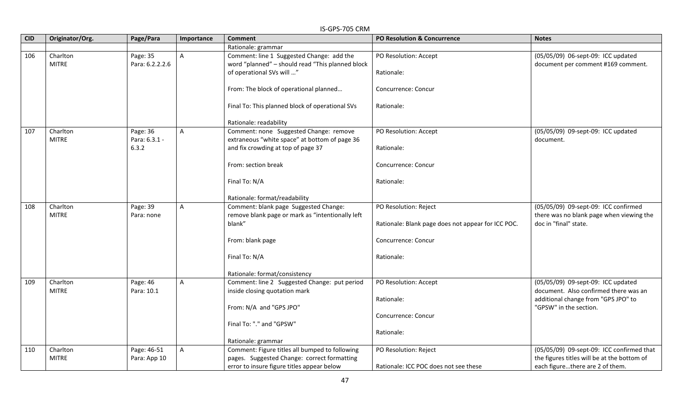|            | IS-GPS-705 CRM  |                 |                |                                                  |                                                    |                                             |  |  |
|------------|-----------------|-----------------|----------------|--------------------------------------------------|----------------------------------------------------|---------------------------------------------|--|--|
| <b>CID</b> | Originator/Org. | Page/Para       | Importance     | <b>Comment</b>                                   | PO Resolution & Concurrence                        | <b>Notes</b>                                |  |  |
|            |                 |                 |                | Rationale: grammar                               |                                                    |                                             |  |  |
| 106        | Charlton        | Page: 35        | $\overline{A}$ | Comment: line 1 Suggested Change: add the        | PO Resolution: Accept                              | (05/05/09) 06-sept-09: ICC updated          |  |  |
|            | <b>MITRE</b>    | Para: 6.2.2.2.6 |                | word "planned" - should read "This planned block |                                                    | document per comment #169 comment.          |  |  |
|            |                 |                 |                | of operational SVs will "                        | Rationale:                                         |                                             |  |  |
|            |                 |                 |                |                                                  |                                                    |                                             |  |  |
|            |                 |                 |                | From: The block of operational planned           | Concurrence: Concur                                |                                             |  |  |
|            |                 |                 |                |                                                  |                                                    |                                             |  |  |
|            |                 |                 |                | Final To: This planned block of operational SVs  | Rationale:                                         |                                             |  |  |
|            |                 |                 |                | Rationale: readability                           |                                                    |                                             |  |  |
| 107        | Charlton        | Page: 36        | $\mathsf{A}$   | Comment: none Suggested Change: remove           | PO Resolution: Accept                              | (05/05/09) 09-sept-09: ICC updated          |  |  |
|            | <b>MITRE</b>    | Para: 6.3.1 -   |                | extraneous "white space" at bottom of page 36    |                                                    | document.                                   |  |  |
|            |                 | 6.3.2           |                | and fix crowding at top of page 37               | Rationale:                                         |                                             |  |  |
|            |                 |                 |                |                                                  |                                                    |                                             |  |  |
|            |                 |                 |                | From: section break                              | Concurrence: Concur                                |                                             |  |  |
|            |                 |                 |                |                                                  |                                                    |                                             |  |  |
|            |                 |                 |                | Final To: N/A                                    | Rationale:                                         |                                             |  |  |
|            |                 |                 |                |                                                  |                                                    |                                             |  |  |
|            |                 |                 |                | Rationale: format/readability                    |                                                    |                                             |  |  |
| 108        | Charlton        | Page: 39        | $\mathsf{A}$   | Comment: blank page Suggested Change:            | PO Resolution: Reject                              | (05/05/09) 09-sept-09: ICC confirmed        |  |  |
|            | <b>MITRE</b>    | Para: none      |                | remove blank page or mark as "intentionally left |                                                    | there was no blank page when viewing the    |  |  |
|            |                 |                 |                | blank"                                           | Rationale: Blank page does not appear for ICC POC. | doc in "final" state.                       |  |  |
|            |                 |                 |                | From: blank page                                 | Concurrence: Concur                                |                                             |  |  |
|            |                 |                 |                |                                                  |                                                    |                                             |  |  |
|            |                 |                 |                | Final To: N/A                                    | Rationale:                                         |                                             |  |  |
|            |                 |                 |                |                                                  |                                                    |                                             |  |  |
|            |                 |                 |                | Rationale: format/consistency                    |                                                    |                                             |  |  |
| 109        | Charlton        | Page: 46        | A              | Comment: line 2 Suggested Change: put period     | PO Resolution: Accept                              | (05/05/09) 09-sept-09: ICC updated          |  |  |
|            | <b>MITRE</b>    | Para: 10.1      |                | inside closing quotation mark                    |                                                    | document. Also confirmed there was an       |  |  |
|            |                 |                 |                |                                                  | Rationale:                                         | additional change from "GPS JPO" to         |  |  |
|            |                 |                 |                | From: N/A and "GPS JPO"                          |                                                    | "GPSW" in the section.                      |  |  |
|            |                 |                 |                |                                                  | Concurrence: Concur                                |                                             |  |  |
|            |                 |                 |                | Final To: "." and "GPSW"                         | Rationale:                                         |                                             |  |  |
|            |                 |                 |                | Rationale: grammar                               |                                                    |                                             |  |  |
| 110        | Charlton        | Page: 46-51     | $\overline{A}$ | Comment: Figure titles all bumped to following   | PO Resolution: Reject                              | (05/05/09) 09-sept-09: ICC confirmed that   |  |  |
|            | <b>MITRE</b>    | Para: App 10    |                | pages. Suggested Change: correct formatting      |                                                    | the figures titles will be at the bottom of |  |  |
|            |                 |                 |                | error to insure figure titles appear below       | Rationale: ICC POC does not see these              | each figurethere are 2 of them.             |  |  |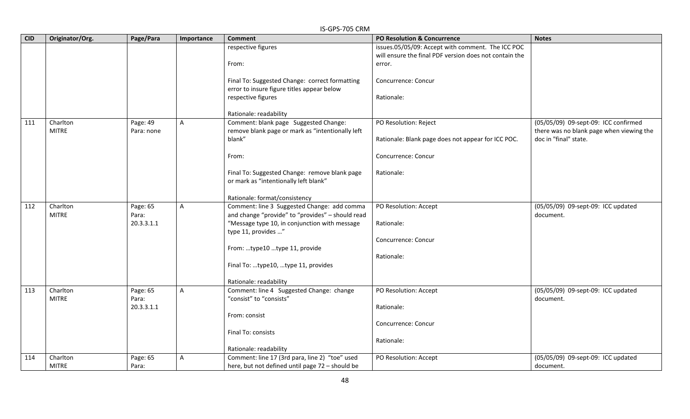|            | IS-GPS-705 CRM  |                     |              |                                                                      |                                                        |                                          |  |  |  |
|------------|-----------------|---------------------|--------------|----------------------------------------------------------------------|--------------------------------------------------------|------------------------------------------|--|--|--|
| <b>CID</b> | Originator/Org. | Page/Para           | Importance   | <b>Comment</b>                                                       | <b>PO Resolution &amp; Concurrence</b>                 | <b>Notes</b>                             |  |  |  |
|            |                 |                     |              | respective figures                                                   | issues.05/05/09: Accept with comment. The ICC POC      |                                          |  |  |  |
|            |                 |                     |              |                                                                      | will ensure the final PDF version does not contain the |                                          |  |  |  |
|            |                 |                     |              | From:                                                                | error.                                                 |                                          |  |  |  |
|            |                 |                     |              | Final To: Suggested Change: correct formatting                       | Concurrence: Concur                                    |                                          |  |  |  |
|            |                 |                     |              | error to insure figure titles appear below                           |                                                        |                                          |  |  |  |
|            |                 |                     |              | respective figures                                                   | Rationale:                                             |                                          |  |  |  |
|            |                 |                     |              |                                                                      |                                                        |                                          |  |  |  |
|            |                 |                     |              | Rationale: readability                                               |                                                        |                                          |  |  |  |
| 111        | Charlton        | Page: 49            | $\mathsf{A}$ | Comment: blank page Suggested Change:                                | PO Resolution: Reject                                  | (05/05/09) 09-sept-09: ICC confirmed     |  |  |  |
|            | <b>MITRE</b>    | Para: none          |              | remove blank page or mark as "intentionally left                     |                                                        | there was no blank page when viewing the |  |  |  |
|            |                 |                     |              | blank"                                                               | Rationale: Blank page does not appear for ICC POC.     | doc in "final" state.                    |  |  |  |
|            |                 |                     |              | From:                                                                | Concurrence: Concur                                    |                                          |  |  |  |
|            |                 |                     |              |                                                                      |                                                        |                                          |  |  |  |
|            |                 |                     |              | Final To: Suggested Change: remove blank page                        | Rationale:                                             |                                          |  |  |  |
|            |                 |                     |              | or mark as "intentionally left blank"                                |                                                        |                                          |  |  |  |
|            |                 |                     |              |                                                                      |                                                        |                                          |  |  |  |
|            |                 |                     |              | Rationale: format/consistency                                        |                                                        |                                          |  |  |  |
| 112        | Charlton        | Page: 65            | $\mathsf{A}$ | Comment: line 3 Suggested Change: add comma                          | PO Resolution: Accept                                  | (05/05/09) 09-sept-09: ICC updated       |  |  |  |
|            | <b>MITRE</b>    | Para:<br>20.3.3.1.1 |              | and change "provide" to "provides" - should read                     |                                                        | document.                                |  |  |  |
|            |                 |                     |              | "Message type 10, in conjunction with message<br>type 11, provides " | Rationale:                                             |                                          |  |  |  |
|            |                 |                     |              |                                                                      | Concurrence: Concur                                    |                                          |  |  |  |
|            |                 |                     |              | From: type10 type 11, provide                                        |                                                        |                                          |  |  |  |
|            |                 |                     |              |                                                                      | Rationale:                                             |                                          |  |  |  |
|            |                 |                     |              | Final To: type10, type 11, provides                                  |                                                        |                                          |  |  |  |
|            |                 |                     |              |                                                                      |                                                        |                                          |  |  |  |
|            |                 |                     |              | Rationale: readability                                               |                                                        |                                          |  |  |  |
| 113        | Charlton        | Page: 65            | A            | Comment: line 4 Suggested Change: change                             | PO Resolution: Accept                                  | (05/05/09) 09-sept-09: ICC updated       |  |  |  |
|            | <b>MITRE</b>    | Para:<br>20.3.3.1.1 |              | "consist" to "consists"                                              |                                                        | document.                                |  |  |  |
|            |                 |                     |              | From: consist                                                        | Rationale:                                             |                                          |  |  |  |
|            |                 |                     |              |                                                                      | Concurrence: Concur                                    |                                          |  |  |  |
|            |                 |                     |              | Final To: consists                                                   |                                                        |                                          |  |  |  |
|            |                 |                     |              |                                                                      | Rationale:                                             |                                          |  |  |  |
|            |                 |                     |              | Rationale: readability                                               |                                                        |                                          |  |  |  |
| 114        | Charlton        | Page: 65            | $\mathsf{A}$ | Comment: line 17 (3rd para, line 2) "toe" used                       | PO Resolution: Accept                                  | (05/05/09) 09-sept-09: ICC updated       |  |  |  |
|            | <b>MITRE</b>    | Para:               |              | here, but not defined until page 72 - should be                      |                                                        | document.                                |  |  |  |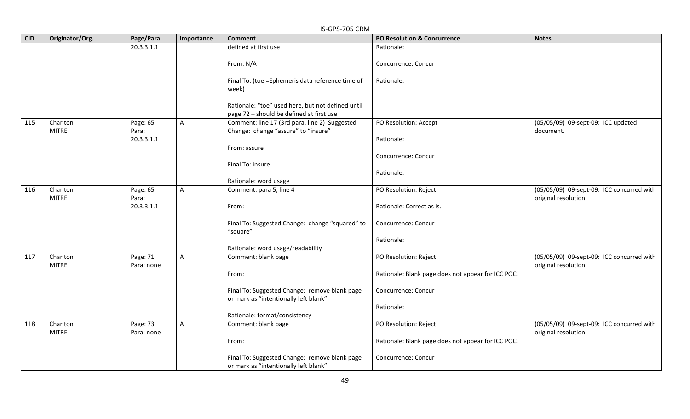|            | IS-GPS-705 CRM           |                        |                |                                                                                               |                                                    |                                                                   |  |  |  |
|------------|--------------------------|------------------------|----------------|-----------------------------------------------------------------------------------------------|----------------------------------------------------|-------------------------------------------------------------------|--|--|--|
| <b>CID</b> | Originator/Org.          | Page/Para              | Importance     | <b>Comment</b>                                                                                | <b>PO Resolution &amp; Concurrence</b>             | <b>Notes</b>                                                      |  |  |  |
|            |                          | 20.3.3.1.1             |                | defined at first use                                                                          | Rationale:                                         |                                                                   |  |  |  |
|            |                          |                        |                | From: N/A                                                                                     | Concurrence: Concur                                |                                                                   |  |  |  |
|            |                          |                        |                | Final To: (toe = Ephemeris data reference time of<br>week)                                    | Rationale:                                         |                                                                   |  |  |  |
|            |                          |                        |                | Rationale: "toe" used here, but not defined until<br>page 72 - should be defined at first use |                                                    |                                                                   |  |  |  |
| 115        | Charlton<br><b>MITRE</b> | Page: 65<br>Para:      | A              | Comment: line 17 (3rd para, line 2) Suggested<br>Change: change "assure" to "insure"          | PO Resolution: Accept                              | (05/05/09) 09-sept-09: ICC updated<br>document.                   |  |  |  |
|            |                          | 20.3.3.1.1             |                | From: assure                                                                                  | Rationale:                                         |                                                                   |  |  |  |
|            |                          |                        |                | Final To: insure                                                                              | Concurrence: Concur                                |                                                                   |  |  |  |
|            |                          |                        |                | Rationale: word usage                                                                         | Rationale:                                         |                                                                   |  |  |  |
| 116        | Charlton<br><b>MITRE</b> | Page: 65<br>Para:      | $\overline{A}$ | Comment: para 5, line 4                                                                       | PO Resolution: Reject                              | (05/05/09) 09-sept-09: ICC concurred with<br>original resolution. |  |  |  |
|            |                          | 20.3.3.1.1             |                | From:                                                                                         | Rationale: Correct as is.                          |                                                                   |  |  |  |
|            |                          |                        |                | Final To: Suggested Change: change "squared" to<br>"square"                                   | Concurrence: Concur                                |                                                                   |  |  |  |
|            |                          |                        |                | Rationale: word usage/readability                                                             | Rationale:                                         |                                                                   |  |  |  |
| 117        | Charlton<br><b>MITRE</b> | Page: 71<br>Para: none | $\mathsf{A}$   | Comment: blank page                                                                           | PO Resolution: Reject                              | (05/05/09) 09-sept-09: ICC concurred with<br>original resolution. |  |  |  |
|            |                          |                        |                | From:                                                                                         | Rationale: Blank page does not appear for ICC POC. |                                                                   |  |  |  |
|            |                          |                        |                | Final To: Suggested Change: remove blank page<br>or mark as "intentionally left blank"        | Concurrence: Concur                                |                                                                   |  |  |  |
|            |                          |                        |                |                                                                                               | Rationale:                                         |                                                                   |  |  |  |
|            |                          |                        |                | Rationale: format/consistency                                                                 |                                                    |                                                                   |  |  |  |
| 118        | Charlton<br><b>MITRE</b> | Page: 73<br>Para: none | A              | Comment: blank page                                                                           | PO Resolution: Reject                              | (05/05/09) 09-sept-09: ICC concurred with<br>original resolution. |  |  |  |
|            |                          |                        |                | From:                                                                                         | Rationale: Blank page does not appear for ICC POC. |                                                                   |  |  |  |
|            |                          |                        |                | Final To: Suggested Change: remove blank page<br>or mark as "intentionally left blank"        | Concurrence: Concur                                |                                                                   |  |  |  |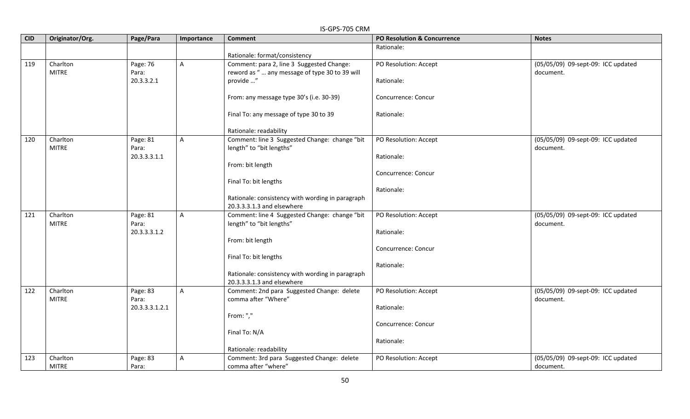|            | IS-GPS-705 CRM           |                   |              |                                                                                            |                                        |                                                 |  |  |
|------------|--------------------------|-------------------|--------------|--------------------------------------------------------------------------------------------|----------------------------------------|-------------------------------------------------|--|--|
| <b>CID</b> | Originator/Org.          | Page/Para         | Importance   | <b>Comment</b>                                                                             | <b>PO Resolution &amp; Concurrence</b> | <b>Notes</b>                                    |  |  |
|            |                          |                   |              | Rationale: format/consistency                                                              | Rationale:                             |                                                 |  |  |
| 119        | Charlton<br><b>MITRE</b> | Page: 76<br>Para: | A            | Comment: para 2, line 3 Suggested Change:<br>reword as " any message of type 30 to 39 will | PO Resolution: Accept                  | (05/05/09) 09-sept-09: ICC updated<br>document. |  |  |
|            |                          | 20.3.3.2.1        |              | provide "                                                                                  | Rationale:                             |                                                 |  |  |
|            |                          |                   |              | From: any message type 30's (i.e. 30-39)                                                   | Concurrence: Concur                    |                                                 |  |  |
|            |                          |                   |              | Final To: any message of type 30 to 39                                                     | Rationale:                             |                                                 |  |  |
|            |                          |                   |              | Rationale: readability                                                                     |                                        |                                                 |  |  |
| 120        | Charlton<br><b>MITRE</b> | Page: 81<br>Para: | $\mathsf{A}$ | Comment: line 3 Suggested Change: change "bit<br>length" to "bit lengths"                  | PO Resolution: Accept                  | (05/05/09) 09-sept-09: ICC updated<br>document. |  |  |
|            |                          | 20.3.3.3.1.1      |              |                                                                                            | Rationale:                             |                                                 |  |  |
|            |                          |                   |              | From: bit length                                                                           | Concurrence: Concur                    |                                                 |  |  |
|            |                          |                   |              | Final To: bit lengths                                                                      |                                        |                                                 |  |  |
|            |                          |                   |              | Rationale: consistency with wording in paragraph                                           | Rationale:                             |                                                 |  |  |
|            |                          |                   |              | 20.3.3.3.1.3 and elsewhere                                                                 |                                        |                                                 |  |  |
| 121        | Charlton<br><b>MITRE</b> | Page: 81<br>Para: | $\mathsf{A}$ | Comment: line 4 Suggested Change: change "bit<br>length" to "bit lengths"                  | PO Resolution: Accept                  | (05/05/09) 09-sept-09: ICC updated<br>document. |  |  |
|            |                          | 20.3.3.3.1.2      |              |                                                                                            | Rationale:                             |                                                 |  |  |
|            |                          |                   |              | From: bit length                                                                           | Concurrence: Concur                    |                                                 |  |  |
|            |                          |                   |              | Final To: bit lengths                                                                      |                                        |                                                 |  |  |
|            |                          |                   |              |                                                                                            | Rationale:                             |                                                 |  |  |
|            |                          |                   |              | Rationale: consistency with wording in paragraph<br>20.3.3.3.1.3 and elsewhere             |                                        |                                                 |  |  |
| 122        | Charlton<br><b>MITRE</b> | Page: 83<br>Para: | $\mathsf{A}$ | Comment: 2nd para Suggested Change: delete<br>comma after "Where"                          | PO Resolution: Accept                  | (05/05/09) 09-sept-09: ICC updated              |  |  |
|            |                          | 20.3.3.3.1.2.1    |              |                                                                                            | Rationale:                             | document.                                       |  |  |
|            |                          |                   |              | From: ","                                                                                  |                                        |                                                 |  |  |
|            |                          |                   |              | Final To: N/A                                                                              | Concurrence: Concur                    |                                                 |  |  |
|            |                          |                   |              |                                                                                            | Rationale:                             |                                                 |  |  |
|            |                          |                   |              | Rationale: readability                                                                     |                                        |                                                 |  |  |
| 123        | Charlton<br><b>MITRE</b> | Page: 83<br>Para: | $\mathsf{A}$ | Comment: 3rd para Suggested Change: delete<br>comma after "where"                          | PO Resolution: Accept                  | (05/05/09) 09-sept-09: ICC updated<br>document. |  |  |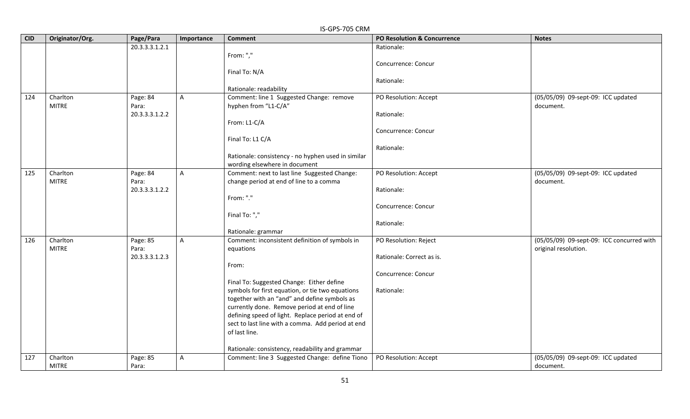|            | IS-GPS-705 CRM  |                   |                |                                                                  |                             |                                                 |  |  |  |
|------------|-----------------|-------------------|----------------|------------------------------------------------------------------|-----------------------------|-------------------------------------------------|--|--|--|
| <b>CID</b> | Originator/Org. | Page/Para         | Importance     | <b>Comment</b>                                                   | PO Resolution & Concurrence | <b>Notes</b>                                    |  |  |  |
|            |                 | 20.3.3.3.1.2.1    |                |                                                                  | Rationale:                  |                                                 |  |  |  |
|            |                 |                   |                | From: ","                                                        |                             |                                                 |  |  |  |
|            |                 |                   |                |                                                                  | Concurrence: Concur         |                                                 |  |  |  |
|            |                 |                   |                | Final To: N/A                                                    |                             |                                                 |  |  |  |
|            |                 |                   |                |                                                                  | Rationale:                  |                                                 |  |  |  |
| 124        | Charlton        |                   |                | Rationale: readability                                           |                             |                                                 |  |  |  |
|            | <b>MITRE</b>    | Page: 84<br>Para: | A              | Comment: line 1 Suggested Change: remove<br>hyphen from "L1-C/A" | PO Resolution: Accept       | (05/05/09) 09-sept-09: ICC updated<br>document. |  |  |  |
|            |                 | 20.3.3.3.1.2.2    |                |                                                                  | Rationale:                  |                                                 |  |  |  |
|            |                 |                   |                | From: L1-C/A                                                     |                             |                                                 |  |  |  |
|            |                 |                   |                |                                                                  | Concurrence: Concur         |                                                 |  |  |  |
|            |                 |                   |                | Final To: L1 C/A                                                 |                             |                                                 |  |  |  |
|            |                 |                   |                |                                                                  | Rationale:                  |                                                 |  |  |  |
|            |                 |                   |                | Rationale: consistency - no hyphen used in similar               |                             |                                                 |  |  |  |
|            |                 |                   |                | wording elsewhere in document                                    |                             |                                                 |  |  |  |
| 125        | Charlton        | Page: 84          | $\mathsf{A}$   | Comment: next to last line Suggested Change:                     | PO Resolution: Accept       | (05/05/09) 09-sept-09: ICC updated              |  |  |  |
|            | <b>MITRE</b>    | Para:             |                | change period at end of line to a comma                          |                             | document.                                       |  |  |  |
|            |                 | 20.3.3.3.1.2.2    |                |                                                                  | Rationale:                  |                                                 |  |  |  |
|            |                 |                   |                | From: "."                                                        |                             |                                                 |  |  |  |
|            |                 |                   |                |                                                                  | Concurrence: Concur         |                                                 |  |  |  |
|            |                 |                   |                | Final To: ","                                                    |                             |                                                 |  |  |  |
|            |                 |                   |                | Rationale: grammar                                               | Rationale:                  |                                                 |  |  |  |
| 126        | Charlton        | Page: 85          | $\overline{A}$ | Comment: inconsistent definition of symbols in                   | PO Resolution: Reject       | (05/05/09) 09-sept-09: ICC concurred with       |  |  |  |
|            | <b>MITRE</b>    | Para:             |                | equations                                                        |                             | original resolution.                            |  |  |  |
|            |                 | 20.3.3.3.1.2.3    |                |                                                                  | Rationale: Correct as is.   |                                                 |  |  |  |
|            |                 |                   |                | From:                                                            |                             |                                                 |  |  |  |
|            |                 |                   |                |                                                                  | Concurrence: Concur         |                                                 |  |  |  |
|            |                 |                   |                | Final To: Suggested Change: Either define                        |                             |                                                 |  |  |  |
|            |                 |                   |                | symbols for first equation, or tie two equations                 | Rationale:                  |                                                 |  |  |  |
|            |                 |                   |                | together with an "and" and define symbols as                     |                             |                                                 |  |  |  |
|            |                 |                   |                | currently done. Remove period at end of line                     |                             |                                                 |  |  |  |
|            |                 |                   |                | defining speed of light. Replace period at end of                |                             |                                                 |  |  |  |
|            |                 |                   |                | sect to last line with a comma. Add period at end                |                             |                                                 |  |  |  |
|            |                 |                   |                | of last line.                                                    |                             |                                                 |  |  |  |
|            |                 |                   |                | Rationale: consistency, readability and grammar                  |                             |                                                 |  |  |  |
| 127        | Charlton        | Page: 85          | A              | Comment: line 3 Suggested Change: define Tiono                   | PO Resolution: Accept       | (05/05/09) 09-sept-09: ICC updated              |  |  |  |
|            | <b>MITRE</b>    | Para:             |                |                                                                  |                             | document.                                       |  |  |  |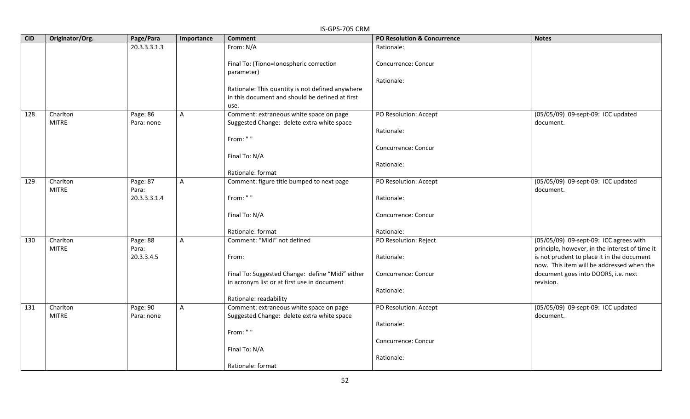|            | IS-GPS-705 CRM  |                     |              |                                                       |                                        |                                                                                              |  |  |  |
|------------|-----------------|---------------------|--------------|-------------------------------------------------------|----------------------------------------|----------------------------------------------------------------------------------------------|--|--|--|
| <b>CID</b> | Originator/Org. | Page/Para           | Importance   | <b>Comment</b>                                        | <b>PO Resolution &amp; Concurrence</b> | <b>Notes</b>                                                                                 |  |  |  |
|            |                 | 20.3.3.3.1.3        |              | From: N/A                                             | Rationale:                             |                                                                                              |  |  |  |
|            |                 |                     |              | Final To: (Tiono=Ionospheric correction<br>parameter) | Concurrence: Concur                    |                                                                                              |  |  |  |
|            |                 |                     |              |                                                       | Rationale:                             |                                                                                              |  |  |  |
|            |                 |                     |              | Rationale: This quantity is not defined anywhere      |                                        |                                                                                              |  |  |  |
|            |                 |                     |              | in this document and should be defined at first       |                                        |                                                                                              |  |  |  |
|            |                 |                     |              | use.                                                  |                                        |                                                                                              |  |  |  |
| 128        | Charlton        | Page: 86            | A            | Comment: extraneous white space on page               | PO Resolution: Accept                  | (05/05/09) 09-sept-09: ICC updated                                                           |  |  |  |
|            | <b>MITRE</b>    | Para: none          |              | Suggested Change: delete extra white space            |                                        | document.                                                                                    |  |  |  |
|            |                 |                     |              | From: ""                                              | Rationale:                             |                                                                                              |  |  |  |
|            |                 |                     |              |                                                       | Concurrence: Concur                    |                                                                                              |  |  |  |
|            |                 |                     |              | Final To: N/A                                         |                                        |                                                                                              |  |  |  |
|            |                 |                     |              |                                                       | Rationale:                             |                                                                                              |  |  |  |
|            |                 |                     |              | Rationale: format                                     |                                        |                                                                                              |  |  |  |
| 129        | Charlton        | Page: 87            | $\mathsf{A}$ | Comment: figure title bumped to next page             | PO Resolution: Accept                  | (05/05/09) 09-sept-09: ICC updated                                                           |  |  |  |
|            | <b>MITRE</b>    | Para:               |              |                                                       |                                        | document.                                                                                    |  |  |  |
|            |                 | 20.3.3.3.1.4        |              | From: " "                                             | Rationale:                             |                                                                                              |  |  |  |
|            |                 |                     |              | Final To: N/A                                         | Concurrence: Concur                    |                                                                                              |  |  |  |
|            |                 |                     |              |                                                       |                                        |                                                                                              |  |  |  |
|            |                 |                     |              | Rationale: format                                     | Rationale:                             |                                                                                              |  |  |  |
| 130        | Charlton        | Page: 88            | A            | Comment: "Midi" not defined                           | PO Resolution: Reject                  | (05/05/09) 09-sept-09: ICC agrees with                                                       |  |  |  |
|            | <b>MITRE</b>    | Para:<br>20.3.3.4.5 |              | From:                                                 | Rationale:                             | principle, however, in the interest of time it<br>is not prudent to place it in the document |  |  |  |
|            |                 |                     |              |                                                       |                                        | now. This item will be addressed when the                                                    |  |  |  |
|            |                 |                     |              | Final To: Suggested Change: define "Midi" either      | Concurrence: Concur                    | document goes into DOORS, i.e. next                                                          |  |  |  |
|            |                 |                     |              | in acronym list or at first use in document           |                                        | revision.                                                                                    |  |  |  |
|            |                 |                     |              |                                                       | Rationale:                             |                                                                                              |  |  |  |
|            |                 |                     |              | Rationale: readability                                |                                        |                                                                                              |  |  |  |
| 131        | Charlton        | Page: 90            | $\mathsf{A}$ | Comment: extraneous white space on page               | PO Resolution: Accept                  | (05/05/09) 09-sept-09: ICC updated                                                           |  |  |  |
|            | <b>MITRE</b>    | Para: none          |              | Suggested Change: delete extra white space            |                                        | document.                                                                                    |  |  |  |
|            |                 |                     |              | From: ""                                              | Rationale:                             |                                                                                              |  |  |  |
|            |                 |                     |              |                                                       | Concurrence: Concur                    |                                                                                              |  |  |  |
|            |                 |                     |              | Final To: N/A                                         |                                        |                                                                                              |  |  |  |
|            |                 |                     |              |                                                       | Rationale:                             |                                                                                              |  |  |  |
|            |                 |                     |              | Rationale: format                                     |                                        |                                                                                              |  |  |  |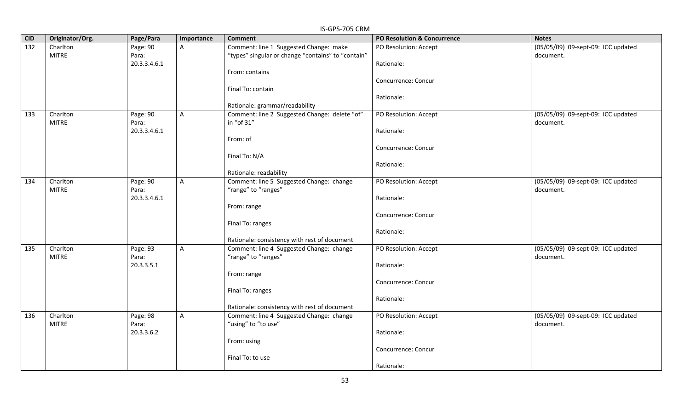| <b>CID</b> | Originator/Org. | Page/Para    | Importance | ואווט כט <i>ו</i> כור כו<br><b>Comment</b>         | PO Resolution & Concurrence | <b>Notes</b>                       |
|------------|-----------------|--------------|------------|----------------------------------------------------|-----------------------------|------------------------------------|
| 132        | Charlton        | Page: 90     | A          | Comment: line 1 Suggested Change: make             | PO Resolution: Accept       | (05/05/09) 09-sept-09: ICC updated |
|            | <b>MITRE</b>    | Para:        |            | "types" singular or change "contains" to "contain" |                             | document.                          |
|            |                 | 20.3.3.4.6.1 |            |                                                    | Rationale:                  |                                    |
|            |                 |              |            | From: contains                                     |                             |                                    |
|            |                 |              |            |                                                    | Concurrence: Concur         |                                    |
|            |                 |              |            | Final To: contain                                  |                             |                                    |
|            |                 |              |            |                                                    | Rationale:                  |                                    |
|            |                 |              |            | Rationale: grammar/readability                     |                             |                                    |
| 133        | Charlton        | Page: 90     | A          | Comment: line 2 Suggested Change: delete "of"      | PO Resolution: Accept       | (05/05/09) 09-sept-09: ICC updated |
|            | <b>MITRE</b>    | Para:        |            | in "of 31"                                         |                             | document.                          |
|            |                 | 20.3.3.4.6.1 |            |                                                    | Rationale:                  |                                    |
|            |                 |              |            | From: of                                           |                             |                                    |
|            |                 |              |            |                                                    | Concurrence: Concur         |                                    |
|            |                 |              |            | Final To: N/A                                      |                             |                                    |
|            |                 |              |            |                                                    | Rationale:                  |                                    |
|            |                 |              |            | Rationale: readability                             |                             |                                    |
| 134        | Charlton        | Page: 90     | A          | Comment: line 5 Suggested Change: change           | PO Resolution: Accept       | (05/05/09) 09-sept-09: ICC updated |
|            | <b>MITRE</b>    | Para:        |            | "range" to "ranges"                                |                             | document.                          |
|            |                 | 20.3.3.4.6.1 |            | From: range                                        | Rationale:                  |                                    |
|            |                 |              |            |                                                    | Concurrence: Concur         |                                    |
|            |                 |              |            | Final To: ranges                                   |                             |                                    |
|            |                 |              |            |                                                    | Rationale:                  |                                    |
|            |                 |              |            | Rationale: consistency with rest of document       |                             |                                    |
| 135        | Charlton        | Page: 93     | A          | Comment: line 4 Suggested Change: change           | PO Resolution: Accept       | (05/05/09) 09-sept-09: ICC updated |
|            | <b>MITRE</b>    | Para:        |            | "range" to "ranges"                                |                             | document.                          |
|            |                 | 20.3.3.5.1   |            |                                                    | Rationale:                  |                                    |
|            |                 |              |            | From: range                                        |                             |                                    |
|            |                 |              |            |                                                    | Concurrence: Concur         |                                    |
|            |                 |              |            | Final To: ranges                                   |                             |                                    |
|            |                 |              |            |                                                    | Rationale:                  |                                    |
|            |                 |              |            | Rationale: consistency with rest of document       |                             |                                    |
| 136        | Charlton        | Page: 98     | A          | Comment: line 4 Suggested Change: change           | PO Resolution: Accept       | (05/05/09) 09-sept-09: ICC updated |
|            | <b>MITRE</b>    | Para:        |            | "using" to "to use"                                |                             | document.                          |
|            |                 | 20.3.3.6.2   |            |                                                    | Rationale:                  |                                    |
|            |                 |              |            | From: using                                        |                             |                                    |
|            |                 |              |            |                                                    | Concurrence: Concur         |                                    |
|            |                 |              |            | Final To: to use                                   |                             |                                    |
|            |                 |              |            |                                                    | Rationale:                  |                                    |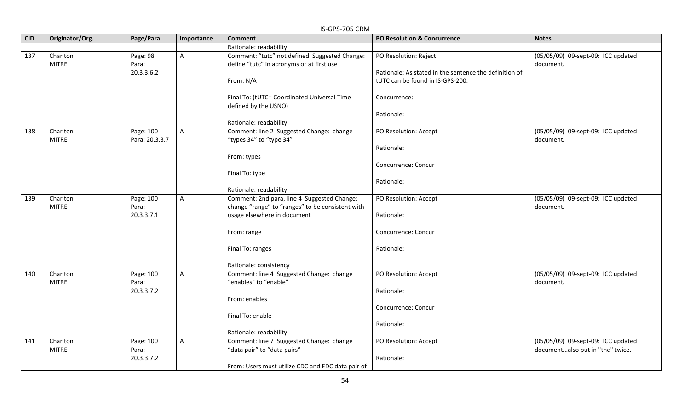| <b>CID</b> | Originator/Org.          | Page/Para                       | Importance     | וזווט כט <i>ו</i> כו וט כו<br><b>Comment</b>                                                    | PO Resolution & Concurrence                                                     | <b>Notes</b>                                                           |
|------------|--------------------------|---------------------------------|----------------|-------------------------------------------------------------------------------------------------|---------------------------------------------------------------------------------|------------------------------------------------------------------------|
|            |                          |                                 |                | Rationale: readability                                                                          |                                                                                 |                                                                        |
| 137        | Charlton<br><b>MITRE</b> | Page: 98<br>Para:<br>20.3.3.6.2 | $\mathsf{A}$   | Comment: "tutc" not defined Suggested Change:<br>define "tutc" in acronyms or at first use      | PO Resolution: Reject<br>Rationale: As stated in the sentence the definition of | (05/05/09) 09-sept-09: ICC updated<br>document.                        |
|            |                          |                                 |                | From: N/A                                                                                       | tUTC can be found in IS-GPS-200.                                                |                                                                        |
|            |                          |                                 |                | Final To: (tUTC= Coordinated Universal Time<br>defined by the USNO)                             | Concurrence:                                                                    |                                                                        |
|            |                          |                                 |                | Rationale: readability                                                                          | Rationale:                                                                      |                                                                        |
| 138        | Charlton<br><b>MITRE</b> | Page: 100<br>Para: 20.3.3.7     | A              | Comment: line 2 Suggested Change: change<br>"types 34" to "type 34"                             | PO Resolution: Accept                                                           | (05/05/09) 09-sept-09: ICC updated<br>document.                        |
|            |                          |                                 |                | From: types                                                                                     | Rationale:                                                                      |                                                                        |
|            |                          |                                 |                | Final To: type                                                                                  | Concurrence: Concur                                                             |                                                                        |
|            |                          |                                 |                | Rationale: readability                                                                          | Rationale:                                                                      |                                                                        |
| 139        | Charlton<br><b>MITRE</b> | Page: 100<br>Para:              | $\mathsf{A}$   | Comment: 2nd para, line 4 Suggested Change:<br>change "range" to "ranges" to be consistent with | PO Resolution: Accept                                                           | (05/05/09) 09-sept-09: ICC updated<br>document.                        |
|            |                          | 20.3.3.7.1                      |                | usage elsewhere in document                                                                     | Rationale:                                                                      |                                                                        |
|            |                          |                                 |                | From: range                                                                                     | Concurrence: Concur                                                             |                                                                        |
|            |                          |                                 |                | Final To: ranges                                                                                | Rationale:                                                                      |                                                                        |
|            |                          |                                 |                | Rationale: consistency                                                                          |                                                                                 |                                                                        |
| 140        | Charlton<br><b>MITRE</b> | Page: 100<br>Para:              | $\overline{A}$ | Comment: line 4 Suggested Change: change<br>"enables" to "enable"                               | PO Resolution: Accept                                                           | (05/05/09) 09-sept-09: ICC updated<br>document.                        |
|            |                          | 20.3.3.7.2                      |                | From: enables                                                                                   | Rationale:                                                                      |                                                                        |
|            |                          |                                 |                | Final To: enable                                                                                | Concurrence: Concur                                                             |                                                                        |
|            |                          |                                 |                | Rationale: readability                                                                          | Rationale:                                                                      |                                                                        |
| 141        | Charlton<br><b>MITRE</b> | Page: 100<br>Para:              | $\mathsf{A}$   | Comment: line 7 Suggested Change: change<br>"data pair" to "data pairs"                         | PO Resolution: Accept                                                           | (05/05/09) 09-sept-09: ICC updated<br>documentalso put in "the" twice. |
|            |                          | 20.3.3.7.2                      |                | From: Users must utilize CDC and EDC data pair of                                               | Rationale:                                                                      |                                                                        |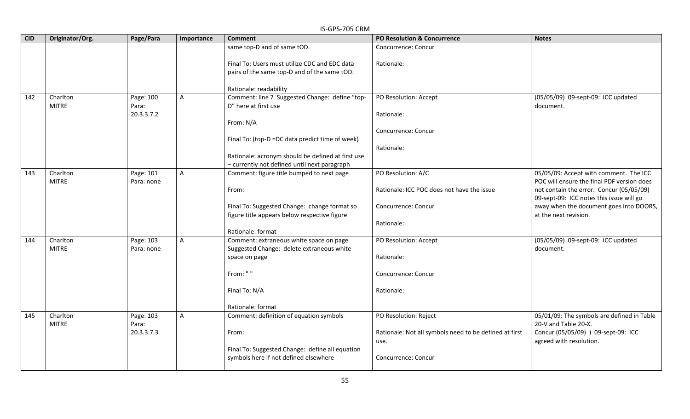|            | IS-GPS-705 CRM  |            |            |                                                                                              |                                                        |                                                                  |  |  |  |
|------------|-----------------|------------|------------|----------------------------------------------------------------------------------------------|--------------------------------------------------------|------------------------------------------------------------------|--|--|--|
| <b>CID</b> | Originator/Org. | Page/Para  | Importance | <b>Comment</b>                                                                               | PO Resolution & Concurrence                            | <b>Notes</b>                                                     |  |  |  |
|            |                 |            |            | same top-D and of same tOD.                                                                  | Concurrence: Concur                                    |                                                                  |  |  |  |
|            |                 |            |            | Final To: Users must utilize CDC and EDC data                                                | Rationale:                                             |                                                                  |  |  |  |
|            |                 |            |            | pairs of the same top-D and of the same tOD.                                                 |                                                        |                                                                  |  |  |  |
|            |                 |            |            |                                                                                              |                                                        |                                                                  |  |  |  |
|            |                 |            |            | Rationale: readability                                                                       |                                                        |                                                                  |  |  |  |
| 142        | Charlton        | Page: 100  | A          | Comment: line 7 Suggested Change: define "top-                                               | PO Resolution: Accept                                  | (05/05/09) 09-sept-09: ICC updated                               |  |  |  |
|            | <b>MITRE</b>    | Para:      |            | D" here at first use                                                                         |                                                        | document.                                                        |  |  |  |
|            |                 | 20.3.3.7.2 |            | From: N/A                                                                                    | Rationale:                                             |                                                                  |  |  |  |
|            |                 |            |            |                                                                                              | Concurrence: Concur                                    |                                                                  |  |  |  |
|            |                 |            |            | Final To: (top-D =DC data predict time of week)                                              |                                                        |                                                                  |  |  |  |
|            |                 |            |            |                                                                                              | Rationale:                                             |                                                                  |  |  |  |
|            |                 |            |            | Rationale: acronym should be defined at first use                                            |                                                        |                                                                  |  |  |  |
|            |                 |            |            | - currently not defined until next paragraph                                                 |                                                        |                                                                  |  |  |  |
| 143        | Charlton        | Page: 101  | A          | Comment: figure title bumped to next page                                                    | PO Resolution: A/C                                     | 05/05/09: Accept with comment. The ICC                           |  |  |  |
|            | <b>MITRE</b>    | Para: none |            |                                                                                              |                                                        | POC will ensure the final PDF version does                       |  |  |  |
|            |                 |            |            | From:                                                                                        | Rationale: ICC POC does not have the issue             | not contain the error. Concur (05/05/09)                         |  |  |  |
|            |                 |            |            |                                                                                              |                                                        | 09-sept-09: ICC notes this issue will go                         |  |  |  |
|            |                 |            |            | Final To: Suggested Change: change format so<br>figure title appears below respective figure | Concurrence: Concur                                    | away when the document goes into DOORS,<br>at the next revision. |  |  |  |
|            |                 |            |            |                                                                                              | Rationale:                                             |                                                                  |  |  |  |
|            |                 |            |            | Rationale: format                                                                            |                                                        |                                                                  |  |  |  |
| 144        | Charlton        | Page: 103  | A          | Comment: extraneous white space on page                                                      | PO Resolution: Accept                                  | (05/05/09) 09-sept-09: ICC updated                               |  |  |  |
|            | <b>MITRE</b>    | Para: none |            | Suggested Change: delete extraneous white                                                    |                                                        | document.                                                        |  |  |  |
|            |                 |            |            | space on page                                                                                | Rationale:                                             |                                                                  |  |  |  |
|            |                 |            |            |                                                                                              |                                                        |                                                                  |  |  |  |
|            |                 |            |            | From: ""                                                                                     | Concurrence: Concur                                    |                                                                  |  |  |  |
|            |                 |            |            | Final To: N/A                                                                                |                                                        |                                                                  |  |  |  |
|            |                 |            |            |                                                                                              | Rationale:                                             |                                                                  |  |  |  |
|            |                 |            |            | Rationale: format                                                                            |                                                        |                                                                  |  |  |  |
| 145        | Charlton        | Page: 103  | A          | Comment: definition of equation symbols                                                      | PO Resolution: Reject                                  | 05/01/09: The symbols are defined in Table                       |  |  |  |
|            | <b>MITRE</b>    | Para:      |            |                                                                                              |                                                        | 20-V and Table 20-X.                                             |  |  |  |
|            |                 | 20.3.3.7.3 |            | From:                                                                                        | Rationale: Not all symbols need to be defined at first | Concur (05/05/09) ) 09-sept-09: ICC                              |  |  |  |
|            |                 |            |            |                                                                                              | use.                                                   | agreed with resolution.                                          |  |  |  |
|            |                 |            |            | Final To: Suggested Change: define all equation                                              |                                                        |                                                                  |  |  |  |
|            |                 |            |            | symbols here if not defined elsewhere                                                        | <b>Concurrence: Concur</b>                             |                                                                  |  |  |  |
|            |                 |            |            |                                                                                              |                                                        |                                                                  |  |  |  |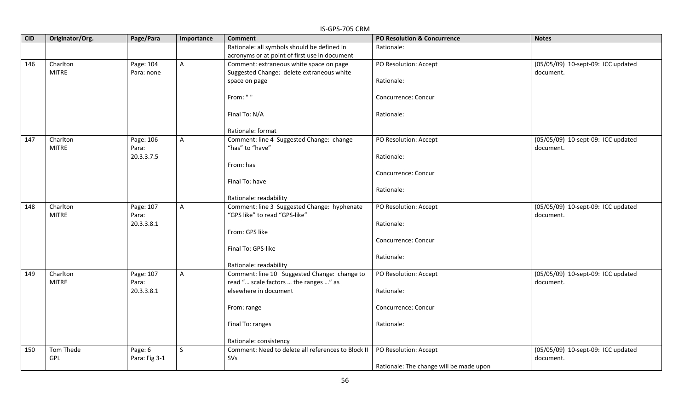| <b>CID</b> | Originator/Org. | Page/Para           | Importance     | <b>Comment</b>                                                 | <b>PO Resolution &amp; Concurrence</b>  | <b>Notes</b>                       |
|------------|-----------------|---------------------|----------------|----------------------------------------------------------------|-----------------------------------------|------------------------------------|
|            |                 |                     |                | Rationale: all symbols should be defined in                    | Rationale:                              |                                    |
|            |                 |                     |                | acronyms or at point of first use in document                  |                                         |                                    |
| 146        | Charlton        | Page: 104           | $\mathsf{A}$   | Comment: extraneous white space on page                        | PO Resolution: Accept                   | (05/05/09) 10-sept-09: ICC updated |
|            | <b>MITRE</b>    | Para: none          |                | Suggested Change: delete extraneous white                      |                                         | document.                          |
|            |                 |                     |                | space on page                                                  | Rationale:                              |                                    |
|            |                 |                     |                | From: " "                                                      | Concurrence: Concur                     |                                    |
|            |                 |                     |                | Final To: N/A                                                  | Rationale:                              |                                    |
|            |                 |                     |                | Rationale: format                                              |                                         |                                    |
| 147        | Charlton        | Page: 106           | $\overline{A}$ | Comment: line 4 Suggested Change: change                       | PO Resolution: Accept                   | (05/05/09) 10-sept-09: ICC updated |
|            | <b>MITRE</b>    | Para:<br>20.3.3.7.5 |                | "has" to "have"                                                | Rationale:                              | document.                          |
|            |                 |                     |                | From: has                                                      |                                         |                                    |
|            |                 |                     |                |                                                                | Concurrence: Concur                     |                                    |
|            |                 |                     |                | Final To: have                                                 |                                         |                                    |
|            |                 |                     |                |                                                                | Rationale:                              |                                    |
|            |                 |                     |                | Rationale: readability                                         |                                         |                                    |
| 148        | Charlton        | Page: 107           | $\mathsf{A}$   | Comment: line 3 Suggested Change: hyphenate                    | PO Resolution: Accept                   | (05/05/09) 10-sept-09: ICC updated |
|            | <b>MITRE</b>    | Para:<br>20.3.3.8.1 |                | "GPS like" to read "GPS-like"                                  |                                         | document.                          |
|            |                 |                     |                | From: GPS like                                                 | Rationale:                              |                                    |
|            |                 |                     |                |                                                                | Concurrence: Concur                     |                                    |
|            |                 |                     |                | Final To: GPS-like                                             |                                         |                                    |
|            |                 |                     |                |                                                                | Rationale:                              |                                    |
|            |                 |                     |                | Rationale: readability                                         |                                         |                                    |
| 149        | Charlton        | Page: 107           | $\mathsf{A}$   | Comment: line 10 Suggested Change: change to                   | PO Resolution: Accept                   | (05/05/09) 10-sept-09: ICC updated |
|            | <b>MITRE</b>    | Para:               |                | read " scale factors  the ranges " as<br>elsewhere in document |                                         | document.                          |
|            |                 | 20.3.3.8.1          |                |                                                                | Rationale:                              |                                    |
|            |                 |                     |                | From: range                                                    | Concurrence: Concur                     |                                    |
|            |                 |                     |                | Final To: ranges                                               | Rationale:                              |                                    |
|            |                 |                     |                | Rationale: consistency                                         |                                         |                                    |
| 150        | Tom Thede       | Page: 6             | $\mathsf{S}$   | Comment: Need to delete all references to Block II             | PO Resolution: Accept                   | (05/05/09) 10-sept-09: ICC updated |
|            | GPL             | Para: Fig 3-1       |                | SVs                                                            |                                         | document.                          |
|            |                 |                     |                |                                                                | Rationale: The change will be made upon |                                    |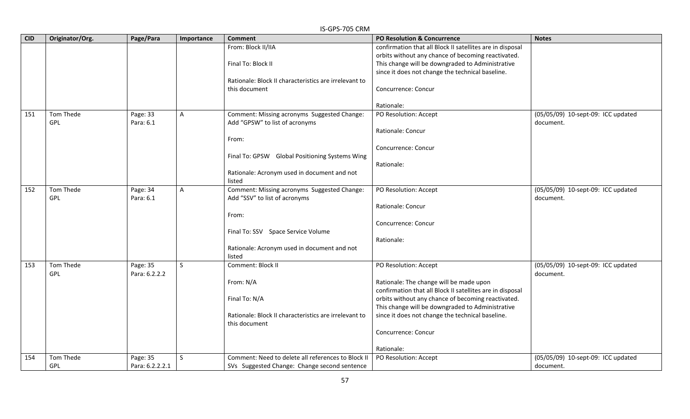|            | IS-GPS-705 CRM  |                 |            |                                                       |                                                           |                                    |  |  |  |
|------------|-----------------|-----------------|------------|-------------------------------------------------------|-----------------------------------------------------------|------------------------------------|--|--|--|
| <b>CID</b> | Originator/Org. | Page/Para       | Importance | <b>Comment</b>                                        | <b>PO Resolution &amp; Concurrence</b>                    | <b>Notes</b>                       |  |  |  |
|            |                 |                 |            | From: Block II/IIA                                    | confirmation that all Block II satellites are in disposal |                                    |  |  |  |
|            |                 |                 |            |                                                       | orbits without any chance of becoming reactivated.        |                                    |  |  |  |
|            |                 |                 |            | Final To: Block II                                    | This change will be downgraded to Administrative          |                                    |  |  |  |
|            |                 |                 |            |                                                       | since it does not change the technical baseline.          |                                    |  |  |  |
|            |                 |                 |            | Rationale: Block II characteristics are irrelevant to |                                                           |                                    |  |  |  |
|            |                 |                 |            | this document                                         | Concurrence: Concur                                       |                                    |  |  |  |
|            |                 |                 |            |                                                       |                                                           |                                    |  |  |  |
|            |                 |                 |            |                                                       | Rationale:                                                |                                    |  |  |  |
| 151        | Tom Thede       | Page: 33        | A          | Comment: Missing acronyms Suggested Change:           | PO Resolution: Accept                                     | (05/05/09) 10-sept-09: ICC updated |  |  |  |
|            | <b>GPL</b>      | Para: 6.1       |            | Add "GPSW" to list of acronyms                        |                                                           | document.                          |  |  |  |
|            |                 |                 |            |                                                       | Rationale: Concur                                         |                                    |  |  |  |
|            |                 |                 |            | From:                                                 |                                                           |                                    |  |  |  |
|            |                 |                 |            |                                                       | Concurrence: Concur                                       |                                    |  |  |  |
|            |                 |                 |            | Final To: GPSW Global Positioning Systems Wing        |                                                           |                                    |  |  |  |
|            |                 |                 |            |                                                       | Rationale:                                                |                                    |  |  |  |
|            |                 |                 |            | Rationale: Acronym used in document and not           |                                                           |                                    |  |  |  |
|            |                 |                 |            | listed                                                |                                                           |                                    |  |  |  |
| 152        | Tom Thede       | Page: 34        | A          | Comment: Missing acronyms Suggested Change:           | PO Resolution: Accept                                     | (05/05/09) 10-sept-09: ICC updated |  |  |  |
|            | GPL             | Para: 6.1       |            | Add "SSV" to list of acronyms                         |                                                           | document.                          |  |  |  |
|            |                 |                 |            |                                                       | Rationale: Concur                                         |                                    |  |  |  |
|            |                 |                 |            | From:                                                 |                                                           |                                    |  |  |  |
|            |                 |                 |            |                                                       | Concurrence: Concur                                       |                                    |  |  |  |
|            |                 |                 |            | Final To: SSV Space Service Volume                    |                                                           |                                    |  |  |  |
|            |                 |                 |            |                                                       | Rationale:                                                |                                    |  |  |  |
|            |                 |                 |            | Rationale: Acronym used in document and not           |                                                           |                                    |  |  |  |
|            |                 |                 |            | listed                                                |                                                           |                                    |  |  |  |
| 153        | Tom Thede       | Page: 35        | S          | Comment: Block II                                     | PO Resolution: Accept                                     | (05/05/09) 10-sept-09: ICC updated |  |  |  |
|            | GPL             | Para: 6.2.2.2   |            |                                                       |                                                           | document.                          |  |  |  |
|            |                 |                 |            | From: N/A                                             | Rationale: The change will be made upon                   |                                    |  |  |  |
|            |                 |                 |            |                                                       | confirmation that all Block II satellites are in disposal |                                    |  |  |  |
|            |                 |                 |            | Final To: N/A                                         | orbits without any chance of becoming reactivated.        |                                    |  |  |  |
|            |                 |                 |            |                                                       | This change will be downgraded to Administrative          |                                    |  |  |  |
|            |                 |                 |            | Rationale: Block II characteristics are irrelevant to | since it does not change the technical baseline.          |                                    |  |  |  |
|            |                 |                 |            | this document                                         |                                                           |                                    |  |  |  |
|            |                 |                 |            |                                                       | Concurrence: Concur                                       |                                    |  |  |  |
|            |                 |                 |            |                                                       |                                                           |                                    |  |  |  |
|            |                 |                 |            |                                                       | Rationale:                                                |                                    |  |  |  |
| 154        | Tom Thede       | Page: 35        | S          | Comment: Need to delete all references to Block II    | PO Resolution: Accept                                     | (05/05/09) 10-sept-09: ICC updated |  |  |  |
|            | <b>GPL</b>      | Para: 6.2.2.2.1 |            | SVs Suggested Change: Change second sentence          |                                                           | document.                          |  |  |  |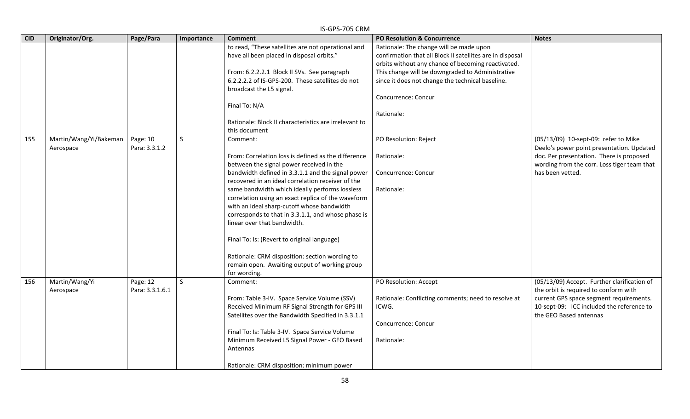|            | IS-GPS-705 CRM                      |                             |              |                                                                                                                                                                                                                                                                                                                                                                                                                                                                                                                                                                                                                                    |                                                                                                                                                                                                                                                                                                         |                                                                                                                                                                                                        |  |  |  |
|------------|-------------------------------------|-----------------------------|--------------|------------------------------------------------------------------------------------------------------------------------------------------------------------------------------------------------------------------------------------------------------------------------------------------------------------------------------------------------------------------------------------------------------------------------------------------------------------------------------------------------------------------------------------------------------------------------------------------------------------------------------------|---------------------------------------------------------------------------------------------------------------------------------------------------------------------------------------------------------------------------------------------------------------------------------------------------------|--------------------------------------------------------------------------------------------------------------------------------------------------------------------------------------------------------|--|--|--|
| <b>CID</b> | Originator/Org.                     | Page/Para                   | Importance   | <b>Comment</b>                                                                                                                                                                                                                                                                                                                                                                                                                                                                                                                                                                                                                     | PO Resolution & Concurrence                                                                                                                                                                                                                                                                             | <b>Notes</b>                                                                                                                                                                                           |  |  |  |
|            |                                     |                             |              | to read, "These satellites are not operational and<br>have all been placed in disposal orbits."<br>From: 6.2.2.2.1 Block II SVs. See paragraph<br>6.2.2.2.2 of IS-GPS-200. These satellites do not<br>broadcast the L5 signal.<br>Final To: N/A<br>Rationale: Block II characteristics are irrelevant to<br>this document                                                                                                                                                                                                                                                                                                          | Rationale: The change will be made upon<br>confirmation that all Block II satellites are in disposal<br>orbits without any chance of becoming reactivated.<br>This change will be downgraded to Administrative<br>since it does not change the technical baseline.<br>Concurrence: Concur<br>Rationale: |                                                                                                                                                                                                        |  |  |  |
| 155        | Martin/Wang/Yi/Bakeman<br>Aerospace | Page: 10<br>Para: 3.3.1.2   | $\mathsf{S}$ | Comment:<br>From: Correlation loss is defined as the difference<br>between the signal power received in the<br>bandwidth defined in 3.3.1.1 and the signal power<br>recovered in an ideal correlation receiver of the<br>same bandwidth which ideally performs lossless<br>correlation using an exact replica of the waveform<br>with an ideal sharp-cutoff whose bandwidth<br>corresponds to that in 3.3.1.1, and whose phase is<br>linear over that bandwidth.<br>Final To: Is: (Revert to original language)<br>Rationale: CRM disposition: section wording to<br>remain open. Awaiting output of working group<br>for wording. | PO Resolution: Reject<br>Rationale:<br>Concurrence: Concur<br>Rationale:                                                                                                                                                                                                                                | (05/13/09) 10-sept-09: refer to Mike<br>Deelo's power point presentation. Updated<br>doc. Per presentation. There is proposed<br>wording from the corr. Loss tiger team that<br>has been vetted.       |  |  |  |
| 156        | Martin/Wang/Yi<br>Aerospace         | Page: 12<br>Para: 3.3.1.6.1 | S            | Comment:<br>From: Table 3-IV. Space Service Volume (SSV)<br>Received Minimum RF Signal Strength for GPS III<br>Satellites over the Bandwidth Specified in 3.3.1.1<br>Final To: Is: Table 3-IV. Space Service Volume<br>Minimum Received L5 Signal Power - GEO Based<br>Antennas<br>Rationale: CRM disposition: minimum power                                                                                                                                                                                                                                                                                                       | PO Resolution: Accept<br>Rationale: Conflicting comments; need to resolve at<br>ICWG.<br>Concurrence: Concur<br>Rationale:                                                                                                                                                                              | (05/13/09) Accept. Further clarification of<br>the orbit is required to conform with<br>current GPS space segment requirements.<br>10-sept-09: ICC included the reference to<br>the GEO Based antennas |  |  |  |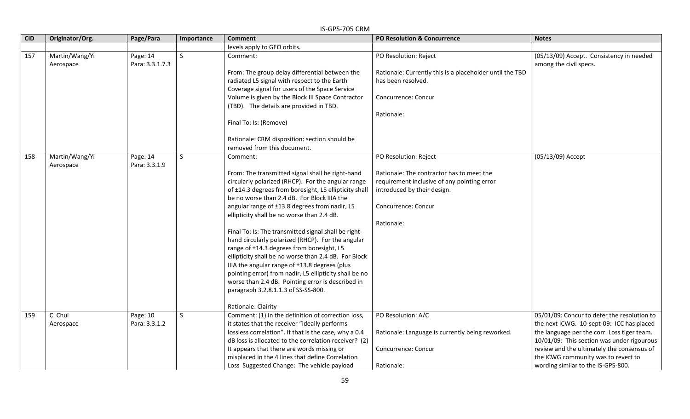| <b>CID</b> | Originator/Org.             | Page/Para                   | Importance   | <b>Comment</b>                                                                                                                                                                                                                                                                                                                                                                                                                                                                                                                                                                                                                                                                                                                                                            | <b>PO Resolution &amp; Concurrence</b>                                                                                                                                                | <b>Notes</b>                                                                                                                                                                                                                                                                                                     |
|------------|-----------------------------|-----------------------------|--------------|---------------------------------------------------------------------------------------------------------------------------------------------------------------------------------------------------------------------------------------------------------------------------------------------------------------------------------------------------------------------------------------------------------------------------------------------------------------------------------------------------------------------------------------------------------------------------------------------------------------------------------------------------------------------------------------------------------------------------------------------------------------------------|---------------------------------------------------------------------------------------------------------------------------------------------------------------------------------------|------------------------------------------------------------------------------------------------------------------------------------------------------------------------------------------------------------------------------------------------------------------------------------------------------------------|
|            |                             |                             |              | levels apply to GEO orbits.                                                                                                                                                                                                                                                                                                                                                                                                                                                                                                                                                                                                                                                                                                                                               |                                                                                                                                                                                       |                                                                                                                                                                                                                                                                                                                  |
| 157        | Martin/Wang/Yi<br>Aerospace | Page: 14<br>Para: 3.3.1.7.3 | <sub>S</sub> | Comment:<br>From: The group delay differential between the<br>radiated L5 signal with respect to the Earth<br>Coverage signal for users of the Space Service<br>Volume is given by the Block III Space Contractor<br>(TBD). The details are provided in TBD.<br>Final To: Is: (Remove)<br>Rationale: CRM disposition: section should be<br>removed from this document.                                                                                                                                                                                                                                                                                                                                                                                                    | PO Resolution: Reject<br>Rationale: Currently this is a placeholder until the TBD<br>has been resolved.<br>Concurrence: Concur<br>Rationale:                                          | (05/13/09) Accept. Consistency in needed<br>among the civil specs.                                                                                                                                                                                                                                               |
| 158        | Martin/Wang/Yi<br>Aerospace | Page: 14<br>Para: 3.3.1.9   | S            | Comment:<br>From: The transmitted signal shall be right-hand<br>circularly polarized (RHCP). For the angular range<br>of ±14.3 degrees from boresight, L5 ellipticity shall<br>be no worse than 2.4 dB. For Block IIIA the<br>angular range of ±13.8 degrees from nadir, L5<br>ellipticity shall be no worse than 2.4 dB.<br>Final To: Is: The transmitted signal shall be right-<br>hand circularly polarized (RHCP). For the angular<br>range of ±14.3 degrees from boresight, L5<br>ellipticity shall be no worse than 2.4 dB. For Block<br>IIIA the angular range of ±13.8 degrees (plus<br>pointing error) from nadir, L5 ellipticity shall be no<br>worse than 2.4 dB. Pointing error is described in<br>paragraph 3.2.8.1.1.3 of SS-SS-800.<br>Rationale: Clairity | PO Resolution: Reject<br>Rationale: The contractor has to meet the<br>requirement inclusive of any pointing error<br>introduced by their design.<br>Concurrence: Concur<br>Rationale: | (05/13/09) Accept                                                                                                                                                                                                                                                                                                |
| 159        | C. Chui<br>Aerospace        | Page: 10<br>Para: 3.3.1.2   | S            | Comment: (1) In the definition of correction loss,<br>it states that the receiver "ideally performs<br>lossless correlation". If that is the case, why a 0.4<br>dB loss is allocated to the correlation receiver? (2)<br>It appears that there are words missing or<br>misplaced in the 4 lines that define Correlation<br>Loss Suggested Change: The vehicle payload                                                                                                                                                                                                                                                                                                                                                                                                     | PO Resolution: A/C<br>Rationale: Language is currently being reworked.<br>Concurrence: Concur<br>Rationale:                                                                           | 05/01/09: Concur to defer the resolution to<br>the next ICWG. 10-sept-09: ICC has placed<br>the language per the corr. Loss tiger team.<br>10/01/09: This section was under rigourous<br>review and the ultimately the consensus of<br>the ICWG community was to revert to<br>wording similar to the IS-GPS-800. |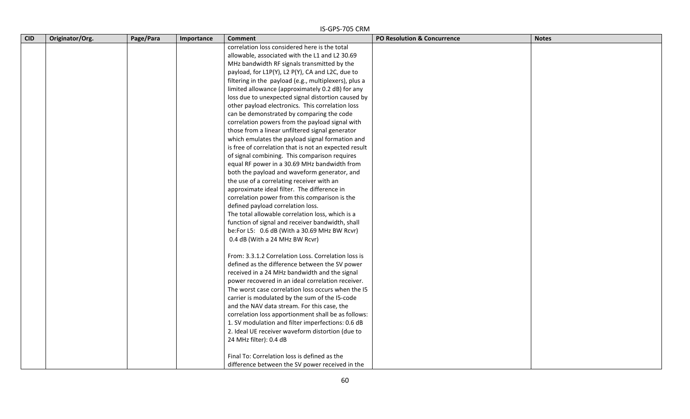|            | IS-GPS-705 CRM  |           |            |                                                       |                                        |              |  |  |  |  |
|------------|-----------------|-----------|------------|-------------------------------------------------------|----------------------------------------|--------------|--|--|--|--|
| <b>CID</b> | Originator/Org. | Page/Para | Importance | <b>Comment</b>                                        | <b>PO Resolution &amp; Concurrence</b> | <b>Notes</b> |  |  |  |  |
|            |                 |           |            | correlation loss considered here is the total         |                                        |              |  |  |  |  |
|            |                 |           |            | allowable, associated with the L1 and L2 30.69        |                                        |              |  |  |  |  |
|            |                 |           |            | MHz bandwidth RF signals transmitted by the           |                                        |              |  |  |  |  |
|            |                 |           |            | payload, for L1P(Y), L2 P(Y), CA and L2C, due to      |                                        |              |  |  |  |  |
|            |                 |           |            | filtering in the payload (e.g., multiplexers), plus a |                                        |              |  |  |  |  |
|            |                 |           |            | limited allowance (approximately 0.2 dB) for any      |                                        |              |  |  |  |  |
|            |                 |           |            | loss due to unexpected signal distortion caused by    |                                        |              |  |  |  |  |
|            |                 |           |            | other payload electronics. This correlation loss      |                                        |              |  |  |  |  |
|            |                 |           |            | can be demonstrated by comparing the code             |                                        |              |  |  |  |  |
|            |                 |           |            | correlation powers from the payload signal with       |                                        |              |  |  |  |  |
|            |                 |           |            | those from a linear unfiltered signal generator       |                                        |              |  |  |  |  |
|            |                 |           |            | which emulates the payload signal formation and       |                                        |              |  |  |  |  |
|            |                 |           |            | is free of correlation that is not an expected result |                                        |              |  |  |  |  |
|            |                 |           |            | of signal combining. This comparison requires         |                                        |              |  |  |  |  |
|            |                 |           |            | equal RF power in a 30.69 MHz bandwidth from          |                                        |              |  |  |  |  |
|            |                 |           |            | both the payload and waveform generator, and          |                                        |              |  |  |  |  |
|            |                 |           |            | the use of a correlating receiver with an             |                                        |              |  |  |  |  |
|            |                 |           |            | approximate ideal filter. The difference in           |                                        |              |  |  |  |  |
|            |                 |           |            | correlation power from this comparison is the         |                                        |              |  |  |  |  |
|            |                 |           |            | defined payload correlation loss.                     |                                        |              |  |  |  |  |
|            |                 |           |            | The total allowable correlation loss, which is a      |                                        |              |  |  |  |  |
|            |                 |           |            | function of signal and receiver bandwidth, shall      |                                        |              |  |  |  |  |
|            |                 |           |            | be:For L5: 0.6 dB (With a 30.69 MHz BW Rcvr)          |                                        |              |  |  |  |  |
|            |                 |           |            | 0.4 dB (With a 24 MHz BW Rcvr)                        |                                        |              |  |  |  |  |
|            |                 |           |            | From: 3.3.1.2 Correlation Loss. Correlation loss is   |                                        |              |  |  |  |  |
|            |                 |           |            | defined as the difference between the SV power        |                                        |              |  |  |  |  |
|            |                 |           |            | received in a 24 MHz bandwidth and the signal         |                                        |              |  |  |  |  |
|            |                 |           |            | power recovered in an ideal correlation receiver.     |                                        |              |  |  |  |  |
|            |                 |           |            | The worst case correlation loss occurs when the I5    |                                        |              |  |  |  |  |
|            |                 |           |            | carrier is modulated by the sum of the I5-code        |                                        |              |  |  |  |  |
|            |                 |           |            | and the NAV data stream. For this case, the           |                                        |              |  |  |  |  |
|            |                 |           |            | correlation loss apportionment shall be as follows:   |                                        |              |  |  |  |  |
|            |                 |           |            | 1. SV modulation and filter imperfections: 0.6 dB     |                                        |              |  |  |  |  |
|            |                 |           |            | 2. Ideal UE receiver waveform distortion (due to      |                                        |              |  |  |  |  |
|            |                 |           |            | 24 MHz filter): 0.4 dB                                |                                        |              |  |  |  |  |
|            |                 |           |            | Final To: Correlation loss is defined as the          |                                        |              |  |  |  |  |
|            |                 |           |            | difference between the SV power received in the       |                                        |              |  |  |  |  |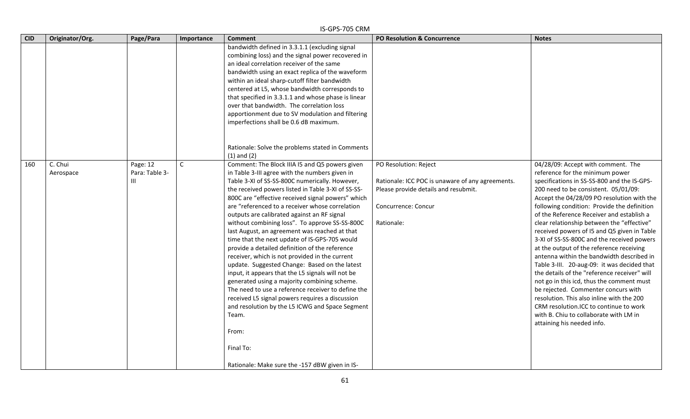|            |                      |                                 |              | IS-GPS-705 CRM                                                                                                                                                                                                                                                                                                                                                                                                                                                                                                                                                                                                                                                                                                                                                                                                                                                                                                                                                                                                             |                                                                                                                                                        |                                                                                                                                                                                                                                                                                                                                                                                                                                                                                                                                                                                                                                                                                                                                                                                                                                                                                              |
|------------|----------------------|---------------------------------|--------------|----------------------------------------------------------------------------------------------------------------------------------------------------------------------------------------------------------------------------------------------------------------------------------------------------------------------------------------------------------------------------------------------------------------------------------------------------------------------------------------------------------------------------------------------------------------------------------------------------------------------------------------------------------------------------------------------------------------------------------------------------------------------------------------------------------------------------------------------------------------------------------------------------------------------------------------------------------------------------------------------------------------------------|--------------------------------------------------------------------------------------------------------------------------------------------------------|----------------------------------------------------------------------------------------------------------------------------------------------------------------------------------------------------------------------------------------------------------------------------------------------------------------------------------------------------------------------------------------------------------------------------------------------------------------------------------------------------------------------------------------------------------------------------------------------------------------------------------------------------------------------------------------------------------------------------------------------------------------------------------------------------------------------------------------------------------------------------------------------|
| <b>CID</b> | Originator/Org.      | Page/Para                       | Importance   | <b>Comment</b>                                                                                                                                                                                                                                                                                                                                                                                                                                                                                                                                                                                                                                                                                                                                                                                                                                                                                                                                                                                                             | <b>PO Resolution &amp; Concurrence</b>                                                                                                                 | <b>Notes</b>                                                                                                                                                                                                                                                                                                                                                                                                                                                                                                                                                                                                                                                                                                                                                                                                                                                                                 |
|            |                      |                                 |              | bandwidth defined in 3.3.1.1 (excluding signal<br>combining loss) and the signal power recovered in<br>an ideal correlation receiver of the same<br>bandwidth using an exact replica of the waveform<br>within an ideal sharp-cutoff filter bandwidth<br>centered at L5, whose bandwidth corresponds to<br>that specified in 3.3.1.1 and whose phase is linear<br>over that bandwidth. The correlation loss<br>apportionment due to SV modulation and filtering<br>imperfections shall be 0.6 dB maximum.                                                                                                                                                                                                                                                                                                                                                                                                                                                                                                                  |                                                                                                                                                        |                                                                                                                                                                                                                                                                                                                                                                                                                                                                                                                                                                                                                                                                                                                                                                                                                                                                                              |
|            |                      |                                 |              | Rationale: Solve the problems stated in Comments<br>$(1)$ and $(2)$                                                                                                                                                                                                                                                                                                                                                                                                                                                                                                                                                                                                                                                                                                                                                                                                                                                                                                                                                        |                                                                                                                                                        |                                                                                                                                                                                                                                                                                                                                                                                                                                                                                                                                                                                                                                                                                                                                                                                                                                                                                              |
| 160        | C. Chui<br>Aerospace | Page: 12<br>Para: Table 3-<br>Ш | $\mathsf{C}$ | Comment: The Block IIIA I5 and Q5 powers given<br>in Table 3-III agree with the numbers given in<br>Table 3-XI of SS-SS-800C numerically. However,<br>the received powers listed in Table 3-XI of SS-SS-<br>800C are "effective received signal powers" which<br>are "referenced to a receiver whose correlation<br>outputs are calibrated against an RF signal<br>without combining loss". To approve SS-SS-800C<br>last August, an agreement was reached at that<br>time that the next update of IS-GPS-705 would<br>provide a detailed definition of the reference<br>receiver, which is not provided in the current<br>update. Suggested Change: Based on the latest<br>input, it appears that the L5 signals will not be<br>generated using a majority combining scheme.<br>The need to use a reference receiver to define the<br>received L5 signal powers requires a discussion<br>and resolution by the L5 ICWG and Space Segment<br>Team.<br>From:<br>Final To:<br>Rationale: Make sure the -157 dBW given in IS- | PO Resolution: Reject<br>Rationale: ICC POC is unaware of any agreements.<br>Please provide details and resubmit.<br>Concurrence: Concur<br>Rationale: | 04/28/09: Accept with comment. The<br>reference for the minimum power<br>specifications in SS-SS-800 and the IS-GPS-<br>200 need to be consistent. 05/01/09:<br>Accept the 04/28/09 PO resolution with the<br>following condition: Provide the definition<br>of the Reference Receiver and establish a<br>clear relationship between the "effective"<br>received powers of I5 and Q5 given in Table<br>3-XI of SS-SS-800C and the received powers<br>at the output of the reference receiving<br>antenna within the bandwidth described in<br>Table 3-III. 20-aug-09: it was decided that<br>the details of the "reference receiver" will<br>not go in this icd, thus the comment must<br>be rejected. Commenter concurs with<br>resolution. This also inline with the 200<br>CRM resolution.ICC to continue to work<br>with B. Chiu to collaborate with LM in<br>attaining his needed info. |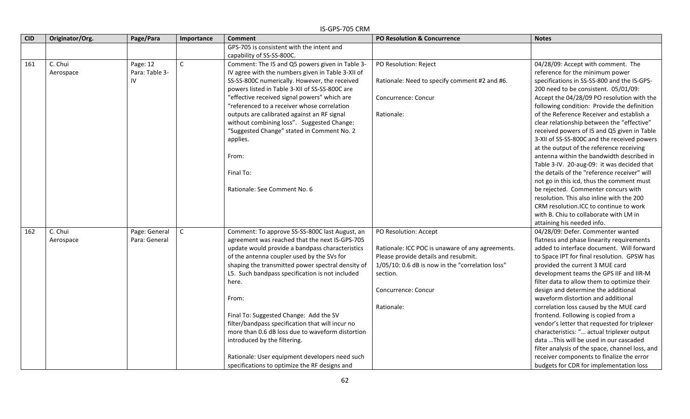#### **CID Originator/Org. Page/Para Importance Comment PO Resolution & Concurrence Notes** GPS-705 is consistent with the intent and capability of SS-SS-800C. 161 | C. Chui Aerospace Page: 12 Para: Table 3- IV C Comment: The I5 and Q5 powers given in Table 3- IV agree with the numbers given in Table 3-XII of SS-SS-800C numerically. However, the received powers listed in Table 3-XII of SS-SS-800C are "effective received signal powers" which are "referenced to a receiver whose correlation outputs are calibrated against an RF signal without combining loss". Suggested Change: "Suggested Change" stated in Comment No. 2 applies. From: Final To: Rationale: See Comment No. 6 PO Resolution: Reject Rationale: Need to specify comment #2 and #6. Concurrence: Concur Rationale: 04/28/09: Accept with comment. The reference for the minimum power specifications in SS-SS-800 and the IS-GPS-200 need to be consistent. 05/01/09: Accept the 04/28/09 PO resolution with the following condition: Provide the definition of the Reference Receiver and establish a clear relationship between the "effective" received powers of I5 and Q5 given in Table 3-XII of SS-SS-800C and the received powers at the output of the reference receiving antenna within the bandwidth described in Table 3-IV. 20-aug-09: it was decided that the details of the "reference receiver" will not go in this icd, thus the comment must be rejected. Commenter concurs with resolution. This also inline with the 200 CRM resolution.ICC to continue to work with B. Chiu to collaborate with LM in attaining his needed info. 162 C. Chui Aerospace Page: General Para: General C Comment: To approve SS-SS-800C last August, an agreement was reached that the next IS-GPS-705 update would provide a bandpass characteristics of the antenna coupler used by the SVs for shaping the transmitted power spectral density of L5. Such bandpass specification is not included here. From: Final To: Suggested Change: Add the SV filter/bandpass specification that will incur no more than 0.6 dB loss due to waveform distortion introduced by the filtering. Rationale: User equipment developers need such specifications to optimize the RF designs and PO Resolution: Accept Rationale: ICC POC is unaware of any agreements. Please provide details and resubmit. 1/05/10: 0.6 dB is now in the "correlation loss" section. Concurrence: Concur Rationale: 04/28/09: Defer. Commenter wanted flatness and phase linearity requirements added to interface document. Will forward to Space IPT for final resolution. GPSW has provided the current 3 MUE card development teams the GPS IIF and IIR-M filter data to allow them to optimize their design and determine the additional waveform distortion and additional correlation loss caused by the MUE card frontend. Following is copied from a vendor's letter that requested for triplexer characteristics: "… actual triplexer output data …This will be used in our cascaded filter analysis of the space, channel loss, and receiver components to finalize the error budgets for CDR for implementation loss

62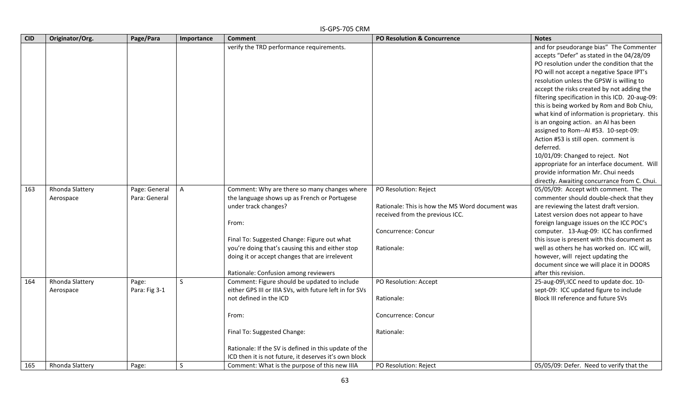| <b>CID</b> | Originator/Org. | Page/Para     | Importance   | <b>Comment</b>                                          | <b>PO Resolution &amp; Concurrence</b>          | <b>Notes</b>                                    |
|------------|-----------------|---------------|--------------|---------------------------------------------------------|-------------------------------------------------|-------------------------------------------------|
|            |                 |               |              | verify the TRD performance requirements.                |                                                 | and for pseudorange bias" The Commenter         |
|            |                 |               |              |                                                         |                                                 | accepts "Defer" as stated in the 04/28/09       |
|            |                 |               |              |                                                         |                                                 | PO resolution under the condition that the      |
|            |                 |               |              |                                                         |                                                 | PO will not accept a negative Space IPT's       |
|            |                 |               |              |                                                         |                                                 | resolution unless the GPSW is willing to        |
|            |                 |               |              |                                                         |                                                 | accept the risks created by not adding the      |
|            |                 |               |              |                                                         |                                                 | filtering specification in this ICD. 20-aug-09: |
|            |                 |               |              |                                                         |                                                 | this is being worked by Rom and Bob Chiu,       |
|            |                 |               |              |                                                         |                                                 | what kind of information is proprietary. this   |
|            |                 |               |              |                                                         |                                                 | is an ongoing action. an AI has been            |
|            |                 |               |              |                                                         |                                                 | assigned to Rom--AI #53. 10-sept-09:            |
|            |                 |               |              |                                                         |                                                 | Action #53 is still open. comment is            |
|            |                 |               |              |                                                         |                                                 | deferred.                                       |
|            |                 |               |              |                                                         |                                                 | 10/01/09: Changed to reject. Not                |
|            |                 |               |              |                                                         |                                                 | appropriate for an interface document. Will     |
|            |                 |               |              |                                                         |                                                 | provide information Mr. Chui needs              |
|            |                 |               |              |                                                         |                                                 | directly. Awaiting concurrance from C. Chui.    |
| 163        | Rhonda Slattery | Page: General |              | Comment: Why are there so many changes where            | PO Resolution: Reject                           | 05/05/09: Accept with comment. The              |
|            | Aerospace       | Para: General |              | the language shows up as French or Portugese            |                                                 | commenter should double-check that they         |
|            |                 |               |              | under track changes?                                    | Rationale: This is how the MS Word document was | are reviewing the latest draft version.         |
|            |                 |               |              |                                                         | received from the previous ICC.                 | Latest version does not appear to have          |
|            |                 |               |              | From:                                                   |                                                 | foreign language issues on the ICC POC's        |
|            |                 |               |              |                                                         | Concurrence: Concur                             | computer. 13-Aug-09: ICC has confirmed          |
|            |                 |               |              | Final To: Suggested Change: Figure out what             |                                                 | this issue is present with this document as     |
|            |                 |               |              | you're doing that's causing this and either stop        | Rationale:                                      | well as others he has worked on. ICC will,      |
|            |                 |               |              | doing it or accept changes that are irrelevent          |                                                 | however, will reject updating the               |
|            |                 |               |              |                                                         |                                                 | document since we will place it in DOORS        |
|            |                 |               |              | Rationale: Confusion among reviewers                    |                                                 | after this revision.                            |
| 164        | Rhonda Slattery | Page:         | <sub>S</sub> | Comment: Figure should be updated to include            | PO Resolution: Accept                           | 25-aug-09\:ICC need to update doc. 10-          |
|            | Aerospace       | Para: Fig 3-1 |              | either GPS III or IIIA SVs, with future left in for SVs |                                                 | sept-09: ICC updated figure to include          |
|            |                 |               |              | not defined in the ICD                                  | Rationale:                                      | Block III reference and future SVs              |
|            |                 |               |              |                                                         |                                                 |                                                 |
|            |                 |               |              | From:                                                   | Concurrence: Concur                             |                                                 |
|            |                 |               |              | Final To: Suggested Change:                             | Rationale:                                      |                                                 |
|            |                 |               |              |                                                         |                                                 |                                                 |
|            |                 |               |              | Rationale: If the SV is defined in this update of the   |                                                 |                                                 |
|            |                 |               |              | ICD then it is not future, it deserves it's own block   |                                                 |                                                 |
| 165        | Rhonda Slattery | Page:         | <sub>S</sub> | Comment: What is the purpose of this new IIIA           | <b>PO Resolution: Reject</b>                    | 05/05/09: Defer. Need to verify that the        |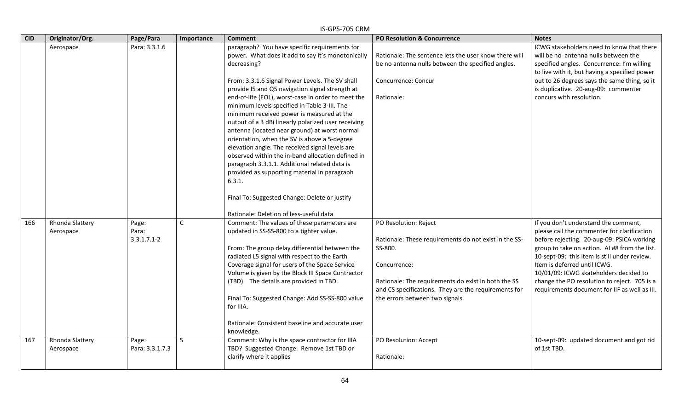| <b>CID</b> | Originator/Org.              | Page/Para                         | Importance   | <b>Comment</b>                                                                                                                                                                                                                                                                                                                                                                                                                                                                                                                                                                                                                                                                                                                                                                                                                                    | PO Resolution & Concurrence                                                                                                                                                                                                                                 | <b>Notes</b>                                                                                                                                                                                                                                                                                                                                                                                                  |
|------------|------------------------------|-----------------------------------|--------------|---------------------------------------------------------------------------------------------------------------------------------------------------------------------------------------------------------------------------------------------------------------------------------------------------------------------------------------------------------------------------------------------------------------------------------------------------------------------------------------------------------------------------------------------------------------------------------------------------------------------------------------------------------------------------------------------------------------------------------------------------------------------------------------------------------------------------------------------------|-------------------------------------------------------------------------------------------------------------------------------------------------------------------------------------------------------------------------------------------------------------|---------------------------------------------------------------------------------------------------------------------------------------------------------------------------------------------------------------------------------------------------------------------------------------------------------------------------------------------------------------------------------------------------------------|
|            | Aerospace                    | Para: 3.3.1.6                     |              | paragraph? You have specific requirements for<br>power. What does it add to say it's monotonically<br>decreasing?<br>From: 3.3.1.6 Signal Power Levels. The SV shall<br>provide I5 and Q5 navigation signal strength at<br>end-of-life (EOL), worst-case in order to meet the<br>minimum levels specified in Table 3-III. The<br>minimum received power is measured at the<br>output of a 3 dBi linearly polarized user receiving<br>antenna (located near ground) at worst normal<br>orientation, when the SV is above a 5-degree<br>elevation angle. The received signal levels are<br>observed within the in-band allocation defined in<br>paragraph 3.3.1.1. Additional related data is<br>provided as supporting material in paragraph<br>6.3.1.<br>Final To: Suggested Change: Delete or justify<br>Rationale: Deletion of less-useful data | Rationale: The sentence lets the user know there will<br>be no antenna nulls between the specified angles.<br>Concurrence: Concur<br>Rationale:                                                                                                             | ICWG stakeholders need to know that there<br>will be no antenna nulls between the<br>specified angles. Concurrence: I'm willing<br>to live with it, but having a specified power<br>out to 26 degrees says the same thing, so it<br>is duplicative. 20-aug-09: commenter<br>concurs with resolution.                                                                                                          |
| 166        | Rhonda Slattery<br>Aerospace | Page:<br>Para:<br>$3.3.1.7.1 - 2$ | $\mathsf{C}$ | Comment: The values of these parameters are<br>updated in SS-SS-800 to a tighter value.<br>From: The group delay differential between the<br>radiated L5 signal with respect to the Earth<br>Coverage signal for users of the Space Service<br>Volume is given by the Block III Space Contractor<br>(TBD). The details are provided in TBD.<br>Final To: Suggested Change: Add SS-SS-800 value<br>for IIIA.<br>Rationale: Consistent baseline and accurate user<br>knowledge.                                                                                                                                                                                                                                                                                                                                                                     | PO Resolution: Reject<br>Rationale: These requirements do not exist in the SS-<br>SS-800.<br>Concurrence:<br>Rationale: The requirements do exist in both the SS<br>and CS specifications. They are the requirements for<br>the errors between two signals. | If you don't understand the comment,<br>please call the commenter for clarification<br>before rejecting. 20-aug-09: PSICA working<br>group to take on action. AI #8 from the list.<br>10-sept-09: this item is still under review.<br>Item is deferred until ICWG.<br>10/01/09: ICWG skateholders decided to<br>change the PO resolution to reject. 705 is a<br>requirements document for IIF as well as III. |
| 167        | Rhonda Slattery<br>Aerospace | Page:<br>Para: 3.3.1.7.3          | <sub>S</sub> | Comment: Why is the space contractor for IIIA<br>TBD? Suggested Change: Remove 1st TBD or<br>clarify where it applies                                                                                                                                                                                                                                                                                                                                                                                                                                                                                                                                                                                                                                                                                                                             | PO Resolution: Accept<br>Rationale:                                                                                                                                                                                                                         | 10-sept-09: updated document and got rid<br>of 1st TBD.                                                                                                                                                                                                                                                                                                                                                       |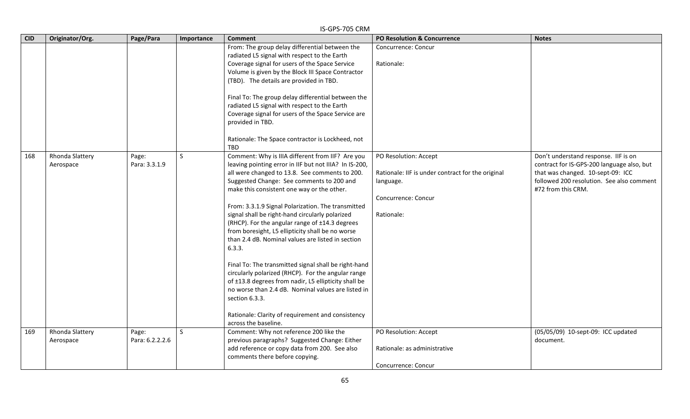|            |                              |                          |              | IS-GPS-705 CRM                                                                                                                                                                                                                                                                                                                                                                                                                                                                                                                                                                                                                                                                                                                                                                                                                                                   |                                                                                                                              |                                                                                                                                                                                            |
|------------|------------------------------|--------------------------|--------------|------------------------------------------------------------------------------------------------------------------------------------------------------------------------------------------------------------------------------------------------------------------------------------------------------------------------------------------------------------------------------------------------------------------------------------------------------------------------------------------------------------------------------------------------------------------------------------------------------------------------------------------------------------------------------------------------------------------------------------------------------------------------------------------------------------------------------------------------------------------|------------------------------------------------------------------------------------------------------------------------------|--------------------------------------------------------------------------------------------------------------------------------------------------------------------------------------------|
| <b>CID</b> | Originator/Org.              | Page/Para                | Importance   | <b>Comment</b>                                                                                                                                                                                                                                                                                                                                                                                                                                                                                                                                                                                                                                                                                                                                                                                                                                                   | <b>PO Resolution &amp; Concurrence</b>                                                                                       | <b>Notes</b>                                                                                                                                                                               |
|            |                              |                          |              | From: The group delay differential between the<br>radiated L5 signal with respect to the Earth<br>Coverage signal for users of the Space Service<br>Volume is given by the Block III Space Contractor<br>(TBD). The details are provided in TBD.<br>Final To: The group delay differential between the<br>radiated L5 signal with respect to the Earth<br>Coverage signal for users of the Space Service are<br>provided in TBD.<br>Rationale: The Space contractor is Lockheed, not<br><b>TBD</b>                                                                                                                                                                                                                                                                                                                                                               | Concurrence: Concur<br>Rationale:                                                                                            |                                                                                                                                                                                            |
| 168        | Rhonda Slattery<br>Aerospace | Page:<br>Para: 3.3.1.9   | <sub>S</sub> | Comment: Why is IIIA different from IIF? Are you<br>leaving pointing error in IIF but not IIIA? In IS-200,<br>all were changed to 13.8. See comments to 200.<br>Suggested Change: See comments to 200 and<br>make this consistent one way or the other.<br>From: 3.3.1.9 Signal Polarization. The transmitted<br>signal shall be right-hand circularly polarized<br>(RHCP). For the angular range of ±14.3 degrees<br>from boresight, L5 ellipticity shall be no worse<br>than 2.4 dB. Nominal values are listed in section<br>6.3.3.<br>Final To: The transmitted signal shall be right-hand<br>circularly polarized (RHCP). For the angular range<br>of ±13.8 degrees from nadir, L5 ellipticity shall be<br>no worse than 2.4 dB. Nominal values are listed in<br>section 6.3.3.<br>Rationale: Clarity of requirement and consistency<br>across the baseline. | PO Resolution: Accept<br>Rationale: IIF is under contract for the original<br>language.<br>Concurrence: Concur<br>Rationale: | Don't understand response. IIF is on<br>contract for IS-GPS-200 language also, but<br>that was changed. 10-sept-09: ICC<br>followed 200 resolution. See also comment<br>#72 from this CRM. |
| 169        | Rhonda Slattery<br>Aerospace | Page:<br>Para: 6.2.2.2.6 | S            | Comment: Why not reference 200 like the<br>previous paragraphs? Suggested Change: Either<br>add reference or copy data from 200. See also<br>comments there before copying.                                                                                                                                                                                                                                                                                                                                                                                                                                                                                                                                                                                                                                                                                      | PO Resolution: Accept<br>Rationale: as administrative<br>Concurrence: Concur                                                 | (05/05/09) 10-sept-09: ICC updated<br>document.                                                                                                                                            |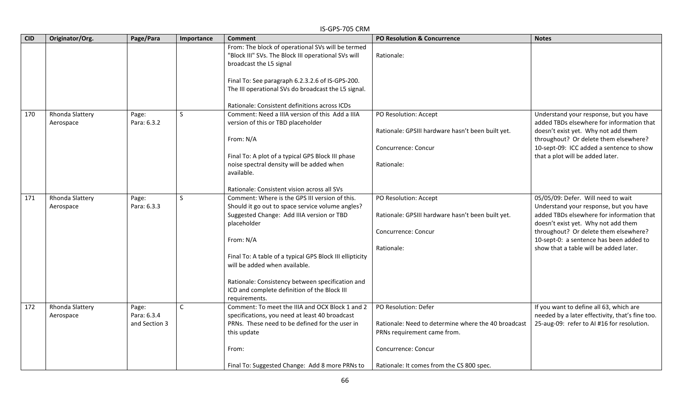|            |                              |                                       |              | IS-GPS-705 CRM                                                                                                                                                                                                                                                                                                                                                                                |                                                                                                                                                                                |                                                                                                                                                                                                                                                                                                |
|------------|------------------------------|---------------------------------------|--------------|-----------------------------------------------------------------------------------------------------------------------------------------------------------------------------------------------------------------------------------------------------------------------------------------------------------------------------------------------------------------------------------------------|--------------------------------------------------------------------------------------------------------------------------------------------------------------------------------|------------------------------------------------------------------------------------------------------------------------------------------------------------------------------------------------------------------------------------------------------------------------------------------------|
| <b>CID</b> | Originator/Org.              | Page/Para                             | Importance   | Comment                                                                                                                                                                                                                                                                                                                                                                                       | PO Resolution & Concurrence                                                                                                                                                    | <b>Notes</b>                                                                                                                                                                                                                                                                                   |
|            |                              |                                       |              | From: The block of operational SVs will be termed<br>"Block III" SVs. The Block III operational SVs will<br>broadcast the L5 signal<br>Final To: See paragraph 6.2.3.2.6 of IS-GPS-200.<br>The III operational SVs do broadcast the L5 signal.<br>Rationale: Consistent definitions across ICDs                                                                                               | Rationale:                                                                                                                                                                     |                                                                                                                                                                                                                                                                                                |
| 170        | Rhonda Slattery<br>Aerospace | Page:<br>Para: 6.3.2                  | $\mathsf{S}$ | Comment: Need a IIIA version of this Add a IIIA<br>version of this or TBD placeholder<br>From: N/A<br>Final To: A plot of a typical GPS Block III phase<br>noise spectral density will be added when<br>available.<br>Rationale: Consistent vision across all SVs                                                                                                                             | PO Resolution: Accept<br>Rationale: GPSIII hardware hasn't been built yet.<br>Concurrence: Concur<br>Rationale:                                                                | Understand your response, but you have<br>added TBDs elsewhere for information that<br>doesn't exist yet. Why not add them<br>throughout? Or delete them elsewhere?<br>10-sept-09: ICC added a sentence to show<br>that a plot will be added later.                                            |
| 171        | Rhonda Slattery<br>Aerospace | Page:<br>Para: 6.3.3                  | $\mathsf{S}$ | Comment: Where is the GPS III version of this.<br>Should it go out to space service volume angles?<br>Suggested Change: Add IIIA version or TBD<br>placeholder<br>From: N/A<br>Final To: A table of a typical GPS Block III ellipticity<br>will be added when available.<br>Rationale: Consistency between specification and<br>ICD and complete definition of the Block III<br>requirements. | PO Resolution: Accept<br>Rationale: GPSIII hardware hasn't been built yet.<br>Concurrence: Concur<br>Rationale:                                                                | 05/05/09: Defer. Will need to wait<br>Understand your response, but you have<br>added TBDs elsewhere for information that<br>doesn't exist yet. Why not add them<br>throughout? Or delete them elsewhere?<br>10-sept-0: a sentence has been added to<br>show that a table will be added later. |
| 172        | Rhonda Slattery<br>Aerospace | Page:<br>Para: 6.3.4<br>and Section 3 | $\mathsf{C}$ | Comment: To meet the IIIA and OCX Block 1 and 2<br>specifications, you need at least 40 broadcast<br>PRNs. These need to be defined for the user in<br>this update<br>From:<br>Final To: Suggested Change: Add 8 more PRNs to                                                                                                                                                                 | PO Resolution: Defer<br>Rationale: Need to determine where the 40 broadcast<br>PRNs requirement came from.<br>Concurrence: Concur<br>Rationale: It comes from the CS 800 spec. | If you want to define all 63, which are<br>needed by a later effectivity, that's fine too.<br>25-aug-09: refer to AI #16 for resolution.                                                                                                                                                       |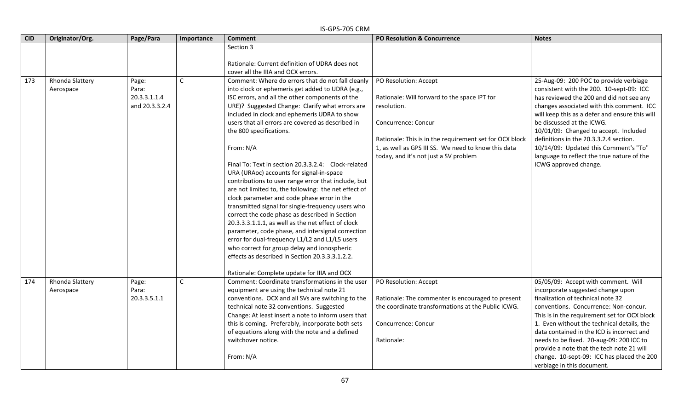|            |                              |                                                  |             | IS-GPS-705 CRM                                                                                                                                                                                                                                                                                                                                                                                                                                                                                                                                                                                                                                                                                                                                                                                                                                                                                                                                                                                                                                                                       |                                                                                                                                                                                                                                                                        |                                                                                                                                                                                                                                                                                                                                                                                                                                                                         |
|------------|------------------------------|--------------------------------------------------|-------------|--------------------------------------------------------------------------------------------------------------------------------------------------------------------------------------------------------------------------------------------------------------------------------------------------------------------------------------------------------------------------------------------------------------------------------------------------------------------------------------------------------------------------------------------------------------------------------------------------------------------------------------------------------------------------------------------------------------------------------------------------------------------------------------------------------------------------------------------------------------------------------------------------------------------------------------------------------------------------------------------------------------------------------------------------------------------------------------|------------------------------------------------------------------------------------------------------------------------------------------------------------------------------------------------------------------------------------------------------------------------|-------------------------------------------------------------------------------------------------------------------------------------------------------------------------------------------------------------------------------------------------------------------------------------------------------------------------------------------------------------------------------------------------------------------------------------------------------------------------|
| <b>CID</b> | Originator/Org.              | Page/Para                                        | Importance  | <b>Comment</b>                                                                                                                                                                                                                                                                                                                                                                                                                                                                                                                                                                                                                                                                                                                                                                                                                                                                                                                                                                                                                                                                       | <b>PO Resolution &amp; Concurrence</b>                                                                                                                                                                                                                                 | <b>Notes</b>                                                                                                                                                                                                                                                                                                                                                                                                                                                            |
|            |                              |                                                  |             | Section 3<br>Rationale: Current definition of UDRA does not                                                                                                                                                                                                                                                                                                                                                                                                                                                                                                                                                                                                                                                                                                                                                                                                                                                                                                                                                                                                                          |                                                                                                                                                                                                                                                                        |                                                                                                                                                                                                                                                                                                                                                                                                                                                                         |
| 173        | Rhonda Slattery<br>Aerospace | Page:<br>Para:<br>20.3.3.1.1.4<br>and 20.3.3.2.4 | C           | cover all the IIIA and OCX errors.<br>Comment: Where do errors that do not fall cleanly<br>into clock or ephemeris get added to UDRA (e.g.,<br>ISC errors, and all the other components of the<br>URE)? Suggested Change: Clarify what errors are<br>included in clock and ephemeris UDRA to show<br>users that all errors are covered as described in<br>the 800 specifications.<br>From: N/A<br>Final To: Text in section 20.3.3.2.4: Clock-related<br>URA (URAoc) accounts for signal-in-space<br>contributions to user range error that include, but<br>are not limited to, the following: the net effect of<br>clock parameter and code phase error in the<br>transmitted signal for single-frequency users who<br>correct the code phase as described in Section<br>20.3.3.3.1.1.1, as well as the net effect of clock<br>parameter, code phase, and intersignal correction<br>error for dual-frequency L1/L2 and L1/L5 users<br>who correct for group delay and ionospheric<br>effects as described in Section 20.3.3.3.1.2.2.<br>Rationale: Complete update for IIIA and OCX | PO Resolution: Accept<br>Rationale: Will forward to the space IPT for<br>resolution.<br>Concurrence: Concur<br>Rationale: This is in the requirement set for OCX block<br>1, as well as GPS III SS. We need to know this data<br>today, and it's not just a SV problem | 25-Aug-09: 200 POC to provide verbiage<br>consistent with the 200. 10-sept-09: ICC<br>has reviewed the 200 and did not see any<br>changes associated with this comment. ICC<br>will keep this as a defer and ensure this will<br>be discussed at the ICWG.<br>10/01/09: Changed to accept. Included<br>definitions in the 20.3.3.2.4 section.<br>10/14/09: Updated this Comment's "To"<br>language to reflect the true nature of the<br>ICWG approved change.           |
| 174        | Rhonda Slattery<br>Aerospace | Page:<br>Para:<br>20.3.3.5.1.1                   | $\mathsf C$ | Comment: Coordinate transformations in the user<br>equipment are using the technical note 21<br>conventions. OCX and all SVs are switching to the<br>technical note 32 conventions. Suggested<br>Change: At least insert a note to inform users that<br>this is coming. Preferably, incorporate both sets<br>of equations along with the note and a defined<br>switchover notice.<br>From: N/A                                                                                                                                                                                                                                                                                                                                                                                                                                                                                                                                                                                                                                                                                       | PO Resolution: Accept<br>Rationale: The commenter is encouraged to present<br>the coordinate transformations at the Public ICWG.<br>Concurrence: Concur<br>Rationale:                                                                                                  | 05/05/09: Accept with comment. Will<br>incorporate suggested change upon<br>finalization of technical note 32<br>conventions. Concurrence: Non-concur.<br>This is in the requirement set for OCX block<br>1. Even without the technical details, the<br>data contained in the ICD is incorrect and<br>needs to be fixed. 20-aug-09: 200 ICC to<br>provide a note that the tech note 21 will<br>change. 10-sept-09: ICC has placed the 200<br>verbiage in this document. |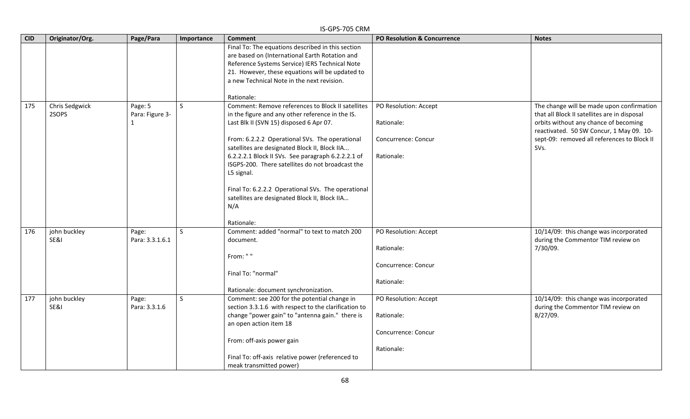|            |                         |                                            |              | IS-GPS-705 CRM                                                                                                                                                                                                                                                                                                                                                                                                                                                                                          |                                                                          |                                                                                                                                                                                                                                       |
|------------|-------------------------|--------------------------------------------|--------------|---------------------------------------------------------------------------------------------------------------------------------------------------------------------------------------------------------------------------------------------------------------------------------------------------------------------------------------------------------------------------------------------------------------------------------------------------------------------------------------------------------|--------------------------------------------------------------------------|---------------------------------------------------------------------------------------------------------------------------------------------------------------------------------------------------------------------------------------|
| <b>CID</b> | Originator/Org.         | Page/Para                                  | Importance   | <b>Comment</b>                                                                                                                                                                                                                                                                                                                                                                                                                                                                                          | PO Resolution & Concurrence                                              | <b>Notes</b>                                                                                                                                                                                                                          |
|            |                         |                                            |              | Final To: The equations described in this section<br>are based on (International Earth Rotation and<br>Reference Systems Service) IERS Technical Note<br>21. However, these equations will be updated to<br>a new Technical Note in the next revision.<br>Rationale:                                                                                                                                                                                                                                    |                                                                          |                                                                                                                                                                                                                                       |
| 175        | Chris Sedgwick<br>2SOPS | Page: 5<br>Para: Figure 3-<br>$\mathbf{1}$ | $\mathsf{S}$ | Comment: Remove references to Block II satellites<br>in the figure and any other reference in the IS.<br>Last Blk II (SVN 15) disposed 6 Apr 07.<br>From: 6.2.2.2 Operational SVs. The operational<br>satellites are designated Block II, Block IIA<br>6.2.2.2.1 Block II SVs. See paragraph 6.2.2.2.1 of<br>ISGPS-200. There satellites do not broadcast the<br>L5 signal.<br>Final To: 6.2.2.2 Operational SVs. The operational<br>satellites are designated Block II, Block IIA<br>N/A<br>Rationale: | PO Resolution: Accept<br>Rationale:<br>Concurrence: Concur<br>Rationale: | The change will be made upon confirmation<br>that all Block II satellites are in disposal<br>orbits without any chance of becoming<br>reactivated. 50 SW Concur, 1 May 09. 10-<br>sept-09: removed all references to Block II<br>SVs. |
| 176        | john buckley<br>SE&I    | Page:<br>Para: 3.3.1.6.1                   | <sub>S</sub> | Comment: added "normal" to text to match 200<br>document.<br>From: ""<br>Final To: "normal"<br>Rationale: document synchronization.                                                                                                                                                                                                                                                                                                                                                                     | PO Resolution: Accept<br>Rationale:<br>Concurrence: Concur<br>Rationale: | 10/14/09: this change was incorporated<br>during the Commentor TIM review on<br>7/30/09.                                                                                                                                              |
| 177        | john buckley<br>SE&I    | Page:<br>Para: 3.3.1.6                     | <sub>S</sub> | Comment: see 200 for the potential change in<br>section 3.3.1.6 with respect to the clarification to<br>change "power gain" to "antenna gain." there is<br>an open action item 18<br>From: off-axis power gain<br>Final To: off-axis relative power (referenced to<br>meak transmitted power)                                                                                                                                                                                                           | PO Resolution: Accept<br>Rationale:<br>Concurrence: Concur<br>Rationale: | 10/14/09: this change was incorporated<br>during the Commentor TIM review on<br>8/27/09.                                                                                                                                              |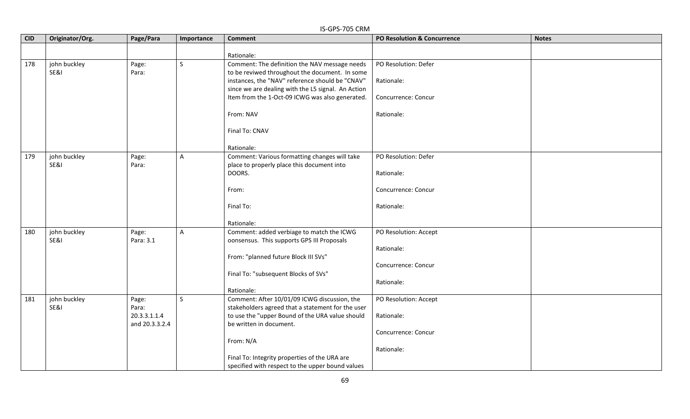|            |                 |                |              | IS-GPS-705 CRM                                     |                             |              |
|------------|-----------------|----------------|--------------|----------------------------------------------------|-----------------------------|--------------|
| <b>CID</b> | Originator/Org. | Page/Para      | Importance   | <b>Comment</b>                                     | PO Resolution & Concurrence | <b>Notes</b> |
|            |                 |                |              | Rationale:                                         |                             |              |
| 178        | john buckley    | Page:          | $\mathsf{S}$ | Comment: The definition the NAV message needs      | PO Resolution: Defer        |              |
|            | SE&I            | Para:          |              | to be reviwed throughout the document. In some     |                             |              |
|            |                 |                |              | instances, the "NAV" reference should be "CNAV"    | Rationale:                  |              |
|            |                 |                |              | since we are dealing with the L5 signal. An Action |                             |              |
|            |                 |                |              | Item from the 1-Oct-09 ICWG was also generated.    | Concurrence: Concur         |              |
|            |                 |                |              | From: NAV                                          | Rationale:                  |              |
|            |                 |                |              | Final To: CNAV                                     |                             |              |
|            |                 |                |              | Rationale:                                         |                             |              |
| 179        | john buckley    | Page:          | $\mathsf{A}$ | Comment: Various formatting changes will take      | PO Resolution: Defer        |              |
|            | SE&I            | Para:          |              | place to properly place this document into         |                             |              |
|            |                 |                |              | DOORS.                                             | Rationale:                  |              |
|            |                 |                |              | From:                                              | Concurrence: Concur         |              |
|            |                 |                |              | Final To:                                          | Rationale:                  |              |
|            |                 |                |              | Rationale:                                         |                             |              |
| 180        | john buckley    | Page:          | $\mathsf{A}$ | Comment: added verbiage to match the ICWG          | PO Resolution: Accept       |              |
|            | SE&I            | Para: 3.1      |              | oonsensus. This supports GPS III Proposals         |                             |              |
|            |                 |                |              |                                                    | Rationale:                  |              |
|            |                 |                |              | From: "planned future Block III SVs"               |                             |              |
|            |                 |                |              |                                                    | Concurrence: Concur         |              |
|            |                 |                |              | Final To: "subsequent Blocks of SVs"               | Rationale:                  |              |
|            |                 |                |              | Rationale:                                         |                             |              |
| 181        | john buckley    | Page:          | $\mathsf{S}$ | Comment: After 10/01/09 ICWG discussion, the       | PO Resolution: Accept       |              |
|            | SE&I            | Para:          |              | stakeholders agreed that a statement for the user  |                             |              |
|            |                 | 20.3.3.1.1.4   |              | to use the "upper Bound of the URA value should    | Rationale:                  |              |
|            |                 | and 20.3.3.2.4 |              | be written in document.                            |                             |              |
|            |                 |                |              |                                                    | Concurrence: Concur         |              |
|            |                 |                |              | From: N/A                                          |                             |              |
|            |                 |                |              |                                                    | Rationale:                  |              |
|            |                 |                |              | Final To: Integrity properties of the URA are      |                             |              |
|            |                 |                |              | specified with respect to the upper bound values   |                             |              |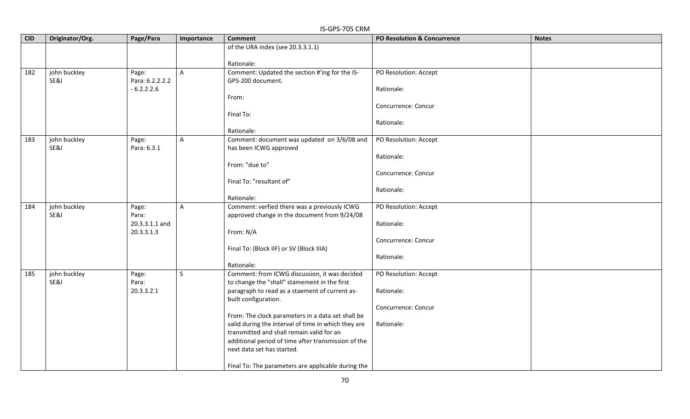|            | IS-GPS-705 CRM  |                 |              |                                                     |                                        |              |  |  |
|------------|-----------------|-----------------|--------------|-----------------------------------------------------|----------------------------------------|--------------|--|--|
| <b>CID</b> | Originator/Org. | Page/Para       | Importance   | <b>Comment</b>                                      | <b>PO Resolution &amp; Concurrence</b> | <b>Notes</b> |  |  |
|            |                 |                 |              | of the URA index (see 20.3.3.1.1)                   |                                        |              |  |  |
|            |                 |                 |              |                                                     |                                        |              |  |  |
|            |                 |                 |              | Rationale:                                          |                                        |              |  |  |
| 182        | john buckley    | Page:           | $\mathsf{A}$ | Comment: Updated the section #'ing for the IS-      | PO Resolution: Accept                  |              |  |  |
|            | SE&I            | Para: 6.2.2.2.2 |              | GPS-200 document.                                   |                                        |              |  |  |
|            |                 | $-6.2.2.2.6$    |              |                                                     | Rationale:                             |              |  |  |
|            |                 |                 |              | From:                                               |                                        |              |  |  |
|            |                 |                 |              |                                                     | Concurrence: Concur                    |              |  |  |
|            |                 |                 |              | Final To:                                           |                                        |              |  |  |
|            |                 |                 |              | Rationale:                                          | Rationale:                             |              |  |  |
| 183        | john buckley    | Page:           | $\mathsf{A}$ | Comment: document was updated on 3/6/08 and         | PO Resolution: Accept                  |              |  |  |
|            | SE&I            | Para: 6.3.1     |              | has been ICWG approved                              |                                        |              |  |  |
|            |                 |                 |              |                                                     | Rationale:                             |              |  |  |
|            |                 |                 |              | From: "due to"                                      |                                        |              |  |  |
|            |                 |                 |              |                                                     | Concurrence: Concur                    |              |  |  |
|            |                 |                 |              | Final To: "resultant of"                            |                                        |              |  |  |
|            |                 |                 |              |                                                     | Rationale:                             |              |  |  |
|            |                 |                 |              | Rationale:                                          |                                        |              |  |  |
| 184        | john buckley    | Page:           | $\mathsf{A}$ | Comment: verfied there was a previously ICWG        | PO Resolution: Accept                  |              |  |  |
|            | SE&I            | Para:           |              | approved change in the document from 9/24/08        |                                        |              |  |  |
|            |                 | 20.3.3.1.1 and  |              |                                                     | Rationale:                             |              |  |  |
|            |                 | 20.3.3.1.3      |              | From: N/A                                           |                                        |              |  |  |
|            |                 |                 |              |                                                     | Concurrence: Concur                    |              |  |  |
|            |                 |                 |              | Final To: (Block IIF) or SV (Block IIIA)            |                                        |              |  |  |
|            |                 |                 |              |                                                     | Rationale:                             |              |  |  |
|            |                 |                 |              | Rationale:                                          |                                        |              |  |  |
| 185        | john buckley    | Page:           | $\mathsf{S}$ | Comment: from ICWG discussion, it was decided       | PO Resolution: Accept                  |              |  |  |
|            | SE&I            | Para:           |              | to change the "shall" stamement in the first        |                                        |              |  |  |
|            |                 | 20.3.3.2.1      |              | paragraph to read as a staement of current as-      | Rationale:                             |              |  |  |
|            |                 |                 |              | built configuration.                                | Concurrence: Concur                    |              |  |  |
|            |                 |                 |              | From: The clock parameters in a data set shall be   |                                        |              |  |  |
|            |                 |                 |              | valid during the interval of time in which they are | Rationale:                             |              |  |  |
|            |                 |                 |              | transmitted and shall remain valid for an           |                                        |              |  |  |
|            |                 |                 |              | additional period of time after transmission of the |                                        |              |  |  |
|            |                 |                 |              | next data set has started.                          |                                        |              |  |  |
|            |                 |                 |              |                                                     |                                        |              |  |  |
|            |                 |                 |              | Final To: The parameters are applicable during the  |                                        |              |  |  |

70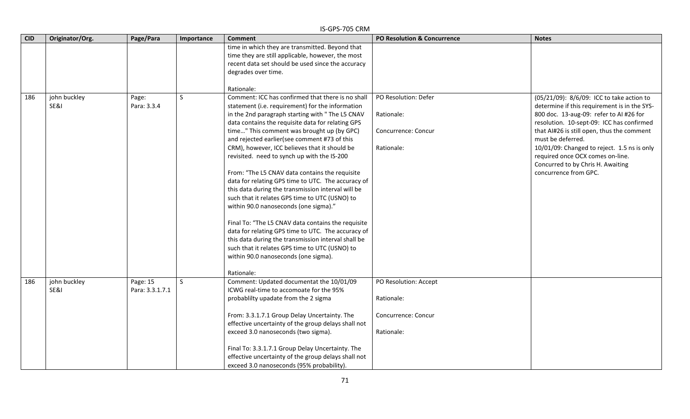|            |                      |                             |              | IS-GPS-705 CRM                                                                                                                                                                                                                                                                                                                                                                                                                                                                                                                                                                                                                                                                                                                                                                                                                                                                                                                                  |                                                                          |                                                                                                                                                                                                                                                                                                                                                                                                       |
|------------|----------------------|-----------------------------|--------------|-------------------------------------------------------------------------------------------------------------------------------------------------------------------------------------------------------------------------------------------------------------------------------------------------------------------------------------------------------------------------------------------------------------------------------------------------------------------------------------------------------------------------------------------------------------------------------------------------------------------------------------------------------------------------------------------------------------------------------------------------------------------------------------------------------------------------------------------------------------------------------------------------------------------------------------------------|--------------------------------------------------------------------------|-------------------------------------------------------------------------------------------------------------------------------------------------------------------------------------------------------------------------------------------------------------------------------------------------------------------------------------------------------------------------------------------------------|
| <b>CID</b> | Originator/Org.      | Page/Para                   | Importance   | <b>Comment</b>                                                                                                                                                                                                                                                                                                                                                                                                                                                                                                                                                                                                                                                                                                                                                                                                                                                                                                                                  | <b>PO Resolution &amp; Concurrence</b>                                   | <b>Notes</b>                                                                                                                                                                                                                                                                                                                                                                                          |
|            |                      |                             |              | time in which they are transmitted. Beyond that<br>time they are still applicable, however, the most<br>recent data set should be used since the accuracy<br>degrades over time.<br>Rationale:                                                                                                                                                                                                                                                                                                                                                                                                                                                                                                                                                                                                                                                                                                                                                  |                                                                          |                                                                                                                                                                                                                                                                                                                                                                                                       |
| 186        | john buckley<br>SE&I | Page:<br>Para: 3.3.4        | <sub>S</sub> | Comment: ICC has confirmed that there is no shall<br>statement (i.e. requirement) for the information<br>in the 2nd paragraph starting with "The L5 CNAV<br>data contains the requisite data for relating GPS<br>time" This comment was brought up (by GPC)<br>and rejected earlier(see comment #73 of this<br>CRM), however, ICC believes that it should be<br>revisited. need to synch up with the IS-200<br>From: "The L5 CNAV data contains the requisite<br>data for relating GPS time to UTC. The accuracy of<br>this data during the transmission interval will be<br>such that it relates GPS time to UTC (USNO) to<br>within 90.0 nanoseconds (one sigma)."<br>Final To: "The L5 CNAV data contains the requisite<br>data for relating GPS time to UTC. The accuracy of<br>this data during the transmission interval shall be<br>such that it relates GPS time to UTC (USNO) to<br>within 90.0 nanoseconds (one sigma).<br>Rationale: | PO Resolution: Defer<br>Rationale:<br>Concurrence: Concur<br>Rationale:  | (05/21/09): 8/6/09: ICC to take action to<br>determine if this requirement is in the SYS-<br>800 doc. 13-aug-09: refer to AI #26 for<br>resolution. 10-sept-09: ICC has confirmed<br>that AI#26 is still open, thus the comment<br>must be deferred.<br>10/01/09: Changed to reject. 1.5 ns is only<br>required once OCX comes on-line.<br>Concurred to by Chris H. Awaiting<br>concurrence from GPC. |
| 186        | john buckley<br>SE&I | Page: 15<br>Para: 3.3.1.7.1 | <sub>S</sub> | Comment: Updated documentat the 10/01/09<br>ICWG real-time to accomoate for the 95%<br>probablilty upadate from the 2 sigma<br>From: 3.3.1.7.1 Group Delay Uncertainty. The<br>effective uncertainty of the group delays shall not<br>exceed 3.0 nanoseconds (two sigma).<br>Final To: 3.3.1.7.1 Group Delay Uncertainty. The<br>effective uncertainty of the group delays shall not<br>exceed 3.0 nanoseconds (95% probability).                                                                                                                                                                                                                                                                                                                                                                                                                                                                                                               | PO Resolution: Accept<br>Rationale:<br>Concurrence: Concur<br>Rationale: |                                                                                                                                                                                                                                                                                                                                                                                                       |